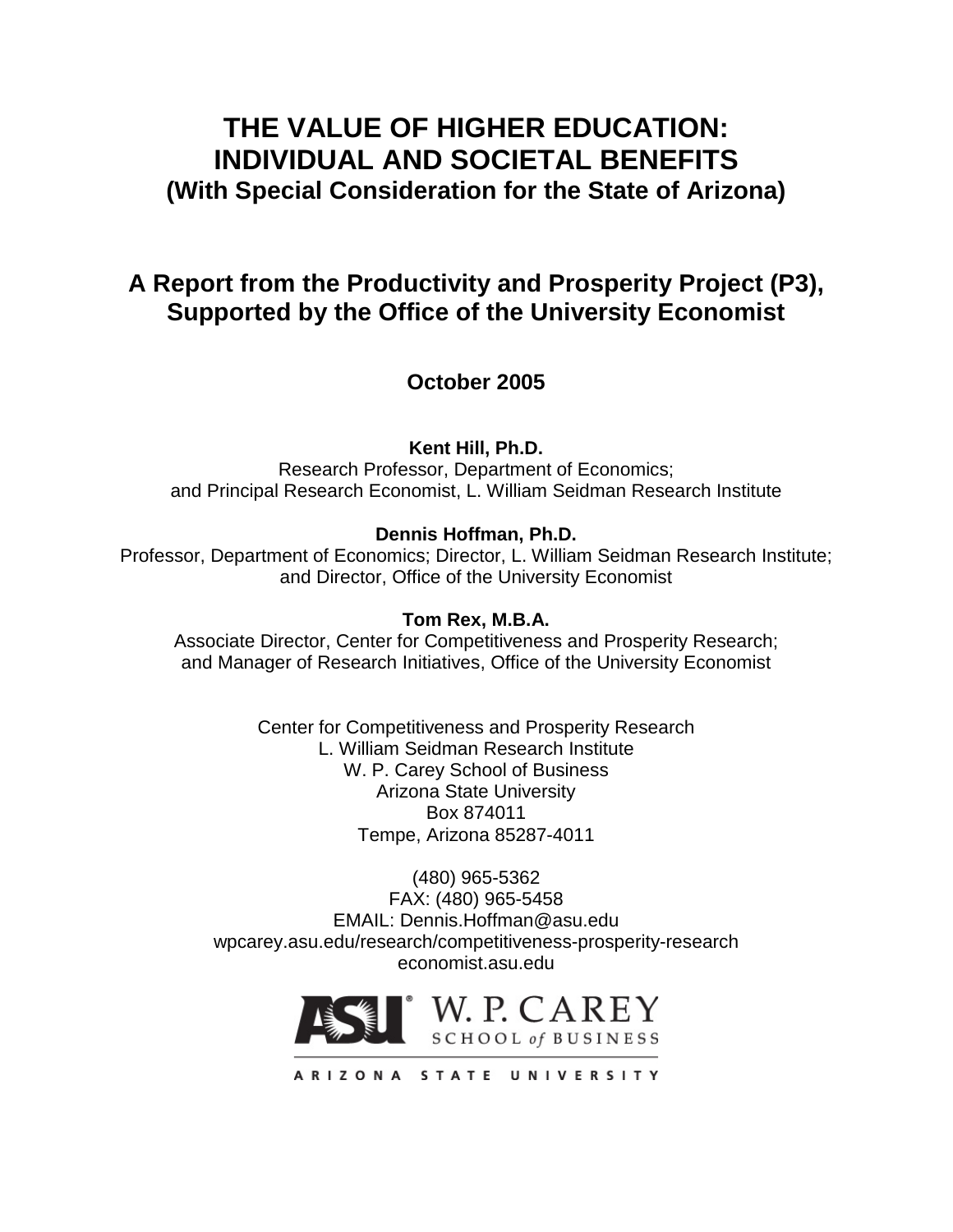# **THE VALUE OF HIGHER EDUCATION: INDIVIDUAL AND SOCIETAL BENEFITS (With Special Consideration for the State of Arizona)**

# **A Report from the Productivity and Prosperity Project (P3), Supported by the Office of the University Economist**

**October 2005**

**Kent Hill, Ph.D.**

Research Professor, Department of Economics; and Principal Research Economist, L. William Seidman Research Institute

## **Dennis Hoffman, Ph.D.**

Professor, Department of Economics; Director, L. William Seidman Research Institute; and Director, Office of the University Economist

## **Tom Rex, M.B.A.**

Associate Director, Center for Competitiveness and Prosperity Research; and Manager of Research Initiatives, Office of the University Economist

> Center for Competitiveness and Prosperity Research L. William Seidman Research Institute W. P. Carey School of Business Arizona State University Box 874011 Tempe, Arizona 85287-4011

(480) 965-5362 FAX: (480) 965-5458 EMAIL: Dennis.Hoffman@asu.edu wpcarey.asu.edu/research/competitiveness-prosperity-research economist.asu.edu



ARIZONA STATE UNIVERSITY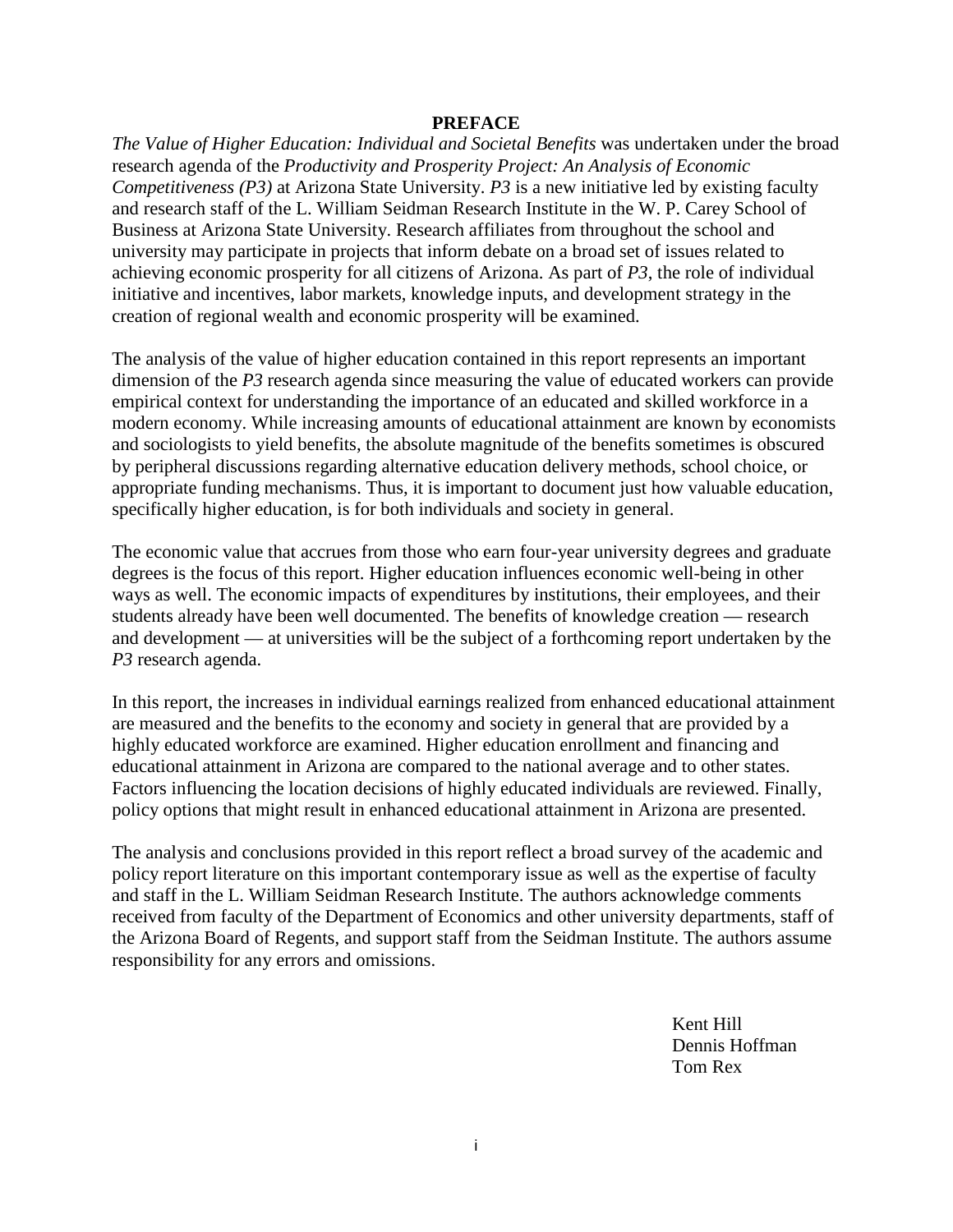#### **PREFACE**

*The Value of Higher Education: Individual and Societal Benefits* was undertaken under the broad research agenda of the *Productivity and Prosperity Project: An Analysis of Economic Competitiveness (P3)* at Arizona State University. *P3* is a new initiative led by existing faculty and research staff of the L. William Seidman Research Institute in the W. P. Carey School of Business at Arizona State University. Research affiliates from throughout the school and university may participate in projects that inform debate on a broad set of issues related to achieving economic prosperity for all citizens of Arizona. As part of *P3*, the role of individual initiative and incentives, labor markets, knowledge inputs, and development strategy in the creation of regional wealth and economic prosperity will be examined.

The analysis of the value of higher education contained in this report represents an important dimension of the *P3* research agenda since measuring the value of educated workers can provide empirical context for understanding the importance of an educated and skilled workforce in a modern economy. While increasing amounts of educational attainment are known by economists and sociologists to yield benefits, the absolute magnitude of the benefits sometimes is obscured by peripheral discussions regarding alternative education delivery methods, school choice, or appropriate funding mechanisms. Thus, it is important to document just how valuable education, specifically higher education, is for both individuals and society in general.

The economic value that accrues from those who earn four-year university degrees and graduate degrees is the focus of this report. Higher education influences economic well-being in other ways as well. The economic impacts of expenditures by institutions, their employees, and their students already have been well documented. The benefits of knowledge creation — research and development — at universities will be the subject of a forthcoming report undertaken by the *P3* research agenda.

In this report, the increases in individual earnings realized from enhanced educational attainment are measured and the benefits to the economy and society in general that are provided by a highly educated workforce are examined. Higher education enrollment and financing and educational attainment in Arizona are compared to the national average and to other states. Factors influencing the location decisions of highly educated individuals are reviewed. Finally, policy options that might result in enhanced educational attainment in Arizona are presented.

The analysis and conclusions provided in this report reflect a broad survey of the academic and policy report literature on this important contemporary issue as well as the expertise of faculty and staff in the L. William Seidman Research Institute. The authors acknowledge comments received from faculty of the Department of Economics and other university departments, staff of the Arizona Board of Regents, and support staff from the Seidman Institute. The authors assume responsibility for any errors and omissions.

> Kent Hill Dennis Hoffman Tom Rex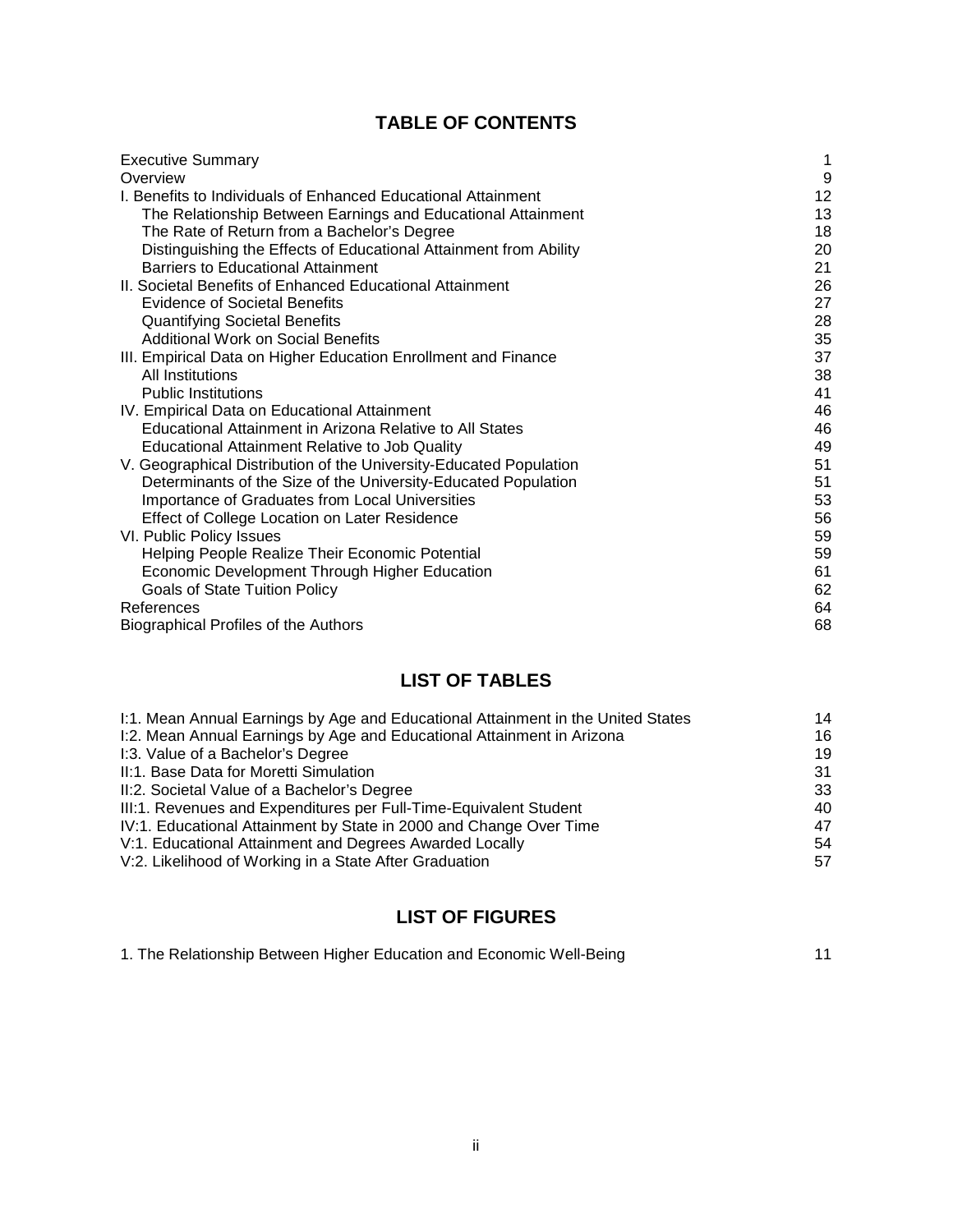## **TABLE OF CONTENTS**

| <b>Executive Summary</b>                                           | 1  |
|--------------------------------------------------------------------|----|
| Overview                                                           | 9  |
| L Benefits to Individuals of Enhanced Educational Attainment       | 12 |
| The Relationship Between Earnings and Educational Attainment       | 13 |
| The Rate of Return from a Bachelor's Degree                        | 18 |
| Distinguishing the Effects of Educational Attainment from Ability  | 20 |
| <b>Barriers to Educational Attainment</b>                          | 21 |
| II. Societal Benefits of Enhanced Educational Attainment           | 26 |
| <b>Evidence of Societal Benefits</b>                               | 27 |
| <b>Quantifying Societal Benefits</b>                               | 28 |
| <b>Additional Work on Social Benefits</b>                          | 35 |
| III. Empirical Data on Higher Education Enrollment and Finance     | 37 |
| All Institutions                                                   | 38 |
| <b>Public Institutions</b>                                         | 41 |
| IV. Empirical Data on Educational Attainment                       | 46 |
| Educational Attainment in Arizona Relative to All States           | 46 |
| <b>Educational Attainment Relative to Job Quality</b>              | 49 |
| V. Geographical Distribution of the University-Educated Population | 51 |
| Determinants of the Size of the University-Educated Population     | 51 |
| Importance of Graduates from Local Universities                    | 53 |
| Effect of College Location on Later Residence                      | 56 |
| VI. Public Policy Issues                                           | 59 |
| Helping People Realize Their Economic Potential                    | 59 |
| Economic Development Through Higher Education                      | 61 |
| <b>Goals of State Tuition Policy</b>                               | 62 |
| References                                                         | 64 |
| <b>Biographical Profiles of the Authors</b>                        | 68 |

## **LIST OF TABLES**

| I:1. Mean Annual Earnings by Age and Educational Attainment in the United States | 14 |
|----------------------------------------------------------------------------------|----|
| I:2. Mean Annual Earnings by Age and Educational Attainment in Arizona           | 16 |
| I:3. Value of a Bachelor's Degree                                                | 19 |
| II:1. Base Data for Moretti Simulation                                           | 31 |
| II:2. Societal Value of a Bachelor's Degree                                      | 33 |
| III:1. Revenues and Expenditures per Full-Time-Equivalent Student                | 40 |
| IV:1. Educational Attainment by State in 2000 and Change Over Time               | 47 |
| V:1. Educational Attainment and Degrees Awarded Locally                          | 54 |
| V:2. Likelihood of Working in a State After Graduation                           | 57 |

## **LIST OF FIGURES**

| 1. The Relationship Between Higher Education and Economic Well-Being |  |
|----------------------------------------------------------------------|--|
|----------------------------------------------------------------------|--|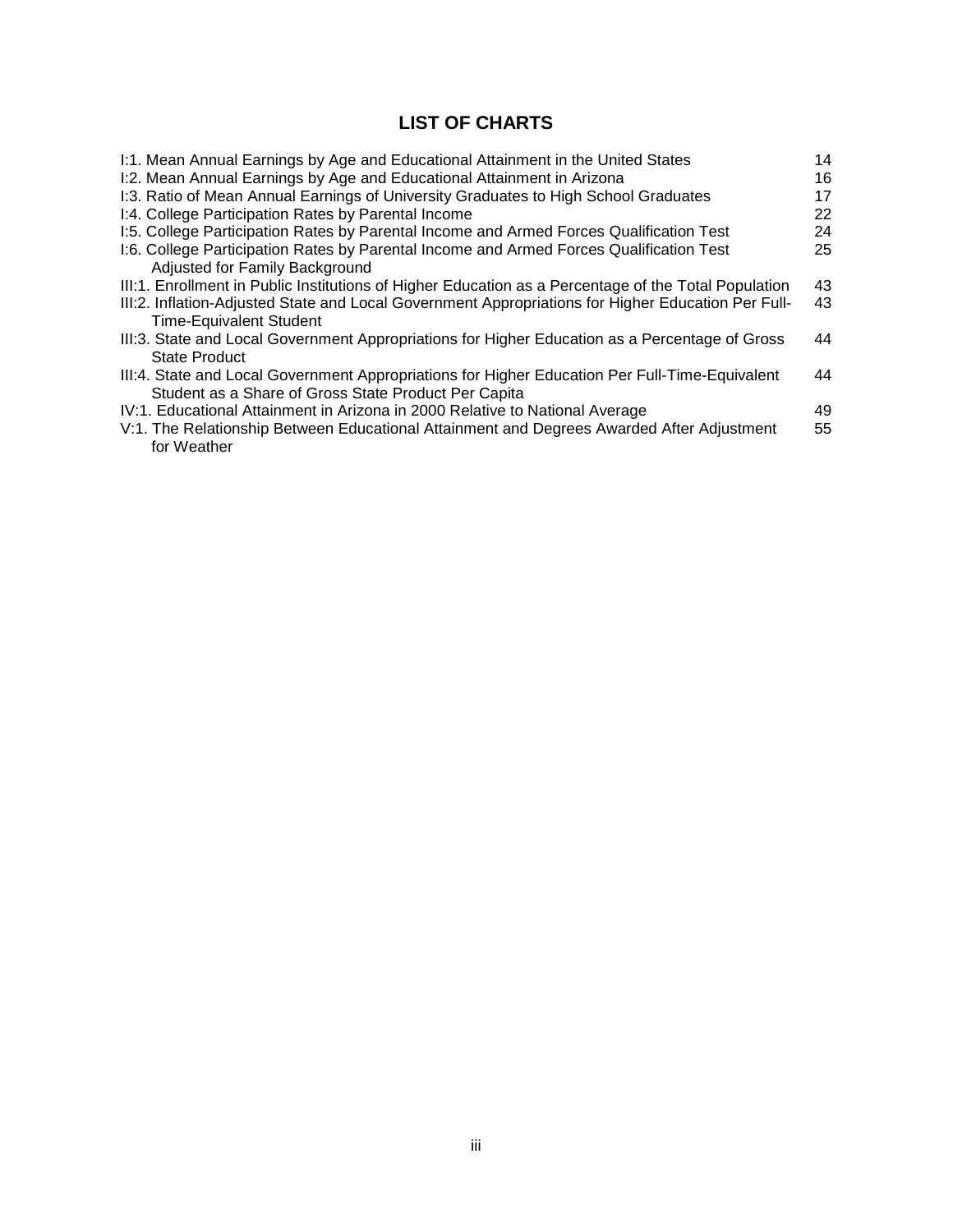## **LIST OF CHARTS**

| I:1. Mean Annual Earnings by Age and Educational Attainment in the United States                     | 14 |
|------------------------------------------------------------------------------------------------------|----|
| I:2. Mean Annual Earnings by Age and Educational Attainment in Arizona                               | 16 |
| I:3. Ratio of Mean Annual Earnings of University Graduates to High School Graduates                  | 17 |
| I:4. College Participation Rates by Parental Income                                                  | 22 |
| I:5. College Participation Rates by Parental Income and Armed Forces Qualification Test              | 24 |
| I:6. College Participation Rates by Parental Income and Armed Forces Qualification Test              | 25 |
| Adjusted for Family Background                                                                       |    |
| III:1. Enrollment in Public Institutions of Higher Education as a Percentage of the Total Population | 43 |
| III:2. Inflation-Adjusted State and Local Government Appropriations for Higher Education Per Full-   | 43 |
| <b>Time-Equivalent Student</b>                                                                       |    |
| III:3. State and Local Government Appropriations for Higher Education as a Percentage of Gross       | 44 |
| <b>State Product</b>                                                                                 |    |
| III:4. State and Local Government Appropriations for Higher Education Per Full-Time-Equivalent       | 44 |
| Student as a Share of Gross State Product Per Capita                                                 |    |
| IV:1. Educational Attainment in Arizona in 2000 Relative to National Average                         | 49 |
| V:1. The Relationship Between Educational Attainment and Degrees Awarded After Adjustment            | 55 |
| for Weather                                                                                          |    |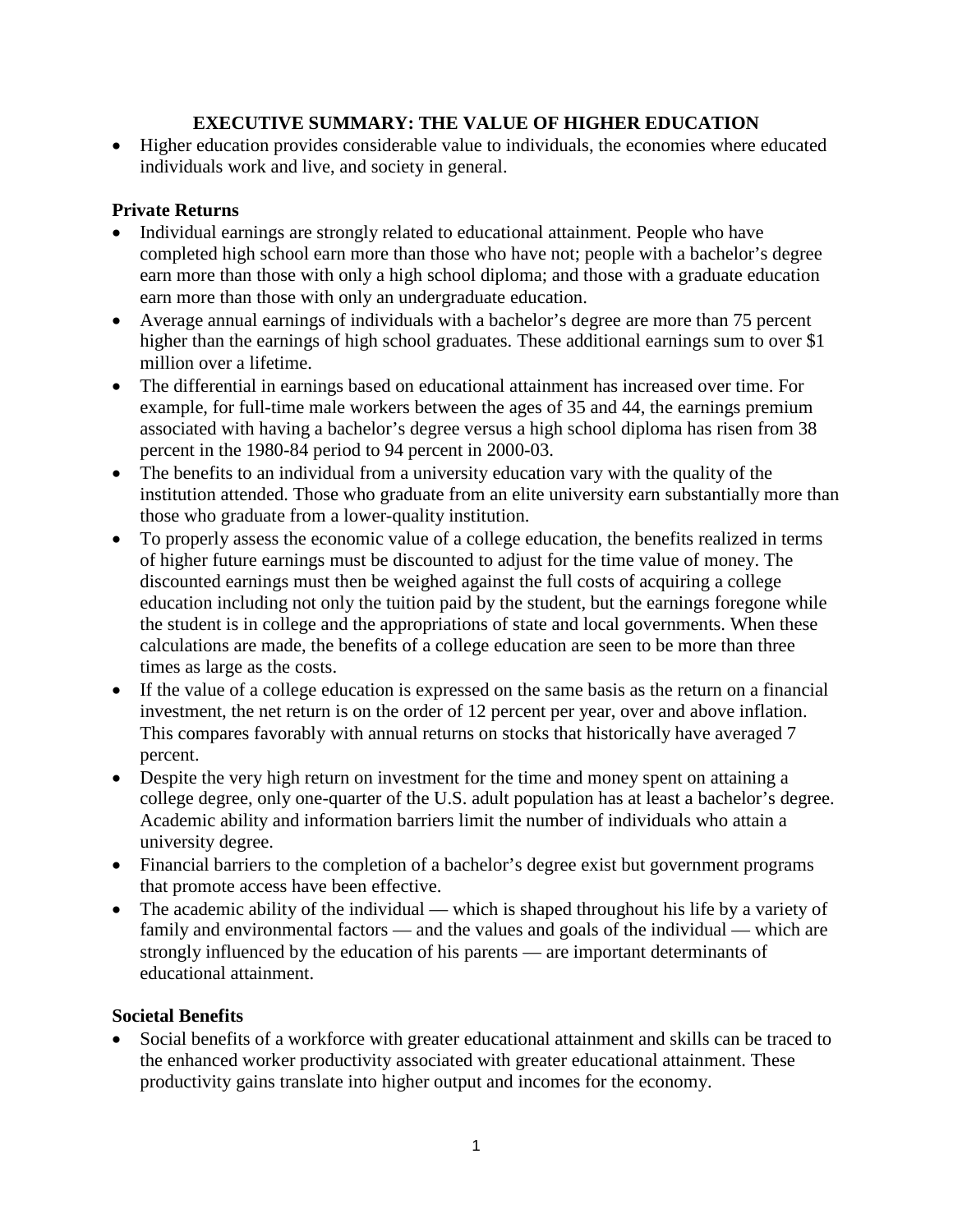## **EXECUTIVE SUMMARY: THE VALUE OF HIGHER EDUCATION**

• Higher education provides considerable value to individuals, the economies where educated individuals work and live, and society in general.

## **Private Returns**

- Individual earnings are strongly related to educational attainment. People who have completed high school earn more than those who have not; people with a bachelor's degree earn more than those with only a high school diploma; and those with a graduate education earn more than those with only an undergraduate education.
- Average annual earnings of individuals with a bachelor's degree are more than 75 percent higher than the earnings of high school graduates. These additional earnings sum to over \$1 million over a lifetime.
- The differential in earnings based on educational attainment has increased over time. For example, for full-time male workers between the ages of 35 and 44, the earnings premium associated with having a bachelor's degree versus a high school diploma has risen from 38 percent in the 1980-84 period to 94 percent in 2000-03.
- The benefits to an individual from a university education vary with the quality of the institution attended. Those who graduate from an elite university earn substantially more than those who graduate from a lower-quality institution.
- To properly assess the economic value of a college education, the benefits realized in terms of higher future earnings must be discounted to adjust for the time value of money. The discounted earnings must then be weighed against the full costs of acquiring a college education including not only the tuition paid by the student, but the earnings foregone while the student is in college and the appropriations of state and local governments. When these calculations are made, the benefits of a college education are seen to be more than three times as large as the costs.
- If the value of a college education is expressed on the same basis as the return on a financial investment, the net return is on the order of 12 percent per year, over and above inflation. This compares favorably with annual returns on stocks that historically have averaged 7 percent.
- Despite the very high return on investment for the time and money spent on attaining a college degree, only one-quarter of the U.S. adult population has at least a bachelor's degree. Academic ability and information barriers limit the number of individuals who attain a university degree.
- Financial barriers to the completion of a bachelor's degree exist but government programs that promote access have been effective.
- The academic ability of the individual which is shaped throughout his life by a variety of family and environmental factors — and the values and goals of the individual — which are strongly influenced by the education of his parents — are important determinants of educational attainment.

## **Societal Benefits**

Social benefits of a workforce with greater educational attainment and skills can be traced to the enhanced worker productivity associated with greater educational attainment. These productivity gains translate into higher output and incomes for the economy.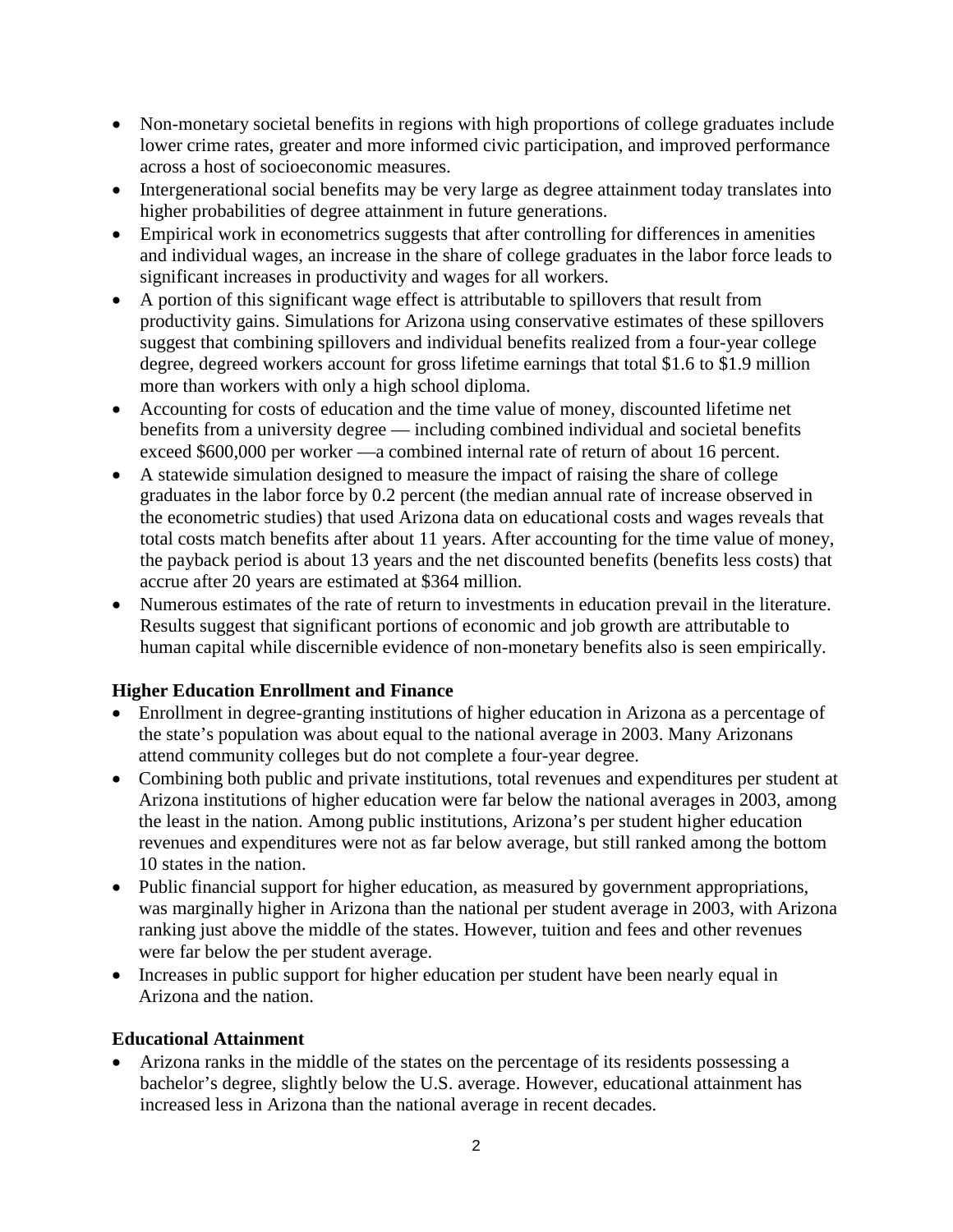- Non-monetary societal benefits in regions with high proportions of college graduates include lower crime rates, greater and more informed civic participation, and improved performance across a host of socioeconomic measures.
- Intergenerational social benefits may be very large as degree attainment today translates into higher probabilities of degree attainment in future generations.
- Empirical work in econometrics suggests that after controlling for differences in amenities and individual wages, an increase in the share of college graduates in the labor force leads to significant increases in productivity and wages for all workers.
- A portion of this significant wage effect is attributable to spillovers that result from productivity gains. Simulations for Arizona using conservative estimates of these spillovers suggest that combining spillovers and individual benefits realized from a four-year college degree, degreed workers account for gross lifetime earnings that total \$1.6 to \$1.9 million more than workers with only a high school diploma.
- Accounting for costs of education and the time value of money, discounted lifetime net benefits from a university degree — including combined individual and societal benefits exceed \$600,000 per worker —a combined internal rate of return of about 16 percent.
- A statewide simulation designed to measure the impact of raising the share of college graduates in the labor force by 0.2 percent (the median annual rate of increase observed in the econometric studies) that used Arizona data on educational costs and wages reveals that total costs match benefits after about 11 years. After accounting for the time value of money, the payback period is about 13 years and the net discounted benefits (benefits less costs) that accrue after 20 years are estimated at \$364 million.
- Numerous estimates of the rate of return to investments in education prevail in the literature. Results suggest that significant portions of economic and job growth are attributable to human capital while discernible evidence of non-monetary benefits also is seen empirically.

## **Higher Education Enrollment and Finance**

- Enrollment in degree-granting institutions of higher education in Arizona as a percentage of the state's population was about equal to the national average in 2003. Many Arizonans attend community colleges but do not complete a four-year degree.
- Combining both public and private institutions, total revenues and expenditures per student at Arizona institutions of higher education were far below the national averages in 2003, among the least in the nation. Among public institutions, Arizona's per student higher education revenues and expenditures were not as far below average, but still ranked among the bottom 10 states in the nation.
- Public financial support for higher education, as measured by government appropriations, was marginally higher in Arizona than the national per student average in 2003, with Arizona ranking just above the middle of the states. However, tuition and fees and other revenues were far below the per student average.
- Increases in public support for higher education per student have been nearly equal in Arizona and the nation.

## **Educational Attainment**

• Arizona ranks in the middle of the states on the percentage of its residents possessing a bachelor's degree, slightly below the U.S. average. However, educational attainment has increased less in Arizona than the national average in recent decades.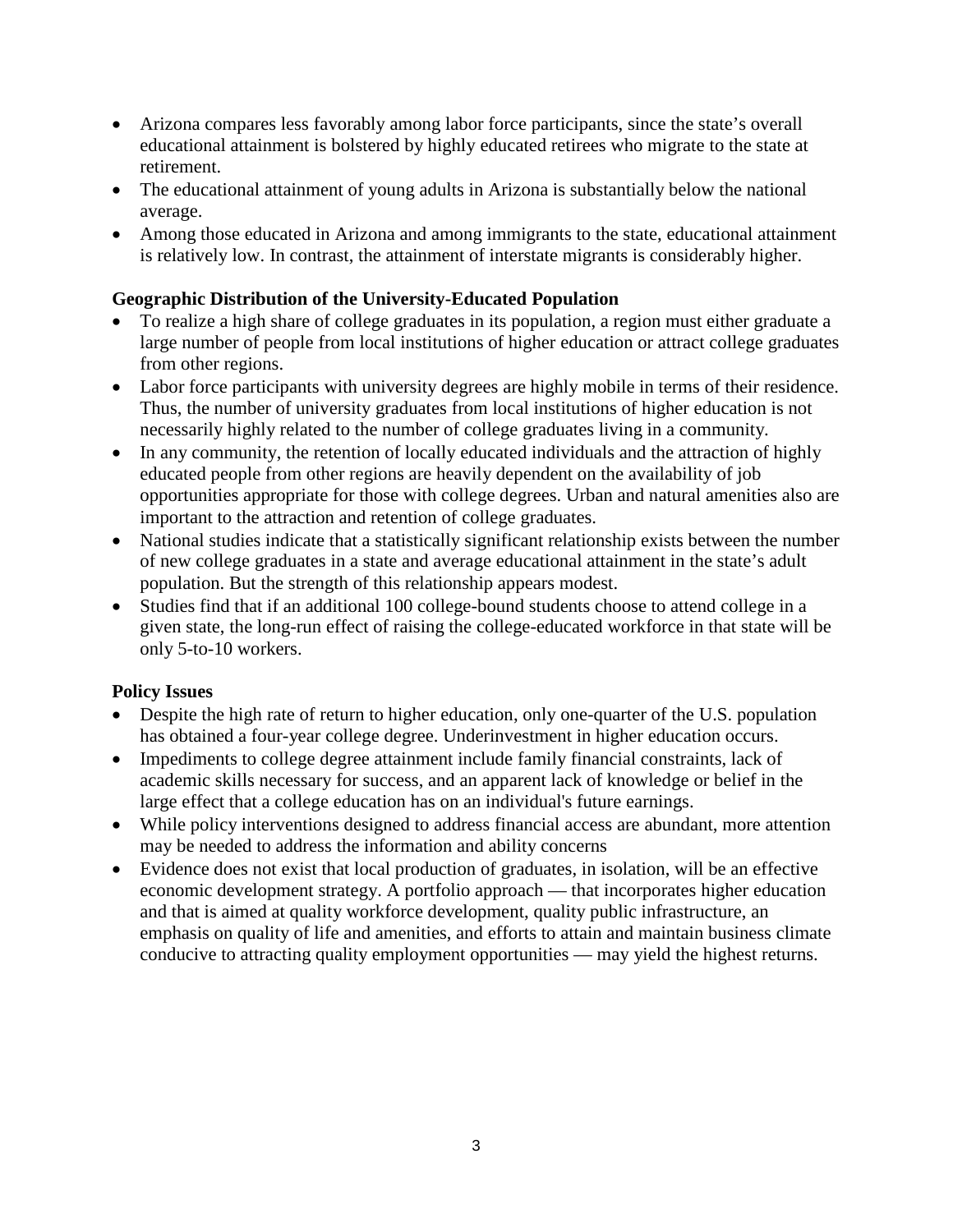- Arizona compares less favorably among labor force participants, since the state's overall educational attainment is bolstered by highly educated retirees who migrate to the state at retirement.
- The educational attainment of young adults in Arizona is substantially below the national average.
- Among those educated in Arizona and among immigrants to the state, educational attainment is relatively low. In contrast, the attainment of interstate migrants is considerably higher.

## **Geographic Distribution of the University-Educated Population**

- To realize a high share of college graduates in its population, a region must either graduate a large number of people from local institutions of higher education or attract college graduates from other regions.
- Labor force participants with university degrees are highly mobile in terms of their residence. Thus, the number of university graduates from local institutions of higher education is not necessarily highly related to the number of college graduates living in a community.
- In any community, the retention of locally educated individuals and the attraction of highly educated people from other regions are heavily dependent on the availability of job opportunities appropriate for those with college degrees. Urban and natural amenities also are important to the attraction and retention of college graduates.
- National studies indicate that a statistically significant relationship exists between the number of new college graduates in a state and average educational attainment in the state's adult population. But the strength of this relationship appears modest.
- Studies find that if an additional 100 college-bound students choose to attend college in a given state, the long-run effect of raising the college-educated workforce in that state will be only 5-to-10 workers.

## **Policy Issues**

- Despite the high rate of return to higher education, only one-quarter of the U.S. population has obtained a four-year college degree. Underinvestment in higher education occurs.
- Impediments to college degree attainment include family financial constraints, lack of academic skills necessary for success, and an apparent lack of knowledge or belief in the large effect that a college education has on an individual's future earnings.
- While policy interventions designed to address financial access are abundant, more attention may be needed to address the information and ability concerns
- Evidence does not exist that local production of graduates, in isolation, will be an effective economic development strategy. A portfolio approach — that incorporates higher education and that is aimed at quality workforce development, quality public infrastructure, an emphasis on quality of life and amenities, and efforts to attain and maintain business climate conducive to attracting quality employment opportunities — may yield the highest returns.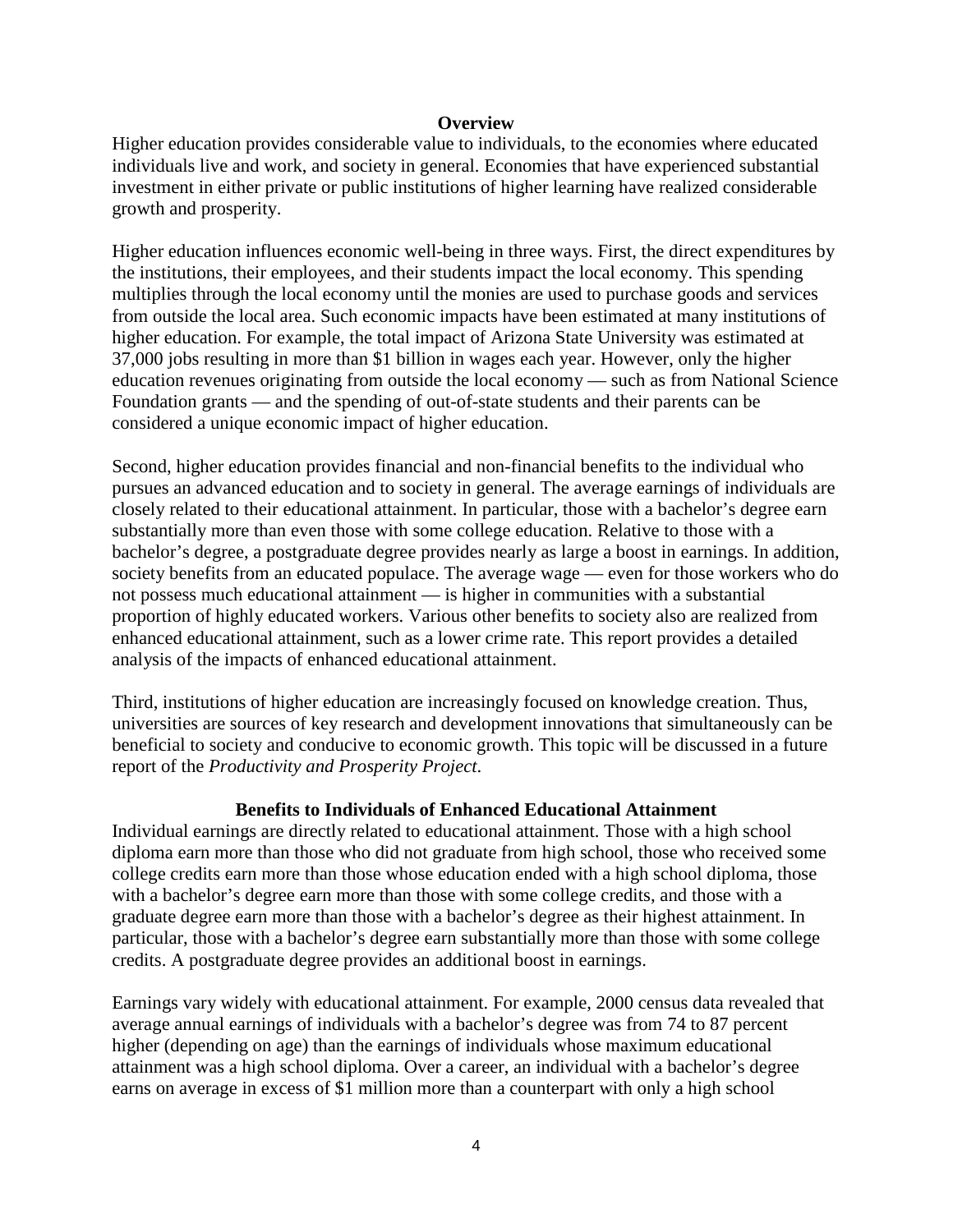#### **Overview**

Higher education provides considerable value to individuals, to the economies where educated individuals live and work, and society in general. Economies that have experienced substantial investment in either private or public institutions of higher learning have realized considerable growth and prosperity.

Higher education influences economic well-being in three ways. First, the direct expenditures by the institutions, their employees, and their students impact the local economy. This spending multiplies through the local economy until the monies are used to purchase goods and services from outside the local area. Such economic impacts have been estimated at many institutions of higher education. For example, the total impact of Arizona State University was estimated at 37,000 jobs resulting in more than \$1 billion in wages each year. However, only the higher education revenues originating from outside the local economy — such as from National Science Foundation grants — and the spending of out-of-state students and their parents can be considered a unique economic impact of higher education.

Second, higher education provides financial and non-financial benefits to the individual who pursues an advanced education and to society in general. The average earnings of individuals are closely related to their educational attainment. In particular, those with a bachelor's degree earn substantially more than even those with some college education. Relative to those with a bachelor's degree, a postgraduate degree provides nearly as large a boost in earnings. In addition, society benefits from an educated populace. The average wage — even for those workers who do not possess much educational attainment — is higher in communities with a substantial proportion of highly educated workers. Various other benefits to society also are realized from enhanced educational attainment, such as a lower crime rate. This report provides a detailed analysis of the impacts of enhanced educational attainment.

Third, institutions of higher education are increasingly focused on knowledge creation. Thus, universities are sources of key research and development innovations that simultaneously can be beneficial to society and conducive to economic growth. This topic will be discussed in a future report of the *Productivity and Prosperity Project*.

#### **Benefits to Individuals of Enhanced Educational Attainment**

Individual earnings are directly related to educational attainment. Those with a high school diploma earn more than those who did not graduate from high school, those who received some college credits earn more than those whose education ended with a high school diploma, those with a bachelor's degree earn more than those with some college credits, and those with a graduate degree earn more than those with a bachelor's degree as their highest attainment. In particular, those with a bachelor's degree earn substantially more than those with some college credits. A postgraduate degree provides an additional boost in earnings.

Earnings vary widely with educational attainment. For example, 2000 census data revealed that average annual earnings of individuals with a bachelor's degree was from 74 to 87 percent higher (depending on age) than the earnings of individuals whose maximum educational attainment was a high school diploma. Over a career, an individual with a bachelor's degree earns on average in excess of \$1 million more than a counterpart with only a high school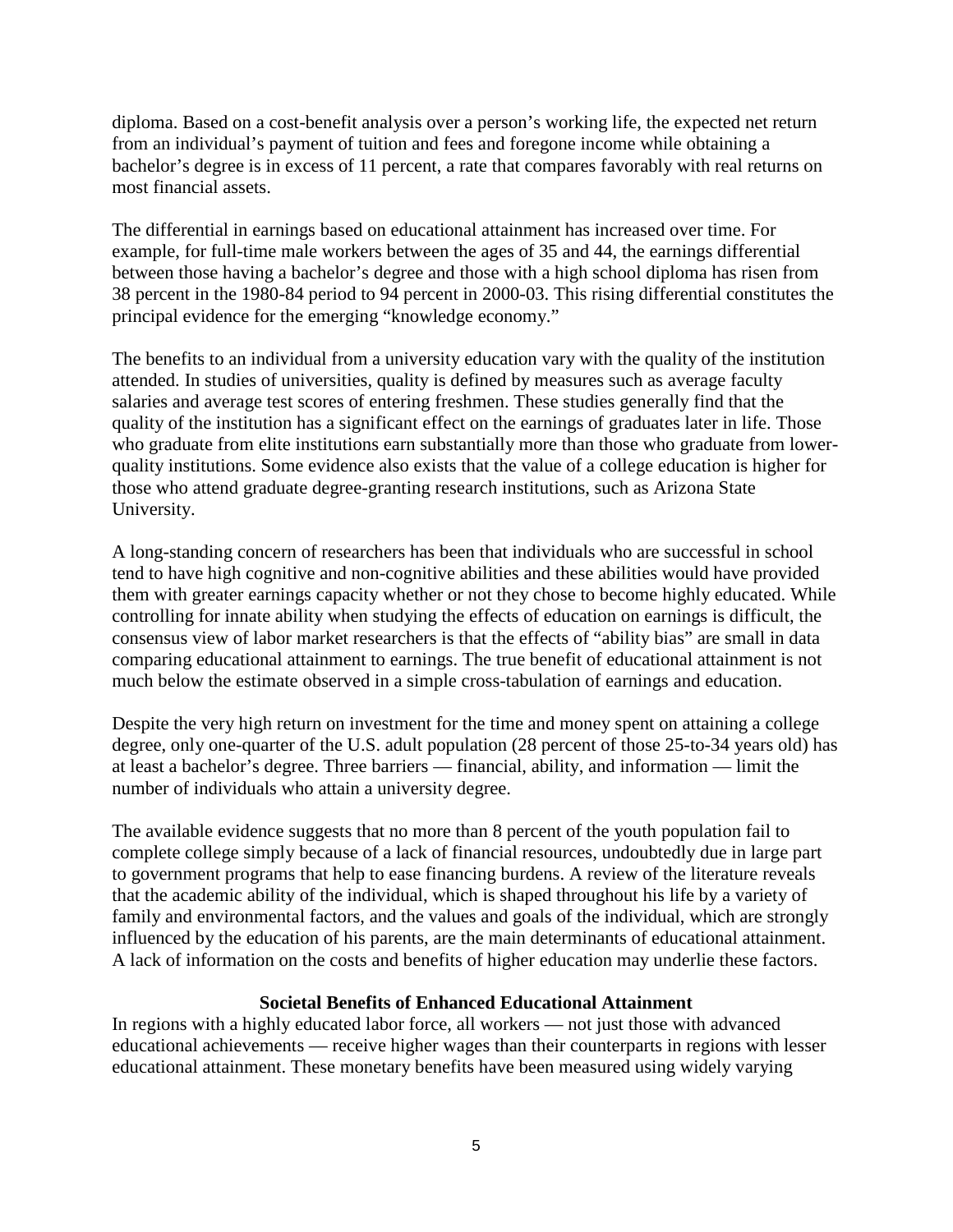diploma. Based on a cost-benefit analysis over a person's working life, the expected net return from an individual's payment of tuition and fees and foregone income while obtaining a bachelor's degree is in excess of 11 percent, a rate that compares favorably with real returns on most financial assets.

The differential in earnings based on educational attainment has increased over time. For example, for full-time male workers between the ages of 35 and 44, the earnings differential between those having a bachelor's degree and those with a high school diploma has risen from 38 percent in the 1980-84 period to 94 percent in 2000-03. This rising differential constitutes the principal evidence for the emerging "knowledge economy."

The benefits to an individual from a university education vary with the quality of the institution attended. In studies of universities, quality is defined by measures such as average faculty salaries and average test scores of entering freshmen. These studies generally find that the quality of the institution has a significant effect on the earnings of graduates later in life. Those who graduate from elite institutions earn substantially more than those who graduate from lowerquality institutions. Some evidence also exists that the value of a college education is higher for those who attend graduate degree-granting research institutions, such as Arizona State University.

A long-standing concern of researchers has been that individuals who are successful in school tend to have high cognitive and non-cognitive abilities and these abilities would have provided them with greater earnings capacity whether or not they chose to become highly educated. While controlling for innate ability when studying the effects of education on earnings is difficult, the consensus view of labor market researchers is that the effects of "ability bias" are small in data comparing educational attainment to earnings. The true benefit of educational attainment is not much below the estimate observed in a simple cross-tabulation of earnings and education.

Despite the very high return on investment for the time and money spent on attaining a college degree, only one-quarter of the U.S. adult population (28 percent of those 25-to-34 years old) has at least a bachelor's degree. Three barriers — financial, ability, and information — limit the number of individuals who attain a university degree.

The available evidence suggests that no more than 8 percent of the youth population fail to complete college simply because of a lack of financial resources, undoubtedly due in large part to government programs that help to ease financing burdens. A review of the literature reveals that the academic ability of the individual, which is shaped throughout his life by a variety of family and environmental factors, and the values and goals of the individual, which are strongly influenced by the education of his parents, are the main determinants of educational attainment. A lack of information on the costs and benefits of higher education may underlie these factors.

#### **Societal Benefits of Enhanced Educational Attainment**

In regions with a highly educated labor force, all workers — not just those with advanced educational achievements — receive higher wages than their counterparts in regions with lesser educational attainment. These monetary benefits have been measured using widely varying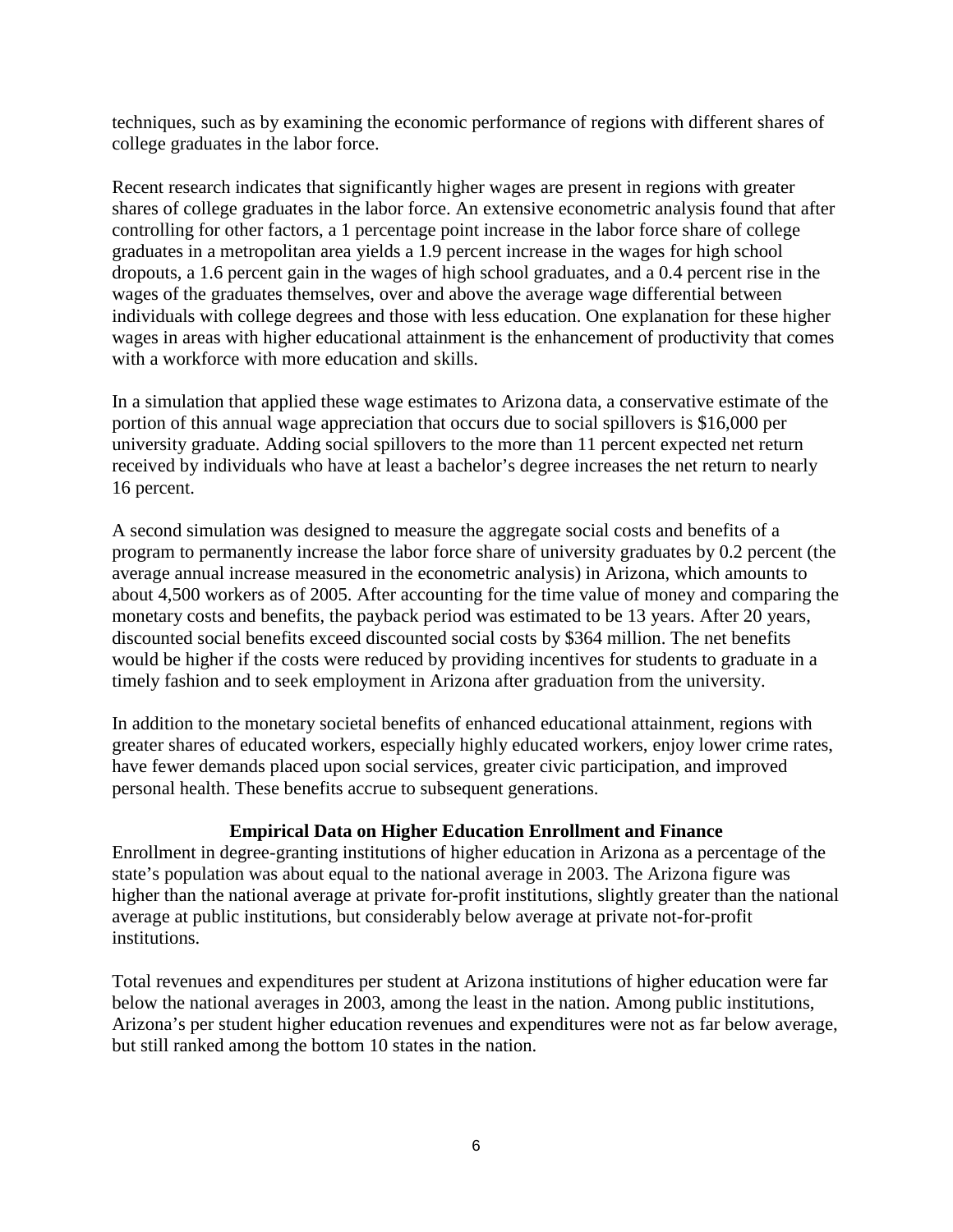techniques, such as by examining the economic performance of regions with different shares of college graduates in the labor force.

Recent research indicates that significantly higher wages are present in regions with greater shares of college graduates in the labor force. An extensive econometric analysis found that after controlling for other factors, a 1 percentage point increase in the labor force share of college graduates in a metropolitan area yields a 1.9 percent increase in the wages for high school dropouts, a 1.6 percent gain in the wages of high school graduates, and a 0.4 percent rise in the wages of the graduates themselves, over and above the average wage differential between individuals with college degrees and those with less education. One explanation for these higher wages in areas with higher educational attainment is the enhancement of productivity that comes with a workforce with more education and skills.

In a simulation that applied these wage estimates to Arizona data, a conservative estimate of the portion of this annual wage appreciation that occurs due to social spillovers is \$16,000 per university graduate. Adding social spillovers to the more than 11 percent expected net return received by individuals who have at least a bachelor's degree increases the net return to nearly 16 percent.

A second simulation was designed to measure the aggregate social costs and benefits of a program to permanently increase the labor force share of university graduates by 0.2 percent (the average annual increase measured in the econometric analysis) in Arizona, which amounts to about 4,500 workers as of 2005. After accounting for the time value of money and comparing the monetary costs and benefits, the payback period was estimated to be 13 years. After 20 years, discounted social benefits exceed discounted social costs by \$364 million. The net benefits would be higher if the costs were reduced by providing incentives for students to graduate in a timely fashion and to seek employment in Arizona after graduation from the university.

In addition to the monetary societal benefits of enhanced educational attainment, regions with greater shares of educated workers, especially highly educated workers, enjoy lower crime rates, have fewer demands placed upon social services, greater civic participation, and improved personal health. These benefits accrue to subsequent generations.

#### **Empirical Data on Higher Education Enrollment and Finance**

Enrollment in degree-granting institutions of higher education in Arizona as a percentage of the state's population was about equal to the national average in 2003. The Arizona figure was higher than the national average at private for-profit institutions, slightly greater than the national average at public institutions, but considerably below average at private not-for-profit institutions.

Total revenues and expenditures per student at Arizona institutions of higher education were far below the national averages in 2003, among the least in the nation. Among public institutions, Arizona's per student higher education revenues and expenditures were not as far below average, but still ranked among the bottom 10 states in the nation.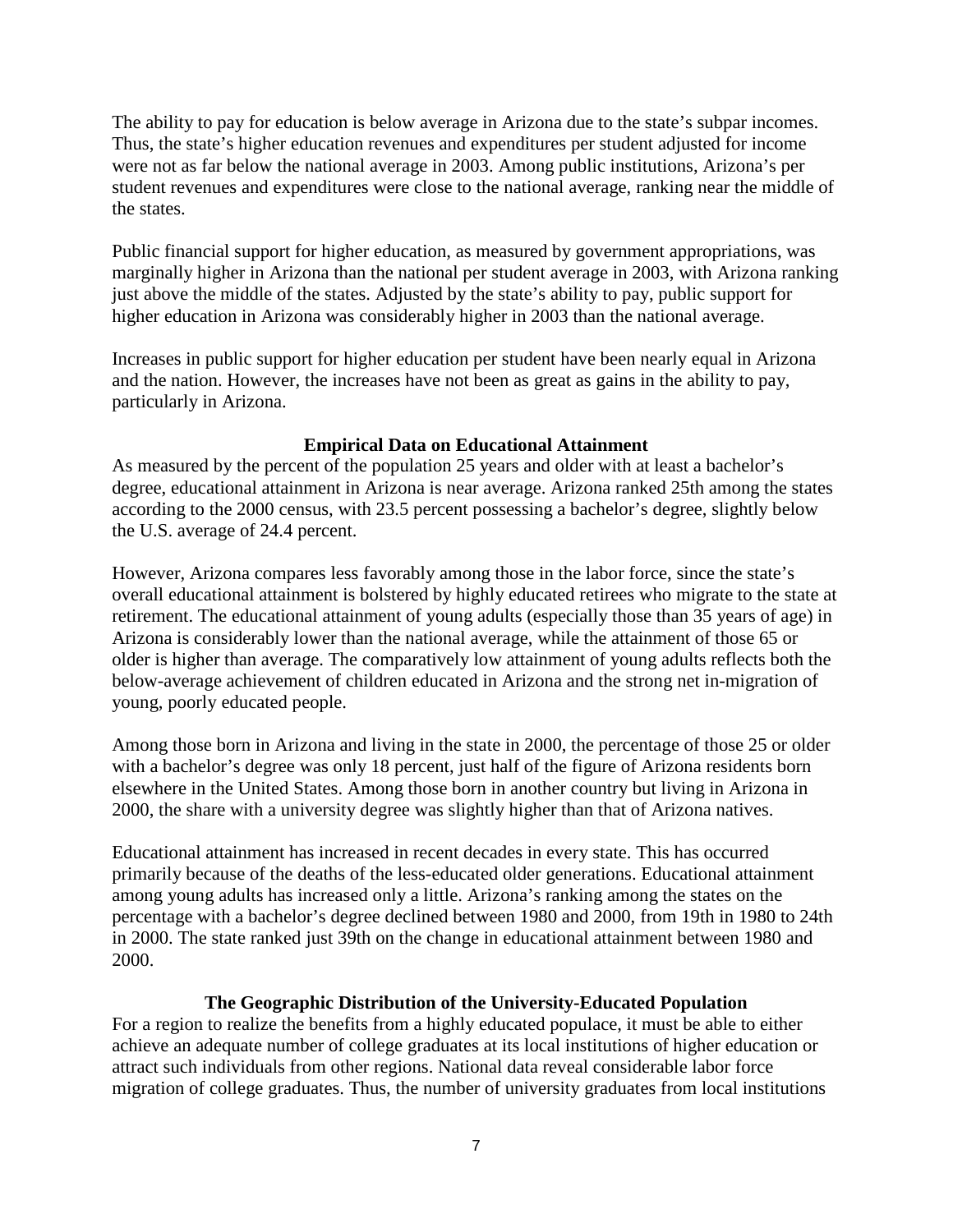The ability to pay for education is below average in Arizona due to the state's subpar incomes. Thus, the state's higher education revenues and expenditures per student adjusted for income were not as far below the national average in 2003. Among public institutions, Arizona's per student revenues and expenditures were close to the national average, ranking near the middle of the states.

Public financial support for higher education, as measured by government appropriations, was marginally higher in Arizona than the national per student average in 2003, with Arizona ranking just above the middle of the states. Adjusted by the state's ability to pay, public support for higher education in Arizona was considerably higher in 2003 than the national average.

Increases in public support for higher education per student have been nearly equal in Arizona and the nation. However, the increases have not been as great as gains in the ability to pay, particularly in Arizona.

#### **Empirical Data on Educational Attainment**

As measured by the percent of the population 25 years and older with at least a bachelor's degree, educational attainment in Arizona is near average. Arizona ranked 25th among the states according to the 2000 census, with 23.5 percent possessing a bachelor's degree, slightly below the U.S. average of 24.4 percent.

However, Arizona compares less favorably among those in the labor force, since the state's overall educational attainment is bolstered by highly educated retirees who migrate to the state at retirement. The educational attainment of young adults (especially those than 35 years of age) in Arizona is considerably lower than the national average, while the attainment of those 65 or older is higher than average. The comparatively low attainment of young adults reflects both the below-average achievement of children educated in Arizona and the strong net in-migration of young, poorly educated people.

Among those born in Arizona and living in the state in 2000, the percentage of those 25 or older with a bachelor's degree was only 18 percent, just half of the figure of Arizona residents born elsewhere in the United States. Among those born in another country but living in Arizona in 2000, the share with a university degree was slightly higher than that of Arizona natives.

Educational attainment has increased in recent decades in every state. This has occurred primarily because of the deaths of the less-educated older generations. Educational attainment among young adults has increased only a little. Arizona's ranking among the states on the percentage with a bachelor's degree declined between 1980 and 2000, from 19th in 1980 to 24th in 2000. The state ranked just 39th on the change in educational attainment between 1980 and 2000.

#### **The Geographic Distribution of the University-Educated Population**

For a region to realize the benefits from a highly educated populace, it must be able to either achieve an adequate number of college graduates at its local institutions of higher education or attract such individuals from other regions. National data reveal considerable labor force migration of college graduates. Thus, the number of university graduates from local institutions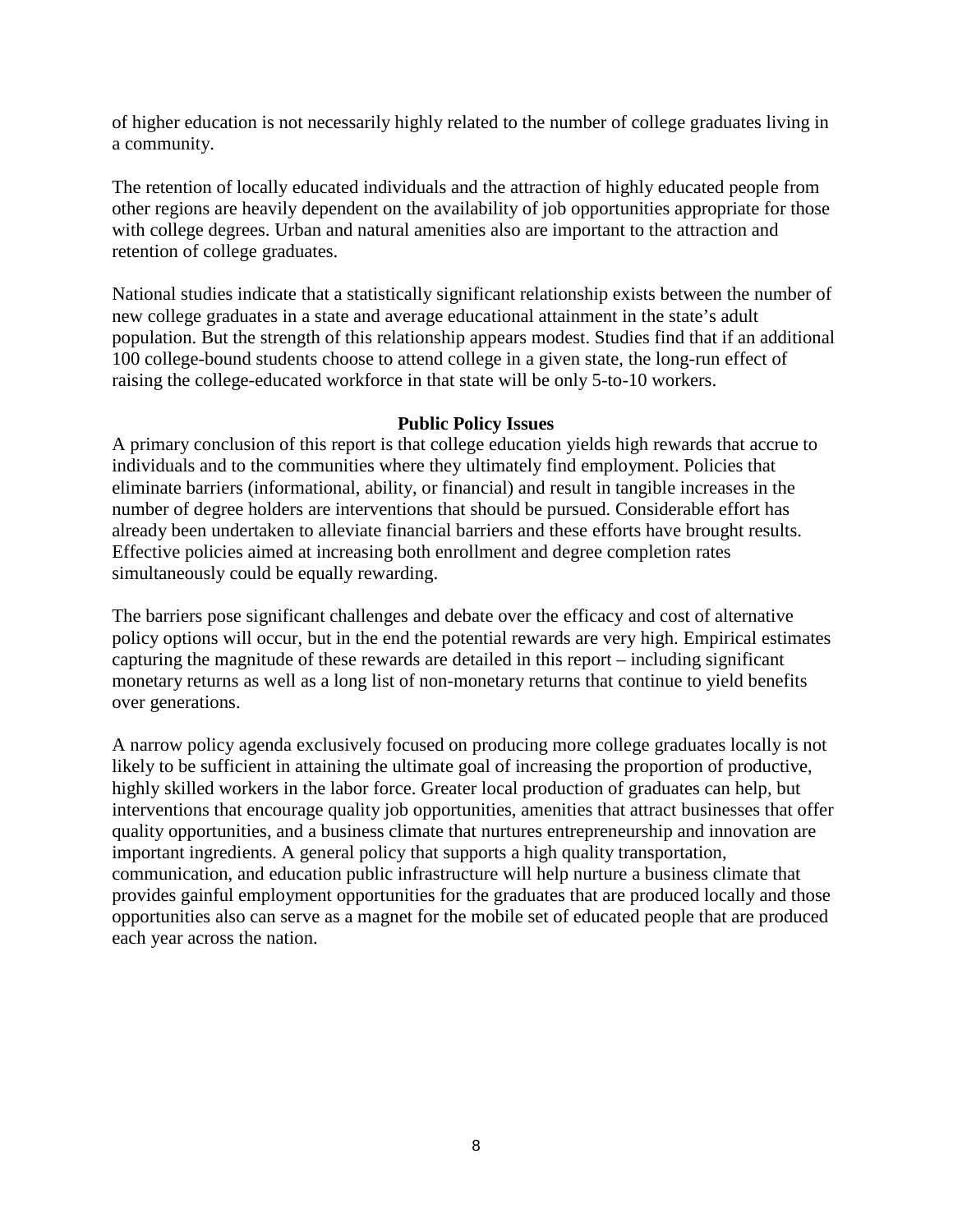of higher education is not necessarily highly related to the number of college graduates living in a community.

The retention of locally educated individuals and the attraction of highly educated people from other regions are heavily dependent on the availability of job opportunities appropriate for those with college degrees. Urban and natural amenities also are important to the attraction and retention of college graduates.

National studies indicate that a statistically significant relationship exists between the number of new college graduates in a state and average educational attainment in the state's adult population. But the strength of this relationship appears modest. Studies find that if an additional 100 college-bound students choose to attend college in a given state, the long-run effect of raising the college-educated workforce in that state will be only 5-to-10 workers.

#### **Public Policy Issues**

A primary conclusion of this report is that college education yields high rewards that accrue to individuals and to the communities where they ultimately find employment. Policies that eliminate barriers (informational, ability, or financial) and result in tangible increases in the number of degree holders are interventions that should be pursued. Considerable effort has already been undertaken to alleviate financial barriers and these efforts have brought results. Effective policies aimed at increasing both enrollment and degree completion rates simultaneously could be equally rewarding.

The barriers pose significant challenges and debate over the efficacy and cost of alternative policy options will occur, but in the end the potential rewards are very high. Empirical estimates capturing the magnitude of these rewards are detailed in this report – including significant monetary returns as well as a long list of non-monetary returns that continue to yield benefits over generations.

A narrow policy agenda exclusively focused on producing more college graduates locally is not likely to be sufficient in attaining the ultimate goal of increasing the proportion of productive, highly skilled workers in the labor force. Greater local production of graduates can help, but interventions that encourage quality job opportunities, amenities that attract businesses that offer quality opportunities, and a business climate that nurtures entrepreneurship and innovation are important ingredients. A general policy that supports a high quality transportation, communication, and education public infrastructure will help nurture a business climate that provides gainful employment opportunities for the graduates that are produced locally and those opportunities also can serve as a magnet for the mobile set of educated people that are produced each year across the nation.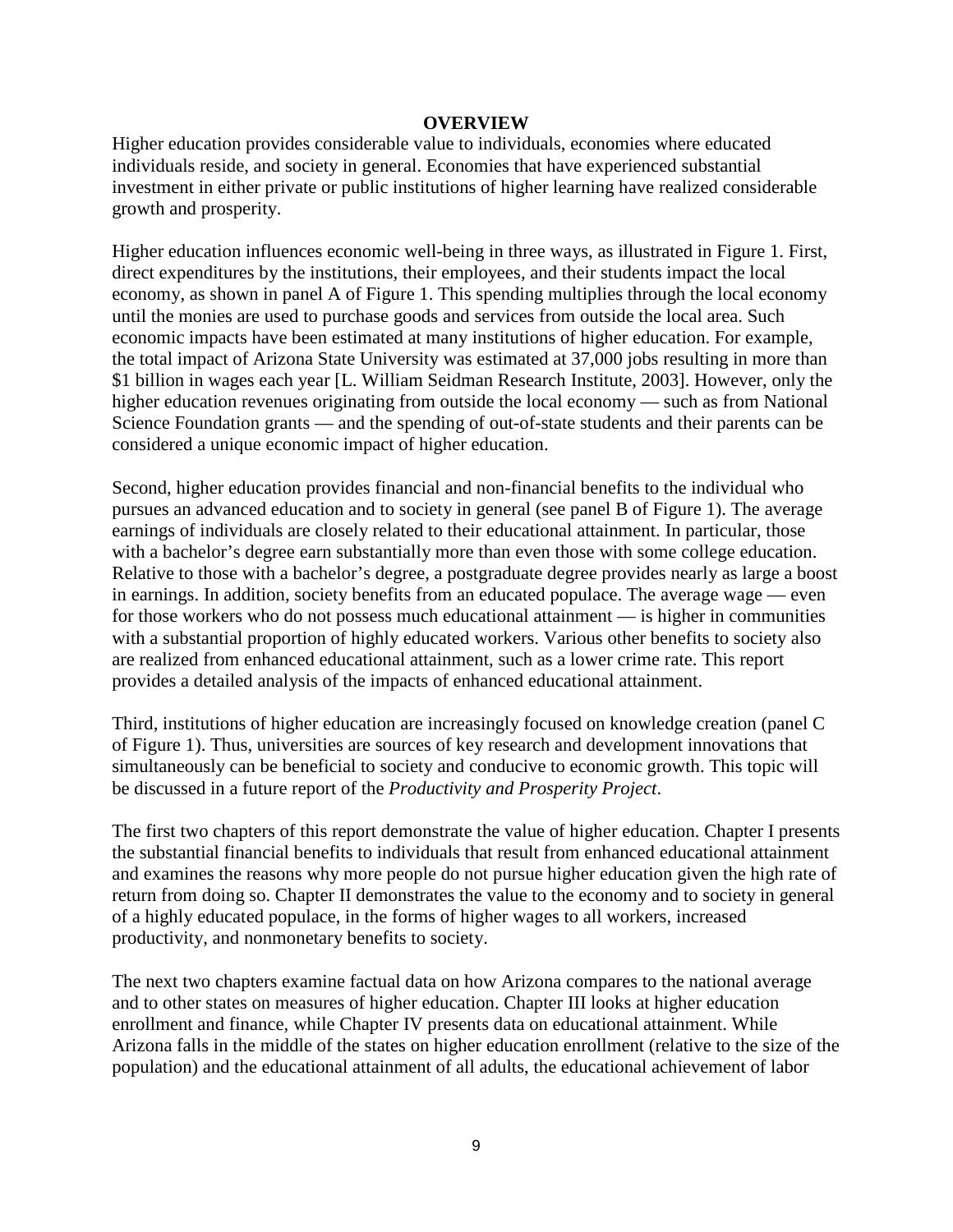#### **OVERVIEW**

Higher education provides considerable value to individuals, economies where educated individuals reside, and society in general. Economies that have experienced substantial investment in either private or public institutions of higher learning have realized considerable growth and prosperity.

Higher education influences economic well-being in three ways, as illustrated in Figure 1. First, direct expenditures by the institutions, their employees, and their students impact the local economy, as shown in panel A of Figure 1. This spending multiplies through the local economy until the monies are used to purchase goods and services from outside the local area. Such economic impacts have been estimated at many institutions of higher education. For example, the total impact of Arizona State University was estimated at 37,000 jobs resulting in more than \$1 billion in wages each year [L. William Seidman Research Institute, 2003]. However, only the higher education revenues originating from outside the local economy — such as from National Science Foundation grants — and the spending of out-of-state students and their parents can be considered a unique economic impact of higher education.

Second, higher education provides financial and non-financial benefits to the individual who pursues an advanced education and to society in general (see panel B of Figure 1). The average earnings of individuals are closely related to their educational attainment. In particular, those with a bachelor's degree earn substantially more than even those with some college education. Relative to those with a bachelor's degree, a postgraduate degree provides nearly as large a boost in earnings. In addition, society benefits from an educated populace. The average wage — even for those workers who do not possess much educational attainment — is higher in communities with a substantial proportion of highly educated workers. Various other benefits to society also are realized from enhanced educational attainment, such as a lower crime rate. This report provides a detailed analysis of the impacts of enhanced educational attainment.

Third, institutions of higher education are increasingly focused on knowledge creation (panel C of Figure 1). Thus, universities are sources of key research and development innovations that simultaneously can be beneficial to society and conducive to economic growth. This topic will be discussed in a future report of the *Productivity and Prosperity Project*.

The first two chapters of this report demonstrate the value of higher education. Chapter I presents the substantial financial benefits to individuals that result from enhanced educational attainment and examines the reasons why more people do not pursue higher education given the high rate of return from doing so. Chapter II demonstrates the value to the economy and to society in general of a highly educated populace, in the forms of higher wages to all workers, increased productivity, and nonmonetary benefits to society.

The next two chapters examine factual data on how Arizona compares to the national average and to other states on measures of higher education. Chapter III looks at higher education enrollment and finance, while Chapter IV presents data on educational attainment. While Arizona falls in the middle of the states on higher education enrollment (relative to the size of the population) and the educational attainment of all adults, the educational achievement of labor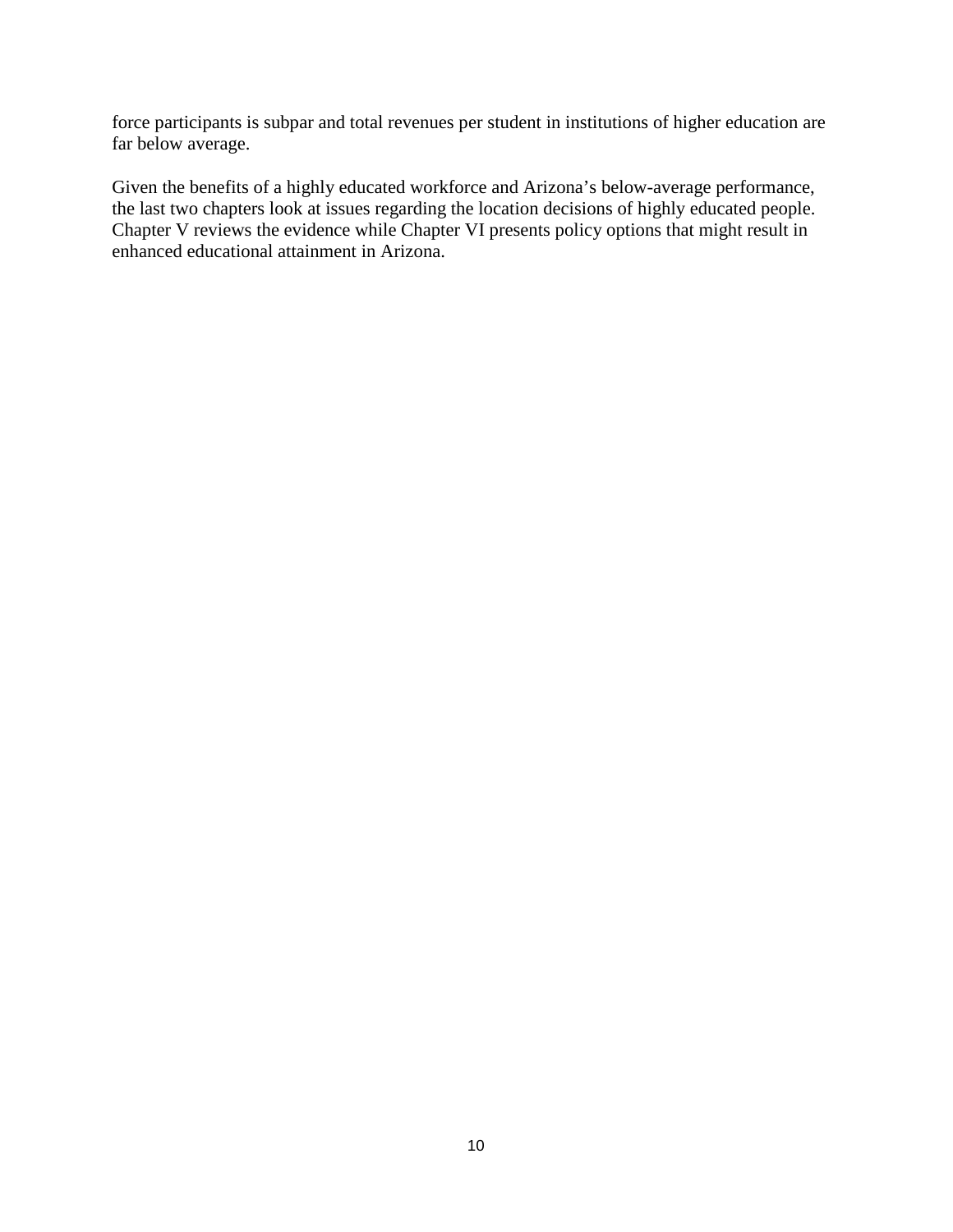force participants is subpar and total revenues per student in institutions of higher education are far below average.

Given the benefits of a highly educated workforce and Arizona's below-average performance, the last two chapters look at issues regarding the location decisions of highly educated people. Chapter V reviews the evidence while Chapter VI presents policy options that might result in enhanced educational attainment in Arizona.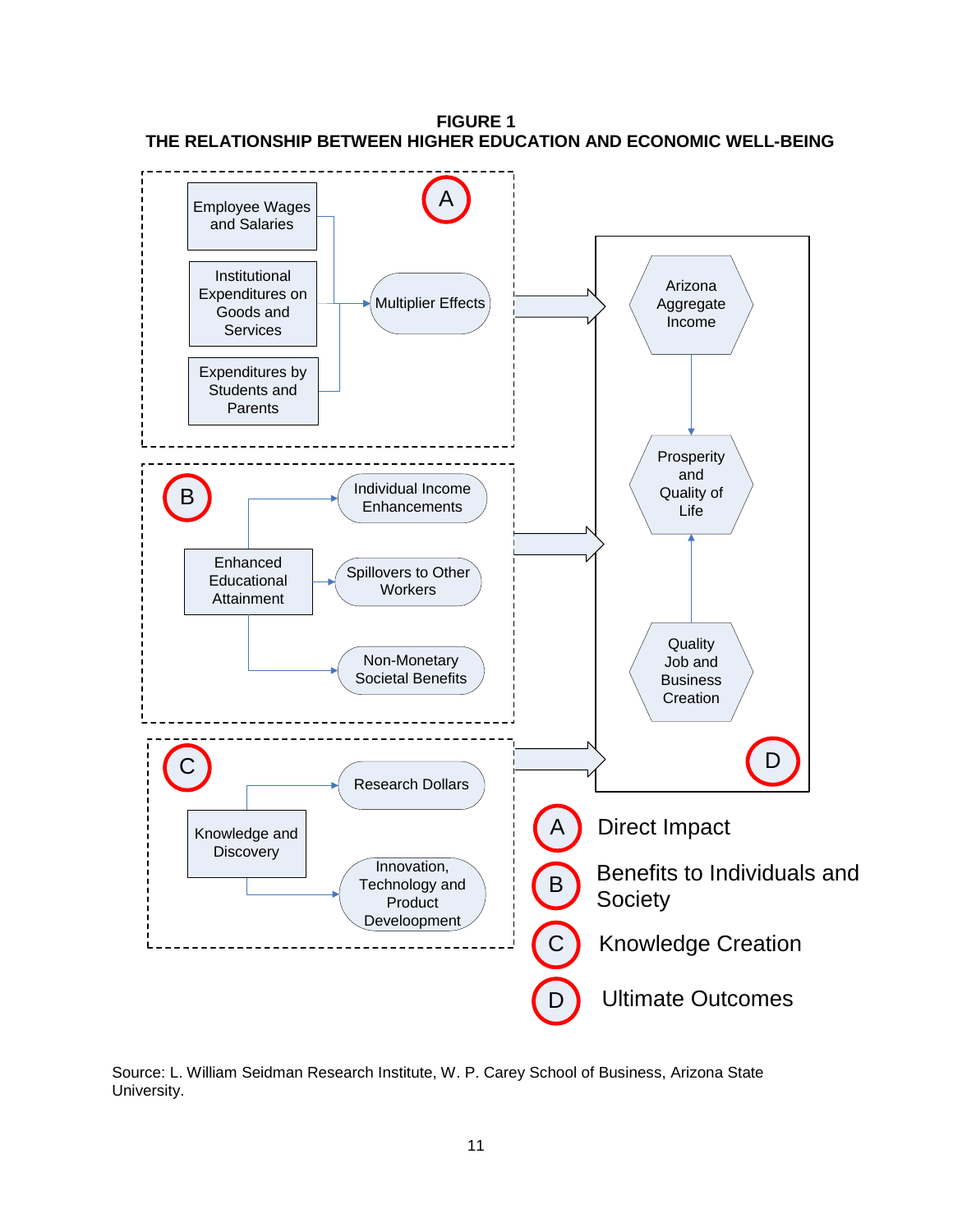

**FIGURE 1 THE RELATIONSHIP BETWEEN HIGHER EDUCATION AND ECONOMIC WELL-BEING**

Source: L. William Seidman Research Institute, W. P. Carey School of Business, Arizona State University.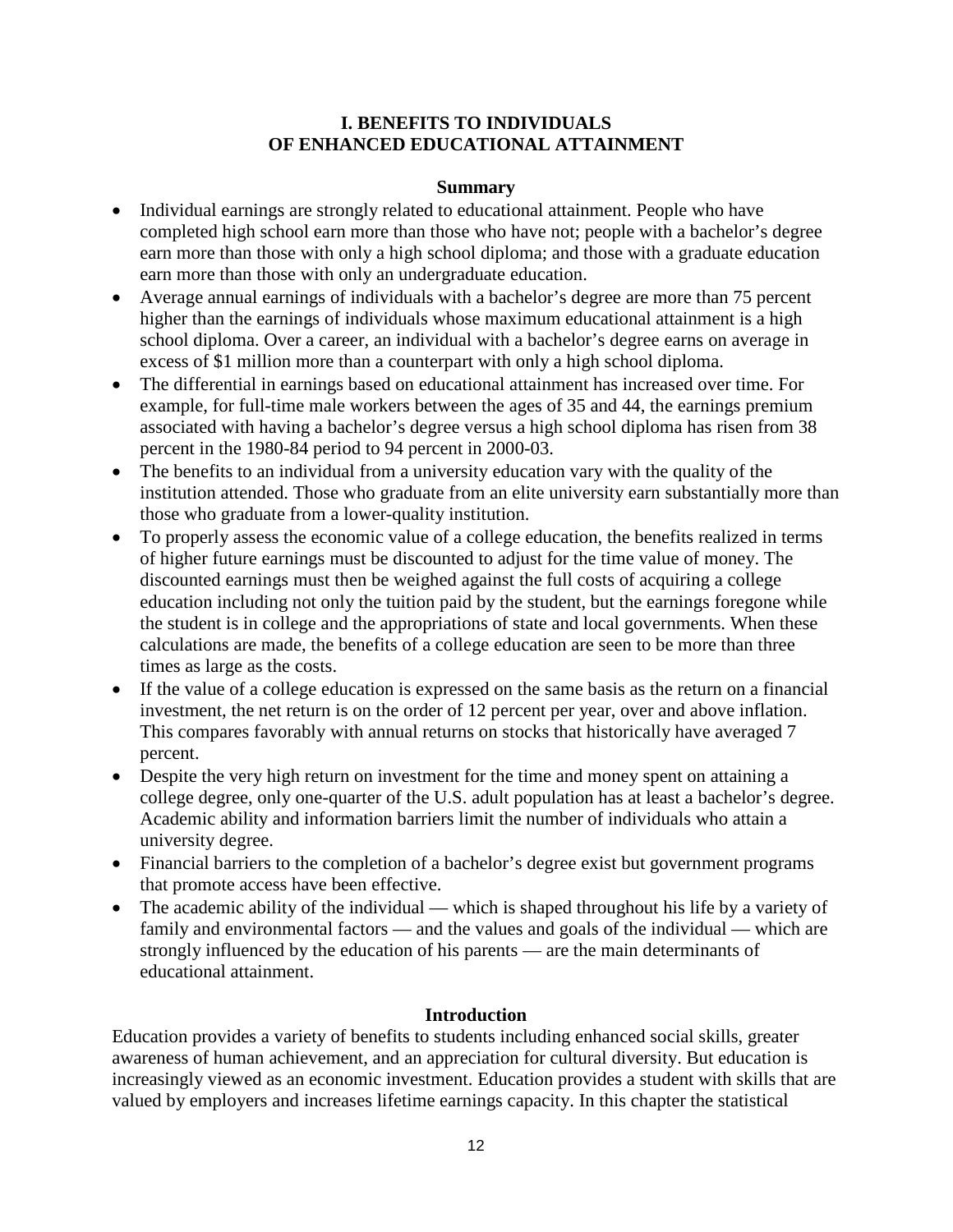#### **I. BENEFITS TO INDIVIDUALS OF ENHANCED EDUCATIONAL ATTAINMENT**

#### **Summary**

- Individual earnings are strongly related to educational attainment. People who have completed high school earn more than those who have not; people with a bachelor's degree earn more than those with only a high school diploma; and those with a graduate education earn more than those with only an undergraduate education.
- Average annual earnings of individuals with a bachelor's degree are more than 75 percent higher than the earnings of individuals whose maximum educational attainment is a high school diploma. Over a career, an individual with a bachelor's degree earns on average in excess of \$1 million more than a counterpart with only a high school diploma.
- The differential in earnings based on educational attainment has increased over time. For example, for full-time male workers between the ages of 35 and 44, the earnings premium associated with having a bachelor's degree versus a high school diploma has risen from 38 percent in the 1980-84 period to 94 percent in 2000-03.
- The benefits to an individual from a university education vary with the quality of the institution attended. Those who graduate from an elite university earn substantially more than those who graduate from a lower-quality institution.
- To properly assess the economic value of a college education, the benefits realized in terms of higher future earnings must be discounted to adjust for the time value of money. The discounted earnings must then be weighed against the full costs of acquiring a college education including not only the tuition paid by the student, but the earnings foregone while the student is in college and the appropriations of state and local governments. When these calculations are made, the benefits of a college education are seen to be more than three times as large as the costs.
- If the value of a college education is expressed on the same basis as the return on a financial investment, the net return is on the order of 12 percent per year, over and above inflation. This compares favorably with annual returns on stocks that historically have averaged 7 percent.
- Despite the very high return on investment for the time and money spent on attaining a college degree, only one-quarter of the U.S. adult population has at least a bachelor's degree. Academic ability and information barriers limit the number of individuals who attain a university degree.
- Financial barriers to the completion of a bachelor's degree exist but government programs that promote access have been effective.
- The academic ability of the individual which is shaped throughout his life by a variety of family and environmental factors — and the values and goals of the individual — which are strongly influenced by the education of his parents — are the main determinants of educational attainment.

## **Introduction**

Education provides a variety of benefits to students including enhanced social skills, greater awareness of human achievement, and an appreciation for cultural diversity. But education is increasingly viewed as an economic investment. Education provides a student with skills that are valued by employers and increases lifetime earnings capacity. In this chapter the statistical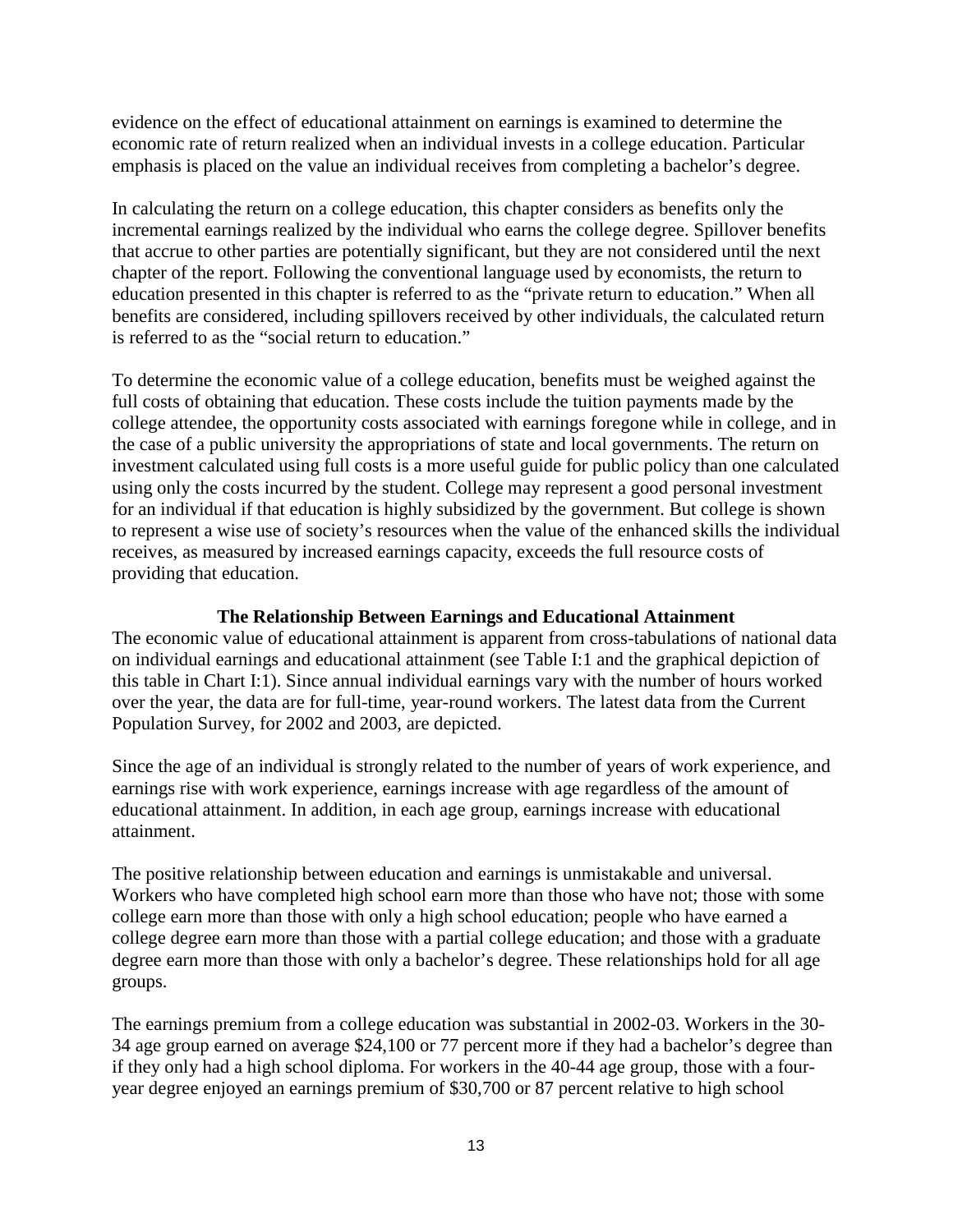evidence on the effect of educational attainment on earnings is examined to determine the economic rate of return realized when an individual invests in a college education. Particular emphasis is placed on the value an individual receives from completing a bachelor's degree.

In calculating the return on a college education, this chapter considers as benefits only the incremental earnings realized by the individual who earns the college degree. Spillover benefits that accrue to other parties are potentially significant, but they are not considered until the next chapter of the report. Following the conventional language used by economists, the return to education presented in this chapter is referred to as the "private return to education." When all benefits are considered, including spillovers received by other individuals, the calculated return is referred to as the "social return to education."

To determine the economic value of a college education, benefits must be weighed against the full costs of obtaining that education. These costs include the tuition payments made by the college attendee, the opportunity costs associated with earnings foregone while in college, and in the case of a public university the appropriations of state and local governments. The return on investment calculated using full costs is a more useful guide for public policy than one calculated using only the costs incurred by the student. College may represent a good personal investment for an individual if that education is highly subsidized by the government. But college is shown to represent a wise use of society's resources when the value of the enhanced skills the individual receives, as measured by increased earnings capacity, exceeds the full resource costs of providing that education.

#### **The Relationship Between Earnings and Educational Attainment**

The economic value of educational attainment is apparent from cross-tabulations of national data on individual earnings and educational attainment (see Table I:1 and the graphical depiction of this table in Chart I:1). Since annual individual earnings vary with the number of hours worked over the year, the data are for full-time, year-round workers. The latest data from the Current Population Survey, for 2002 and 2003, are depicted.

Since the age of an individual is strongly related to the number of years of work experience, and earnings rise with work experience, earnings increase with age regardless of the amount of educational attainment. In addition, in each age group, earnings increase with educational attainment.

The positive relationship between education and earnings is unmistakable and universal. Workers who have completed high school earn more than those who have not; those with some college earn more than those with only a high school education; people who have earned a college degree earn more than those with a partial college education; and those with a graduate degree earn more than those with only a bachelor's degree. These relationships hold for all age groups.

The earnings premium from a college education was substantial in 2002-03. Workers in the 30- 34 age group earned on average \$24,100 or 77 percent more if they had a bachelor's degree than if they only had a high school diploma. For workers in the 40-44 age group, those with a fouryear degree enjoyed an earnings premium of \$30,700 or 87 percent relative to high school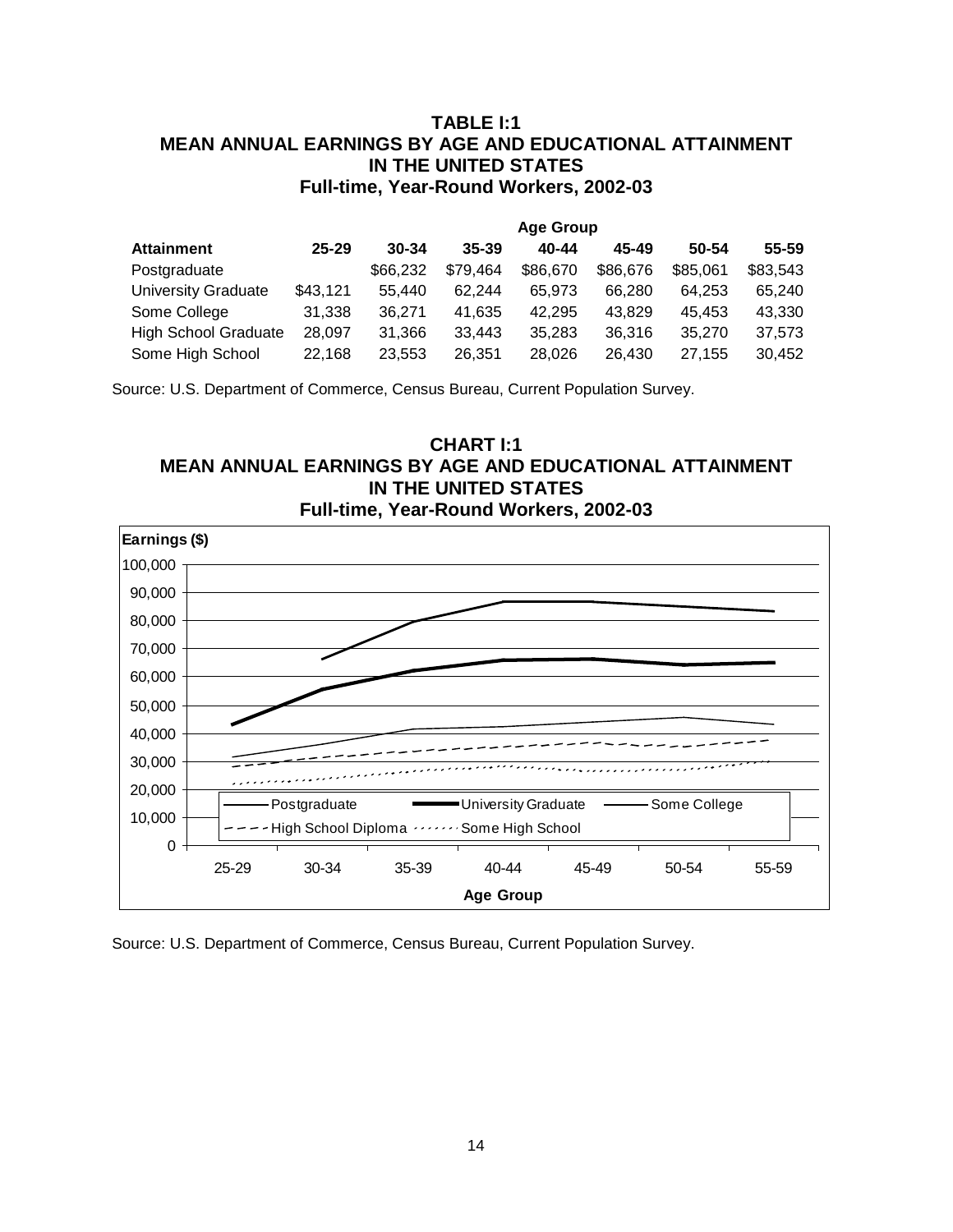## **TABLE I:1 MEAN ANNUAL EARNINGS BY AGE AND EDUCATIONAL ATTAINMENT IN THE UNITED STATES Full-time, Year-Round Workers, 2002-03**

|                             |           |           |           | <b>Age Group</b> |          |          |           |
|-----------------------------|-----------|-----------|-----------|------------------|----------|----------|-----------|
| <b>Attainment</b>           | $25 - 29$ | $30 - 34$ | $35 - 39$ | 40-44            | 45-49    | 50-54    | $55 - 59$ |
| Postgraduate                |           | \$66,232  | \$79,464  | \$86,670         | \$86,676 | \$85,061 | \$83,543  |
| University Graduate         | \$43,121  | 55.440    | 62.244    | 65.973           | 66.280   | 64.253   | 65,240    |
| Some College                | 31,338    | 36.271    | 41.635    | 42.295           | 43.829   | 45.453   | 43,330    |
| <b>High School Graduate</b> | 28,097    | 31.366    | 33.443    | 35.283           | 36,316   | 35,270   | 37,573    |
| Some High School            | 22,168    | 23,553    | 26.351    | 28,026           | 26,430   | 27.155   | 30,452    |

Source: U.S. Department of Commerce, Census Bureau, Current Population Survey.





Source: U.S. Department of Commerce, Census Bureau, Current Population Survey.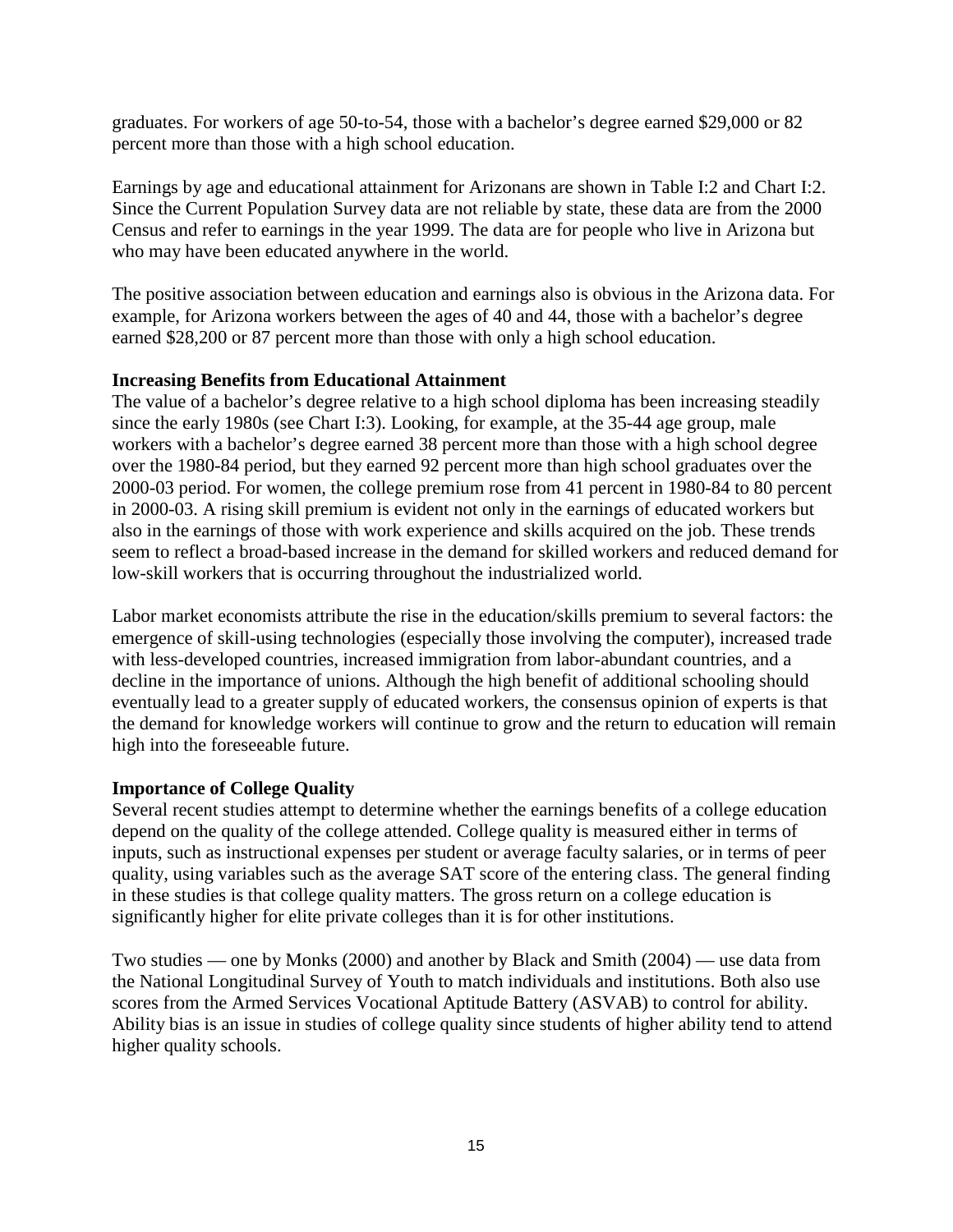graduates. For workers of age 50-to-54, those with a bachelor's degree earned \$29,000 or 82 percent more than those with a high school education.

Earnings by age and educational attainment for Arizonans are shown in Table I:2 and Chart I:2. Since the Current Population Survey data are not reliable by state, these data are from the 2000 Census and refer to earnings in the year 1999. The data are for people who live in Arizona but who may have been educated anywhere in the world.

The positive association between education and earnings also is obvious in the Arizona data. For example, for Arizona workers between the ages of 40 and 44, those with a bachelor's degree earned \$28,200 or 87 percent more than those with only a high school education.

#### **Increasing Benefits from Educational Attainment**

The value of a bachelor's degree relative to a high school diploma has been increasing steadily since the early 1980s (see Chart I:3). Looking, for example, at the 35-44 age group, male workers with a bachelor's degree earned 38 percent more than those with a high school degree over the 1980-84 period, but they earned 92 percent more than high school graduates over the 2000-03 period. For women, the college premium rose from 41 percent in 1980-84 to 80 percent in 2000-03. A rising skill premium is evident not only in the earnings of educated workers but also in the earnings of those with work experience and skills acquired on the job. These trends seem to reflect a broad-based increase in the demand for skilled workers and reduced demand for low-skill workers that is occurring throughout the industrialized world.

Labor market economists attribute the rise in the education/skills premium to several factors: the emergence of skill-using technologies (especially those involving the computer), increased trade with less-developed countries, increased immigration from labor-abundant countries, and a decline in the importance of unions. Although the high benefit of additional schooling should eventually lead to a greater supply of educated workers, the consensus opinion of experts is that the demand for knowledge workers will continue to grow and the return to education will remain high into the foreseeable future.

#### **Importance of College Quality**

Several recent studies attempt to determine whether the earnings benefits of a college education depend on the quality of the college attended. College quality is measured either in terms of inputs, such as instructional expenses per student or average faculty salaries, or in terms of peer quality, using variables such as the average SAT score of the entering class. The general finding in these studies is that college quality matters. The gross return on a college education is significantly higher for elite private colleges than it is for other institutions.

Two studies — one by Monks (2000) and another by Black and Smith (2004) — use data from the National Longitudinal Survey of Youth to match individuals and institutions. Both also use scores from the Armed Services Vocational Aptitude Battery (ASVAB) to control for ability. Ability bias is an issue in studies of college quality since students of higher ability tend to attend higher quality schools.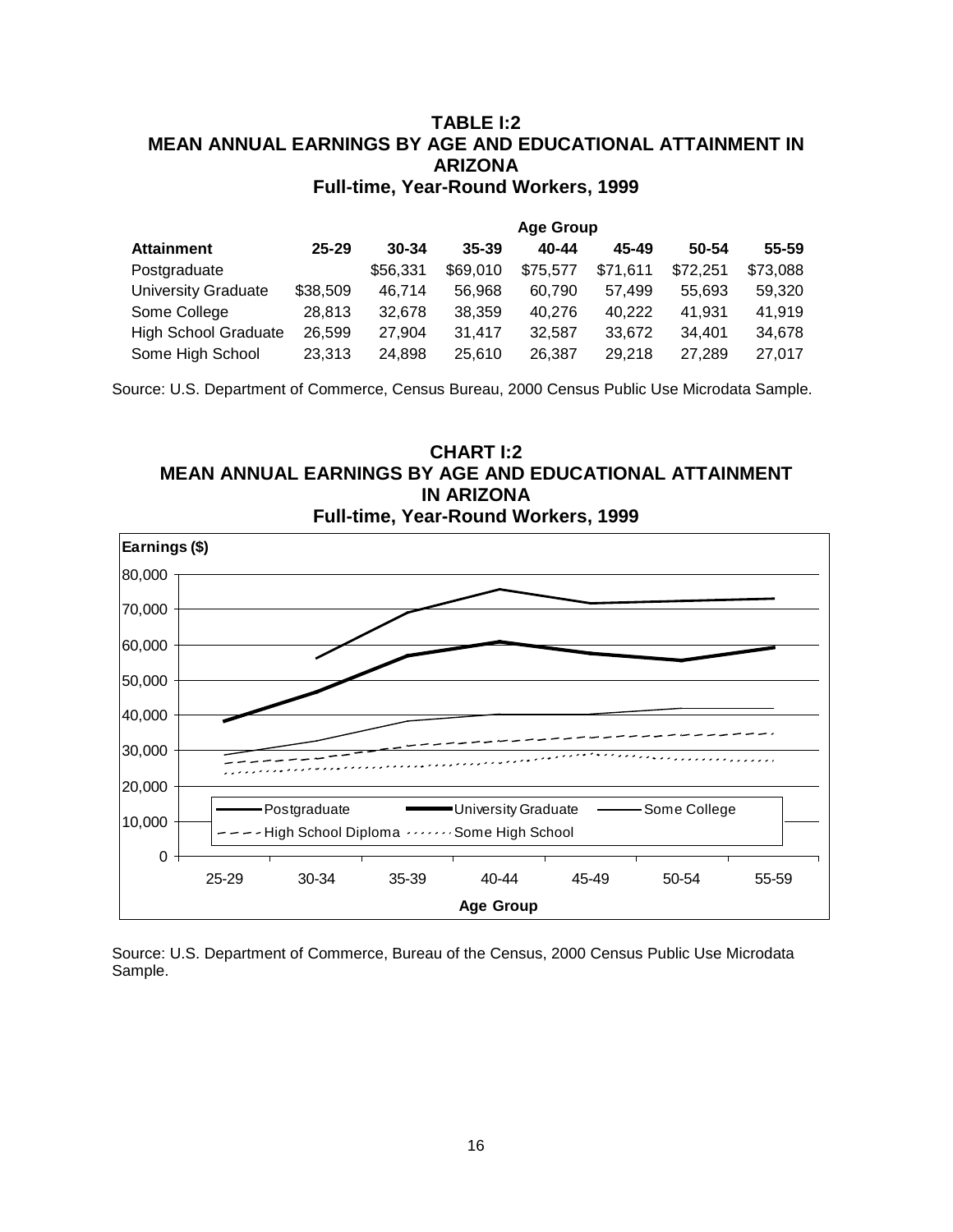## **TABLE I:2 MEAN ANNUAL EARNINGS BY AGE AND EDUCATIONAL ATTAINMENT IN ARIZONA Full-time, Year-Round Workers, 1999**

|                             |           |           |           | <b>Age Group</b> |          |          |          |
|-----------------------------|-----------|-----------|-----------|------------------|----------|----------|----------|
| <b>Attainment</b>           | $25 - 29$ | $30 - 34$ | $35 - 39$ | 40-44            | 45-49    | 50-54    | 55-59    |
| Postgraduate                |           | \$56,331  | \$69,010  | \$75,577         | \$71,611 | \$72,251 | \$73,088 |
| <b>University Graduate</b>  | \$38,509  | 46.714    | 56.968    | 60.790           | 57.499   | 55.693   | 59,320   |
| Some College                | 28,813    | 32,678    | 38,359    | 40.276           | 40.222   | 41,931   | 41,919   |
| <b>High School Graduate</b> | 26,599    | 27.904    | 31,417    | 32.587           | 33.672   | 34,401   | 34,678   |
| Some High School            | 23,313    | 24,898    | 25,610    | 26,387           | 29,218   | 27,289   | 27,017   |

Source: U.S. Department of Commerce, Census Bureau, 2000 Census Public Use Microdata Sample.





Source: U.S. Department of Commerce, Bureau of the Census, 2000 Census Public Use Microdata Sample.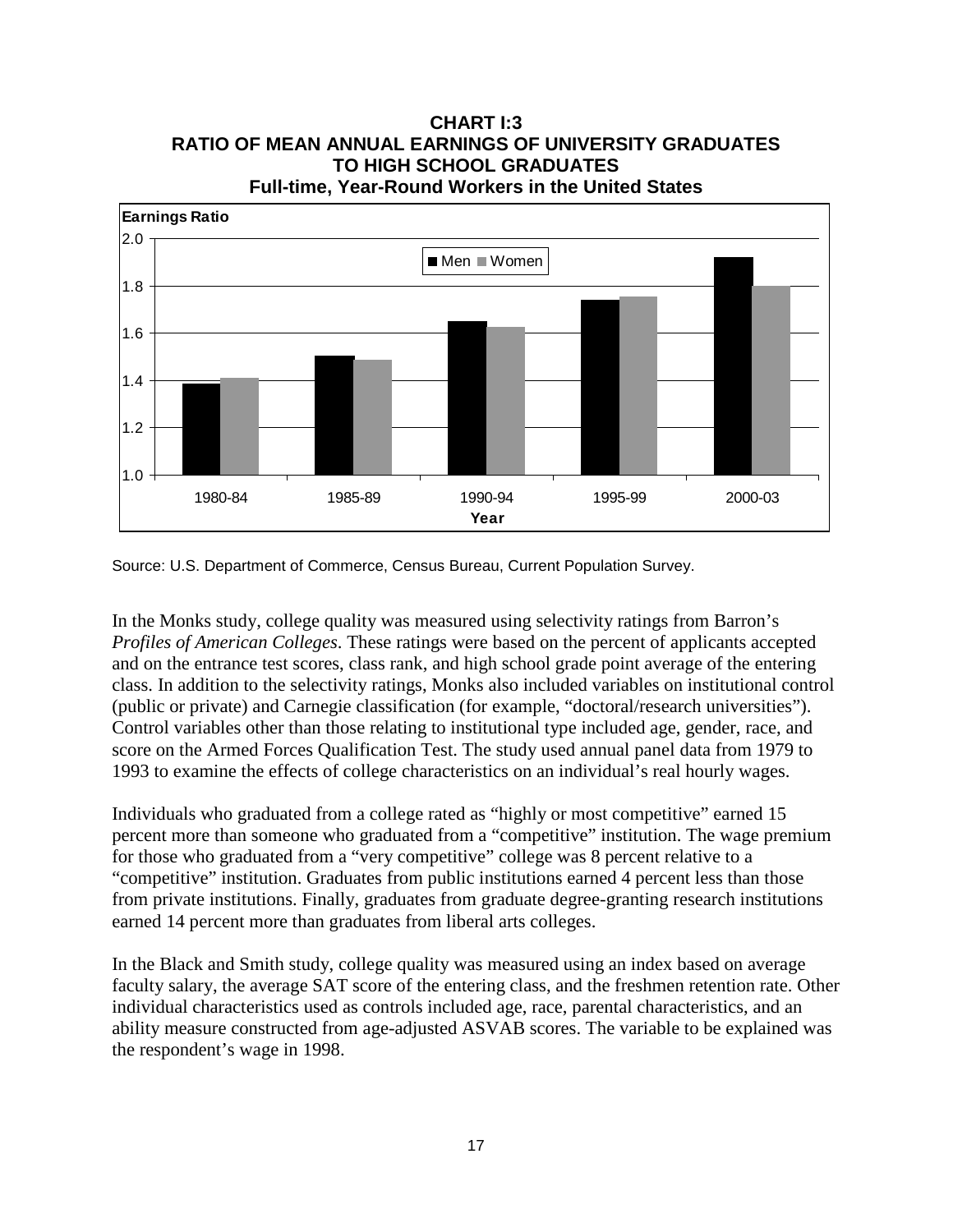## **CHART I:3 RATIO OF MEAN ANNUAL EARNINGS OF UNIVERSITY GRADUATES TO HIGH SCHOOL GRADUATES Full-time, Year-Round Workers in the United States**



Source: U.S. Department of Commerce, Census Bureau, Current Population Survey.

In the Monks study, college quality was measured using selectivity ratings from Barron's *Profiles of American Colleges*. These ratings were based on the percent of applicants accepted and on the entrance test scores, class rank, and high school grade point average of the entering class. In addition to the selectivity ratings, Monks also included variables on institutional control (public or private) and Carnegie classification (for example, "doctoral/research universities"). Control variables other than those relating to institutional type included age, gender, race, and score on the Armed Forces Qualification Test. The study used annual panel data from 1979 to 1993 to examine the effects of college characteristics on an individual's real hourly wages.

Individuals who graduated from a college rated as "highly or most competitive" earned 15 percent more than someone who graduated from a "competitive" institution. The wage premium for those who graduated from a "very competitive" college was 8 percent relative to a "competitive" institution. Graduates from public institutions earned 4 percent less than those from private institutions. Finally, graduates from graduate degree-granting research institutions earned 14 percent more than graduates from liberal arts colleges.

In the Black and Smith study, college quality was measured using an index based on average faculty salary, the average SAT score of the entering class, and the freshmen retention rate. Other individual characteristics used as controls included age, race, parental characteristics, and an ability measure constructed from age-adjusted ASVAB scores. The variable to be explained was the respondent's wage in 1998.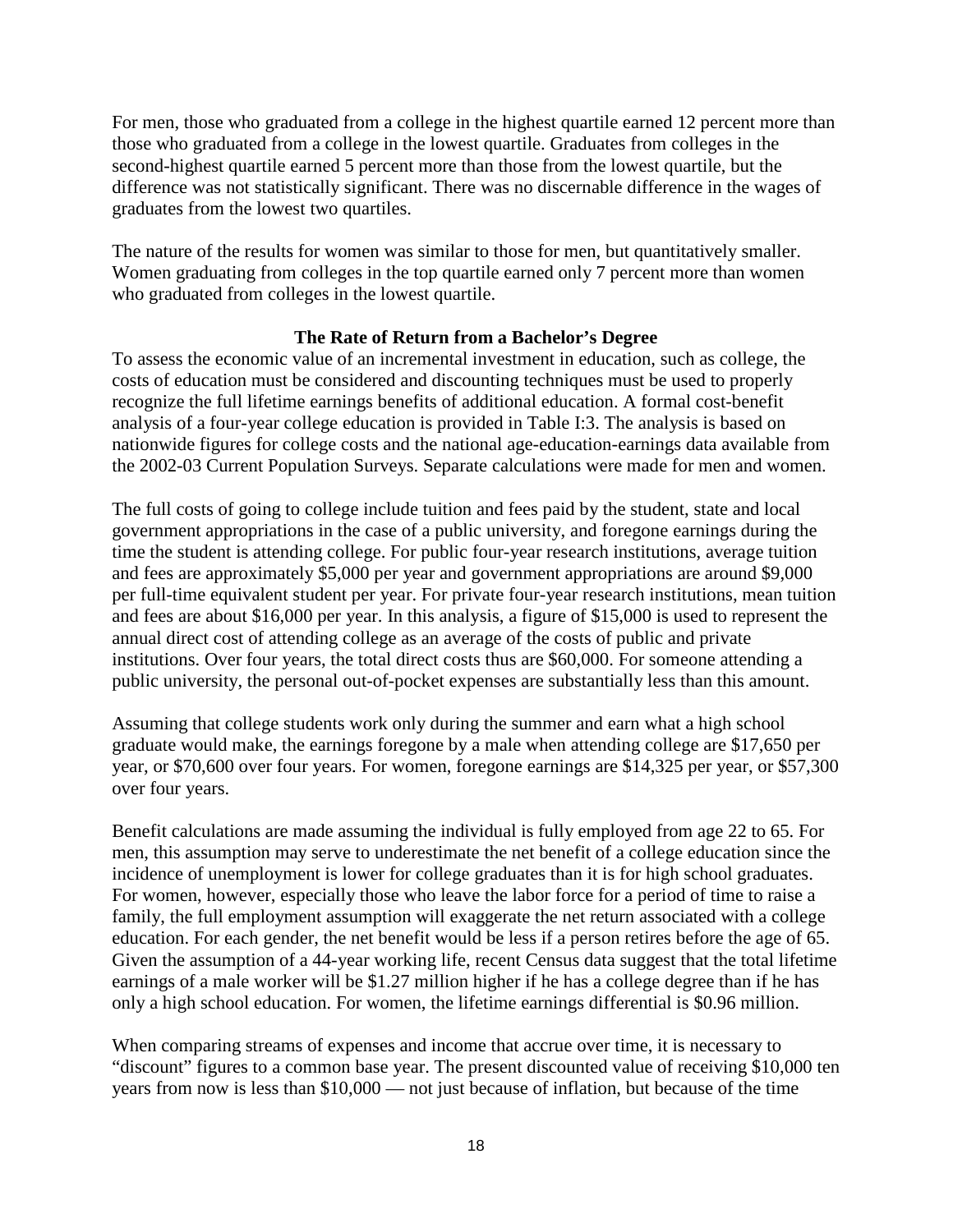For men, those who graduated from a college in the highest quartile earned 12 percent more than those who graduated from a college in the lowest quartile. Graduates from colleges in the second-highest quartile earned 5 percent more than those from the lowest quartile, but the difference was not statistically significant. There was no discernable difference in the wages of graduates from the lowest two quartiles.

The nature of the results for women was similar to those for men, but quantitatively smaller. Women graduating from colleges in the top quartile earned only 7 percent more than women who graduated from colleges in the lowest quartile.

#### **The Rate of Return from a Bachelor's Degree**

To assess the economic value of an incremental investment in education, such as college, the costs of education must be considered and discounting techniques must be used to properly recognize the full lifetime earnings benefits of additional education. A formal cost-benefit analysis of a four-year college education is provided in Table I:3. The analysis is based on nationwide figures for college costs and the national age-education-earnings data available from the 2002-03 Current Population Surveys. Separate calculations were made for men and women.

The full costs of going to college include tuition and fees paid by the student, state and local government appropriations in the case of a public university, and foregone earnings during the time the student is attending college. For public four-year research institutions, average tuition and fees are approximately \$5,000 per year and government appropriations are around \$9,000 per full-time equivalent student per year. For private four-year research institutions, mean tuition and fees are about \$16,000 per year. In this analysis, a figure of \$15,000 is used to represent the annual direct cost of attending college as an average of the costs of public and private institutions. Over four years, the total direct costs thus are \$60,000. For someone attending a public university, the personal out-of-pocket expenses are substantially less than this amount.

Assuming that college students work only during the summer and earn what a high school graduate would make, the earnings foregone by a male when attending college are \$17,650 per year, or \$70,600 over four years. For women, foregone earnings are \$14,325 per year, or \$57,300 over four years.

Benefit calculations are made assuming the individual is fully employed from age 22 to 65. For men, this assumption may serve to underestimate the net benefit of a college education since the incidence of unemployment is lower for college graduates than it is for high school graduates. For women, however, especially those who leave the labor force for a period of time to raise a family, the full employment assumption will exaggerate the net return associated with a college education. For each gender, the net benefit would be less if a person retires before the age of 65. Given the assumption of a 44-year working life, recent Census data suggest that the total lifetime earnings of a male worker will be \$1.27 million higher if he has a college degree than if he has only a high school education. For women, the lifetime earnings differential is \$0.96 million.

When comparing streams of expenses and income that accrue over time, it is necessary to "discount" figures to a common base year. The present discounted value of receiving \$10,000 ten years from now is less than \$10,000 — not just because of inflation, but because of the time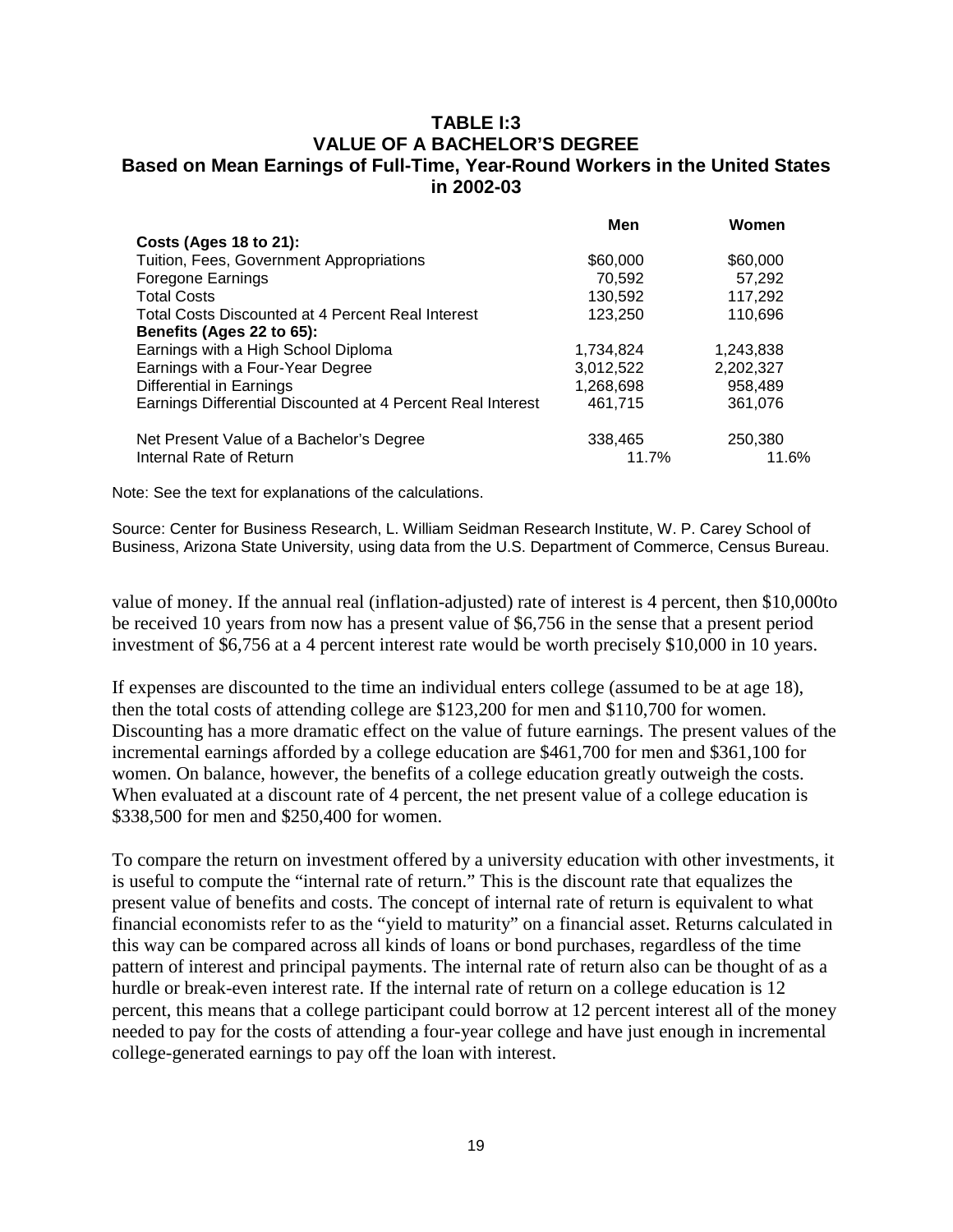#### **TABLE I:3 VALUE OF A BACHELOR'S DEGREE Based on Mean Earnings of Full-Time, Year-Round Workers in the United States in 2002-03**

|                                                             | Men       | Women     |
|-------------------------------------------------------------|-----------|-----------|
| Costs (Ages 18 to 21):                                      |           |           |
| Tuition, Fees, Government Appropriations                    | \$60,000  | \$60,000  |
| Foregone Earnings                                           | 70,592    | 57,292    |
| <b>Total Costs</b>                                          | 130,592   | 117,292   |
| Total Costs Discounted at 4 Percent Real Interest           | 123,250   | 110,696   |
| Benefits (Ages 22 to 65):                                   |           |           |
| Earnings with a High School Diploma                         | 1,734,824 | 1,243,838 |
| Earnings with a Four-Year Degree                            | 3,012,522 | 2,202,327 |
| Differential in Earnings                                    | 1,268,698 | 958,489   |
| Earnings Differential Discounted at 4 Percent Real Interest | 461.715   | 361,076   |
| Net Present Value of a Bachelor's Degree                    | 338,465   | 250,380   |
| Internal Rate of Return                                     | 11.7%     | 11.6%     |

Note: See the text for explanations of the calculations.

Source: Center for Business Research, L. William Seidman Research Institute, W. P. Carey School of Business, Arizona State University, using data from the U.S. Department of Commerce, Census Bureau.

value of money. If the annual real (inflation-adjusted) rate of interest is 4 percent, then \$10,000to be received 10 years from now has a present value of \$6,756 in the sense that a present period investment of \$6,756 at a 4 percent interest rate would be worth precisely \$10,000 in 10 years.

If expenses are discounted to the time an individual enters college (assumed to be at age 18), then the total costs of attending college are \$123,200 for men and \$110,700 for women. Discounting has a more dramatic effect on the value of future earnings. The present values of the incremental earnings afforded by a college education are \$461,700 for men and \$361,100 for women. On balance, however, the benefits of a college education greatly outweigh the costs. When evaluated at a discount rate of 4 percent, the net present value of a college education is \$338,500 for men and \$250,400 for women.

To compare the return on investment offered by a university education with other investments, it is useful to compute the "internal rate of return." This is the discount rate that equalizes the present value of benefits and costs. The concept of internal rate of return is equivalent to what financial economists refer to as the "yield to maturity" on a financial asset. Returns calculated in this way can be compared across all kinds of loans or bond purchases, regardless of the time pattern of interest and principal payments. The internal rate of return also can be thought of as a hurdle or break-even interest rate. If the internal rate of return on a college education is 12 percent, this means that a college participant could borrow at 12 percent interest all of the money needed to pay for the costs of attending a four-year college and have just enough in incremental college-generated earnings to pay off the loan with interest.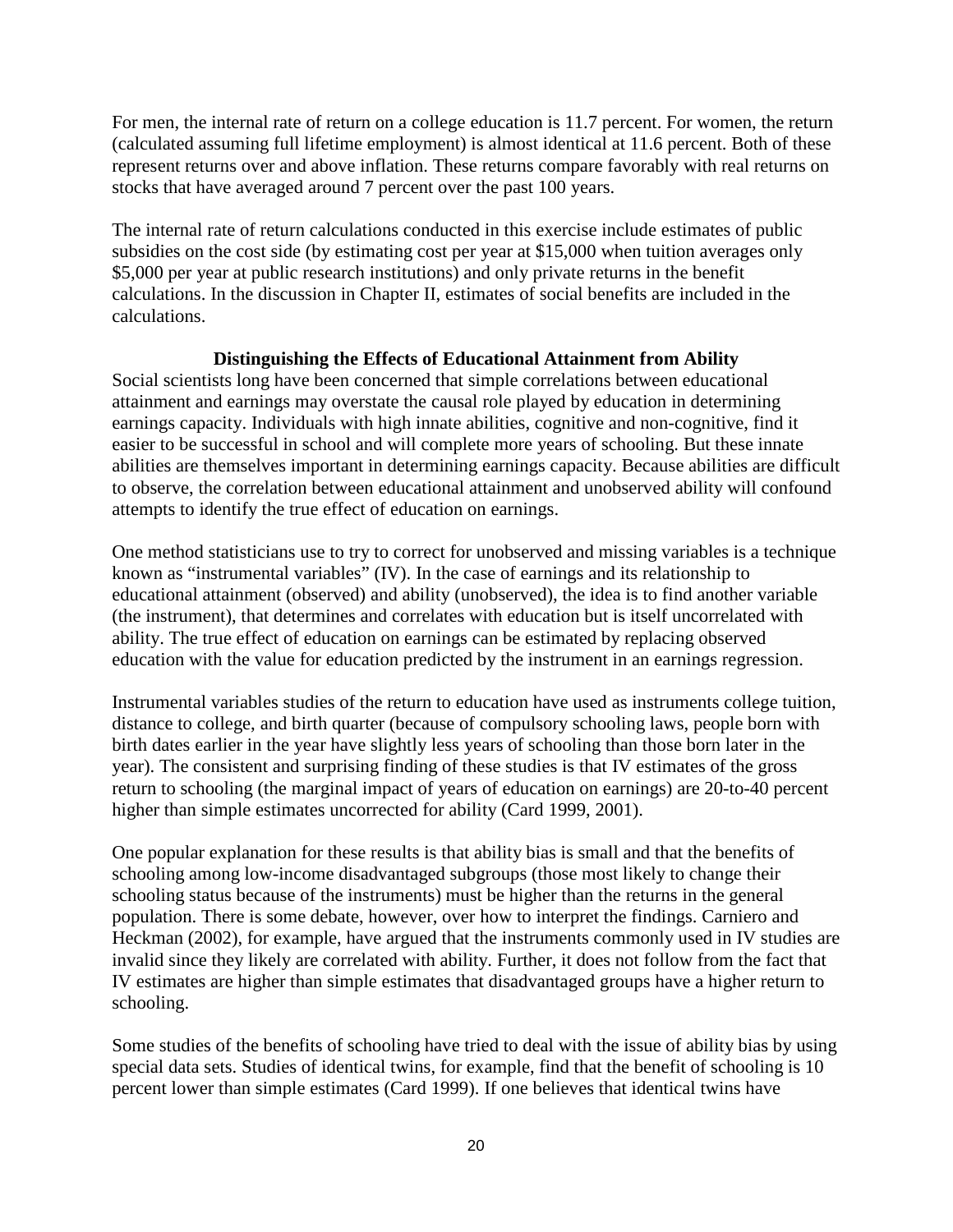For men, the internal rate of return on a college education is 11.7 percent. For women, the return (calculated assuming full lifetime employment) is almost identical at 11.6 percent. Both of these represent returns over and above inflation. These returns compare favorably with real returns on stocks that have averaged around 7 percent over the past 100 years.

The internal rate of return calculations conducted in this exercise include estimates of public subsidies on the cost side (by estimating cost per year at \$15,000 when tuition averages only \$5,000 per year at public research institutions) and only private returns in the benefit calculations. In the discussion in Chapter II, estimates of social benefits are included in the calculations.

#### **Distinguishing the Effects of Educational Attainment from Ability**

Social scientists long have been concerned that simple correlations between educational attainment and earnings may overstate the causal role played by education in determining earnings capacity. Individuals with high innate abilities, cognitive and non-cognitive, find it easier to be successful in school and will complete more years of schooling. But these innate abilities are themselves important in determining earnings capacity. Because abilities are difficult to observe, the correlation between educational attainment and unobserved ability will confound attempts to identify the true effect of education on earnings.

One method statisticians use to try to correct for unobserved and missing variables is a technique known as "instrumental variables" (IV). In the case of earnings and its relationship to educational attainment (observed) and ability (unobserved), the idea is to find another variable (the instrument), that determines and correlates with education but is itself uncorrelated with ability. The true effect of education on earnings can be estimated by replacing observed education with the value for education predicted by the instrument in an earnings regression.

Instrumental variables studies of the return to education have used as instruments college tuition, distance to college, and birth quarter (because of compulsory schooling laws, people born with birth dates earlier in the year have slightly less years of schooling than those born later in the year). The consistent and surprising finding of these studies is that IV estimates of the gross return to schooling (the marginal impact of years of education on earnings) are 20-to-40 percent higher than simple estimates uncorrected for ability (Card 1999, 2001).

One popular explanation for these results is that ability bias is small and that the benefits of schooling among low-income disadvantaged subgroups (those most likely to change their schooling status because of the instruments) must be higher than the returns in the general population. There is some debate, however, over how to interpret the findings. Carniero and Heckman (2002), for example, have argued that the instruments commonly used in IV studies are invalid since they likely are correlated with ability. Further, it does not follow from the fact that IV estimates are higher than simple estimates that disadvantaged groups have a higher return to schooling.

Some studies of the benefits of schooling have tried to deal with the issue of ability bias by using special data sets. Studies of identical twins, for example, find that the benefit of schooling is 10 percent lower than simple estimates (Card 1999). If one believes that identical twins have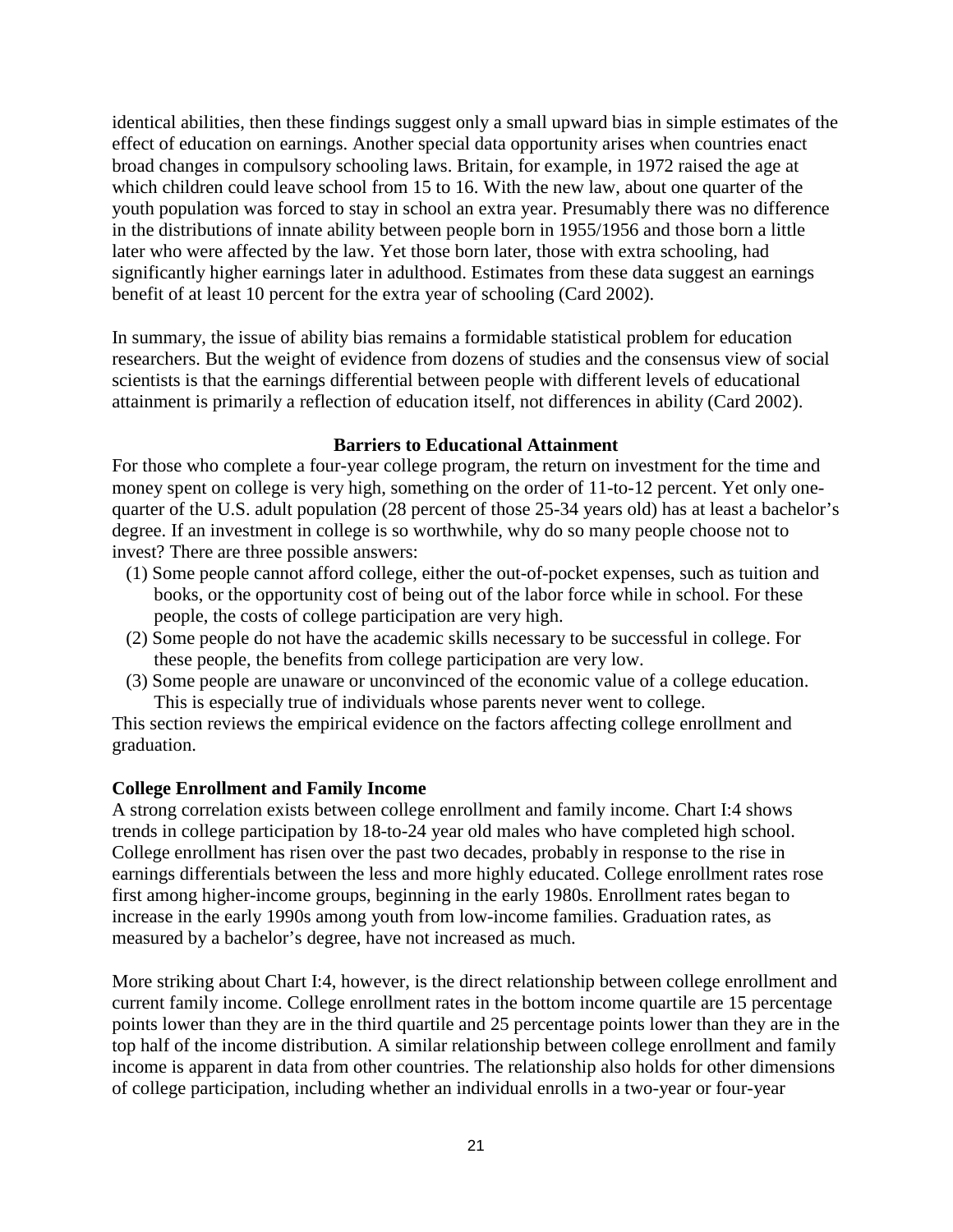identical abilities, then these findings suggest only a small upward bias in simple estimates of the effect of education on earnings. Another special data opportunity arises when countries enact broad changes in compulsory schooling laws. Britain, for example, in 1972 raised the age at which children could leave school from 15 to 16. With the new law, about one quarter of the youth population was forced to stay in school an extra year. Presumably there was no difference in the distributions of innate ability between people born in 1955/1956 and those born a little later who were affected by the law. Yet those born later, those with extra schooling, had significantly higher earnings later in adulthood. Estimates from these data suggest an earnings benefit of at least 10 percent for the extra year of schooling (Card 2002).

In summary, the issue of ability bias remains a formidable statistical problem for education researchers. But the weight of evidence from dozens of studies and the consensus view of social scientists is that the earnings differential between people with different levels of educational attainment is primarily a reflection of education itself, not differences in ability (Card 2002).

#### **Barriers to Educational Attainment**

For those who complete a four-year college program, the return on investment for the time and money spent on college is very high, something on the order of 11-to-12 percent. Yet only onequarter of the U.S. adult population (28 percent of those 25-34 years old) has at least a bachelor's degree. If an investment in college is so worthwhile, why do so many people choose not to invest? There are three possible answers:

- (1) Some people cannot afford college, either the out-of-pocket expenses, such as tuition and books, or the opportunity cost of being out of the labor force while in school. For these people, the costs of college participation are very high.
- (2) Some people do not have the academic skills necessary to be successful in college. For these people, the benefits from college participation are very low.
- (3) Some people are unaware or unconvinced of the economic value of a college education. This is especially true of individuals whose parents never went to college.

This section reviews the empirical evidence on the factors affecting college enrollment and graduation.

#### **College Enrollment and Family Income**

A strong correlation exists between college enrollment and family income. Chart I:4 shows trends in college participation by 18-to-24 year old males who have completed high school. College enrollment has risen over the past two decades, probably in response to the rise in earnings differentials between the less and more highly educated. College enrollment rates rose first among higher-income groups, beginning in the early 1980s. Enrollment rates began to increase in the early 1990s among youth from low-income families. Graduation rates, as measured by a bachelor's degree, have not increased as much.

More striking about Chart I:4, however, is the direct relationship between college enrollment and current family income. College enrollment rates in the bottom income quartile are 15 percentage points lower than they are in the third quartile and 25 percentage points lower than they are in the top half of the income distribution. A similar relationship between college enrollment and family income is apparent in data from other countries. The relationship also holds for other dimensions of college participation, including whether an individual enrolls in a two-year or four-year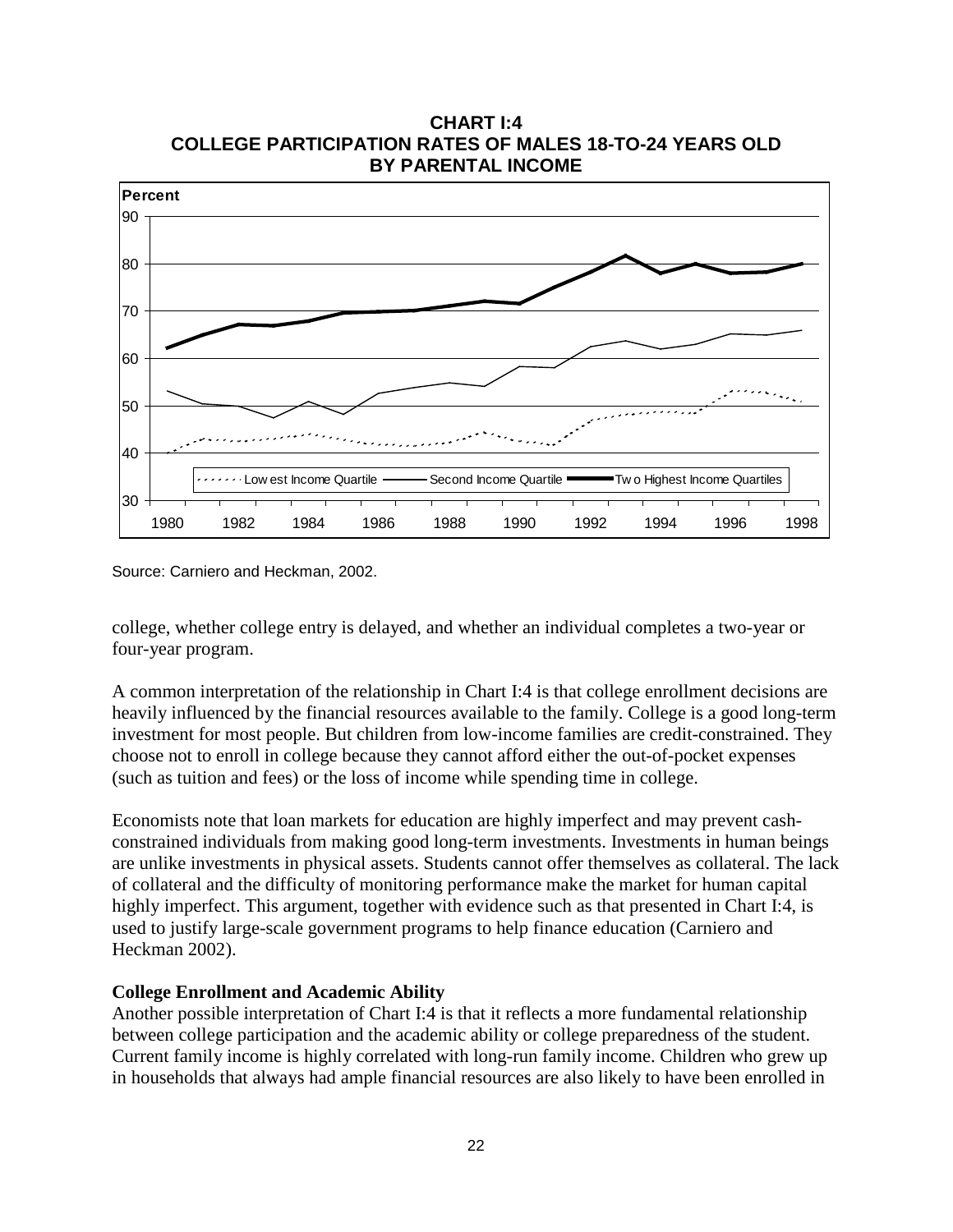

**CHART I:4 COLLEGE PARTICIPATION RATES OF MALES 18-TO-24 YEARS OLD**

Source: Carniero and Heckman, 2002.

college, whether college entry is delayed, and whether an individual completes a two-year or four-year program.

A common interpretation of the relationship in Chart I:4 is that college enrollment decisions are heavily influenced by the financial resources available to the family. College is a good long-term investment for most people. But children from low-income families are credit-constrained. They choose not to enroll in college because they cannot afford either the out-of-pocket expenses (such as tuition and fees) or the loss of income while spending time in college.

Economists note that loan markets for education are highly imperfect and may prevent cashconstrained individuals from making good long-term investments. Investments in human beings are unlike investments in physical assets. Students cannot offer themselves as collateral. The lack of collateral and the difficulty of monitoring performance make the market for human capital highly imperfect. This argument, together with evidence such as that presented in Chart I:4, is used to justify large-scale government programs to help finance education (Carniero and Heckman 2002).

#### **College Enrollment and Academic Ability**

Another possible interpretation of Chart I:4 is that it reflects a more fundamental relationship between college participation and the academic ability or college preparedness of the student. Current family income is highly correlated with long-run family income. Children who grew up in households that always had ample financial resources are also likely to have been enrolled in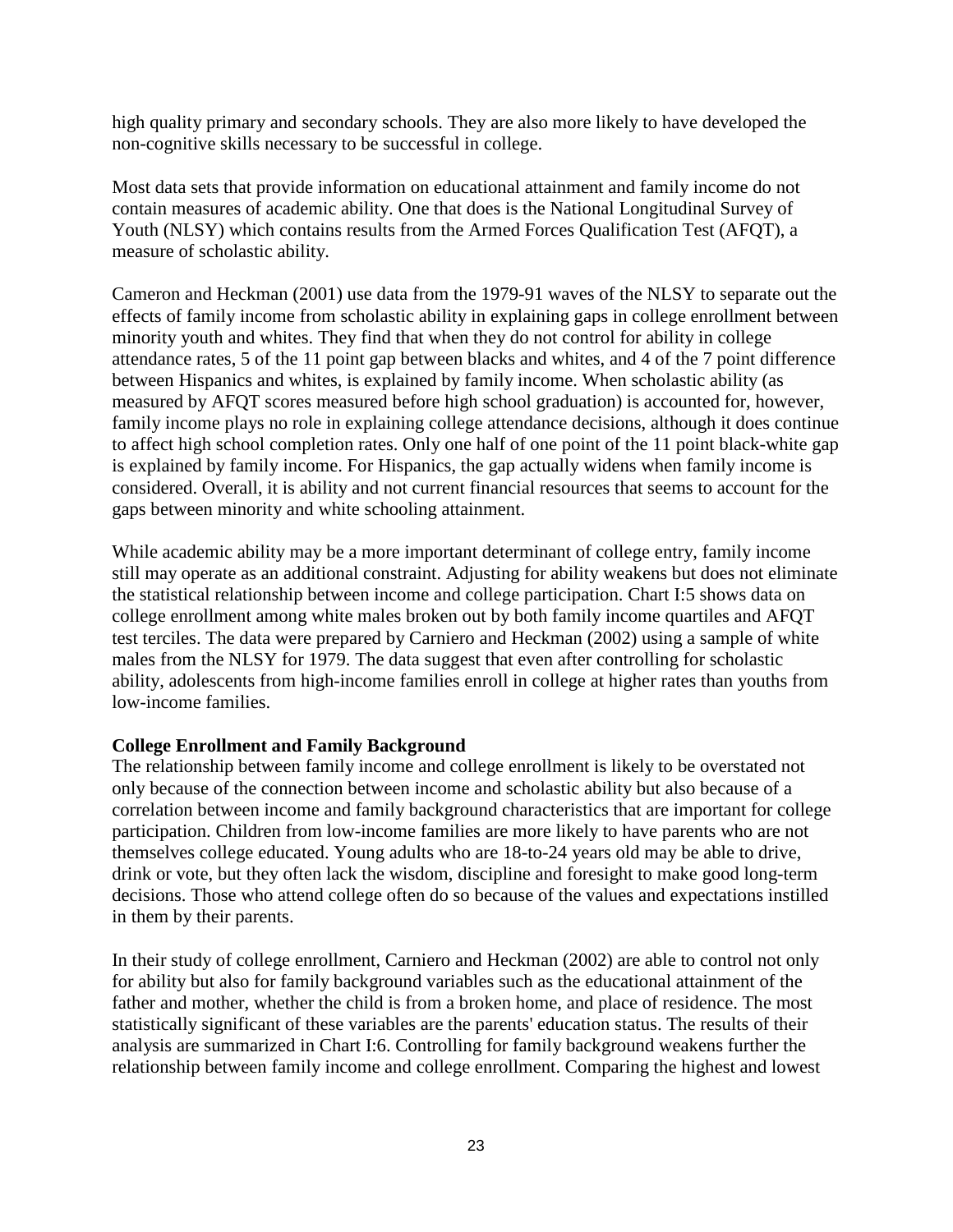high quality primary and secondary schools. They are also more likely to have developed the non-cognitive skills necessary to be successful in college.

Most data sets that provide information on educational attainment and family income do not contain measures of academic ability. One that does is the National Longitudinal Survey of Youth (NLSY) which contains results from the Armed Forces Qualification Test (AFQT), a measure of scholastic ability.

Cameron and Heckman (2001) use data from the 1979-91 waves of the NLSY to separate out the effects of family income from scholastic ability in explaining gaps in college enrollment between minority youth and whites. They find that when they do not control for ability in college attendance rates, 5 of the 11 point gap between blacks and whites, and 4 of the 7 point difference between Hispanics and whites, is explained by family income. When scholastic ability (as measured by AFQT scores measured before high school graduation) is accounted for, however, family income plays no role in explaining college attendance decisions, although it does continue to affect high school completion rates. Only one half of one point of the 11 point black-white gap is explained by family income. For Hispanics, the gap actually widens when family income is considered. Overall, it is ability and not current financial resources that seems to account for the gaps between minority and white schooling attainment.

While academic ability may be a more important determinant of college entry, family income still may operate as an additional constraint. Adjusting for ability weakens but does not eliminate the statistical relationship between income and college participation. Chart I:5 shows data on college enrollment among white males broken out by both family income quartiles and AFQT test terciles. The data were prepared by Carniero and Heckman (2002) using a sample of white males from the NLSY for 1979. The data suggest that even after controlling for scholastic ability, adolescents from high-income families enroll in college at higher rates than youths from low-income families.

#### **College Enrollment and Family Background**

The relationship between family income and college enrollment is likely to be overstated not only because of the connection between income and scholastic ability but also because of a correlation between income and family background characteristics that are important for college participation. Children from low-income families are more likely to have parents who are not themselves college educated. Young adults who are 18-to-24 years old may be able to drive, drink or vote, but they often lack the wisdom, discipline and foresight to make good long-term decisions. Those who attend college often do so because of the values and expectations instilled in them by their parents.

In their study of college enrollment, Carniero and Heckman (2002) are able to control not only for ability but also for family background variables such as the educational attainment of the father and mother, whether the child is from a broken home, and place of residence. The most statistically significant of these variables are the parents' education status. The results of their analysis are summarized in Chart I:6. Controlling for family background weakens further the relationship between family income and college enrollment. Comparing the highest and lowest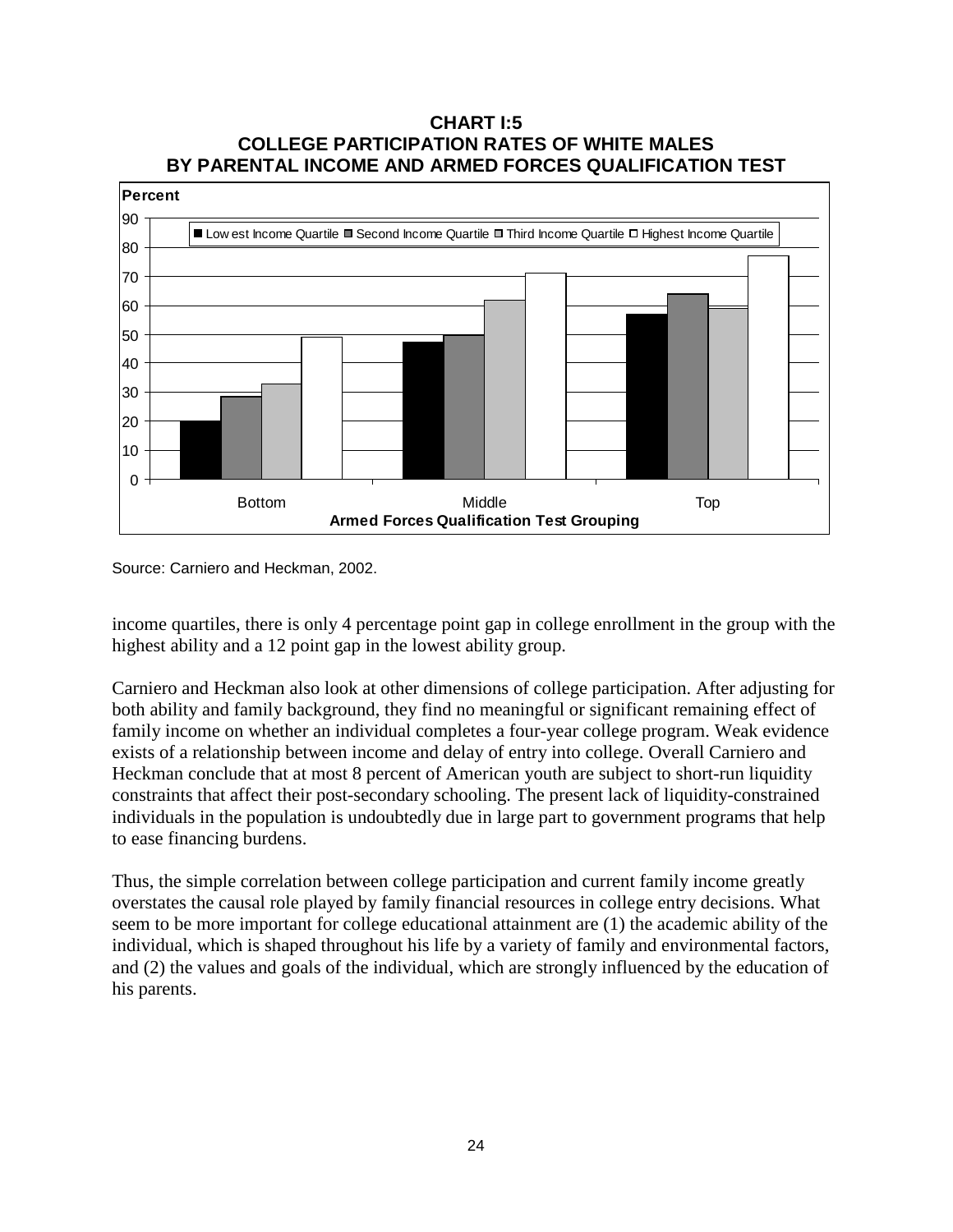#### **CHART I:5 COLLEGE PARTICIPATION RATES OF WHITE MALES BY PARENTAL INCOME AND ARMED FORCES QUALIFICATION TEST**



Source: Carniero and Heckman, 2002.

income quartiles, there is only 4 percentage point gap in college enrollment in the group with the highest ability and a 12 point gap in the lowest ability group.

Carniero and Heckman also look at other dimensions of college participation. After adjusting for both ability and family background, they find no meaningful or significant remaining effect of family income on whether an individual completes a four-year college program. Weak evidence exists of a relationship between income and delay of entry into college. Overall Carniero and Heckman conclude that at most 8 percent of American youth are subject to short-run liquidity constraints that affect their post-secondary schooling. The present lack of liquidity-constrained individuals in the population is undoubtedly due in large part to government programs that help to ease financing burdens.

Thus, the simple correlation between college participation and current family income greatly overstates the causal role played by family financial resources in college entry decisions. What seem to be more important for college educational attainment are (1) the academic ability of the individual, which is shaped throughout his life by a variety of family and environmental factors, and (2) the values and goals of the individual, which are strongly influenced by the education of his parents.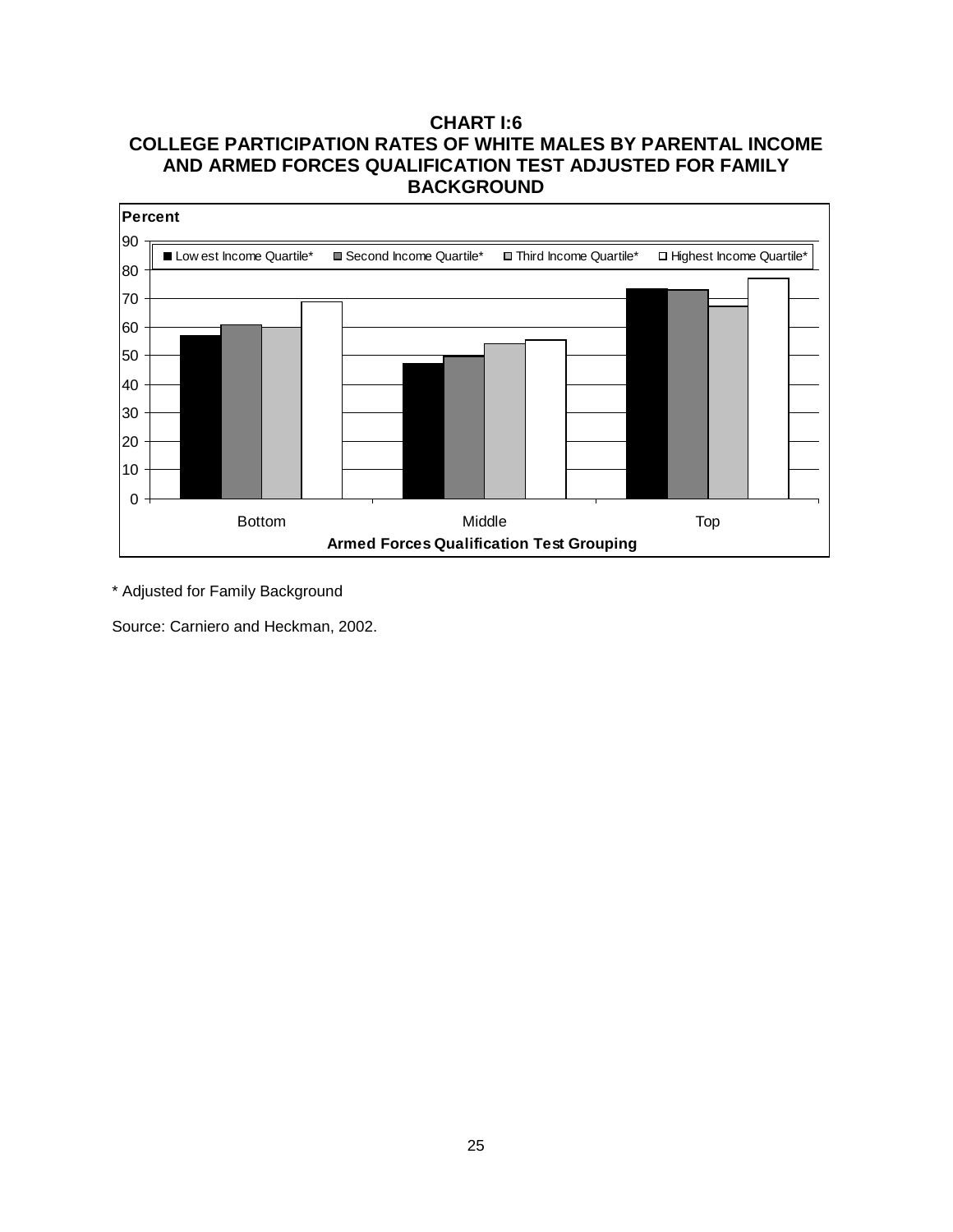## **CHART I:6 COLLEGE PARTICIPATION RATES OF WHITE MALES BY PARENTAL INCOME AND ARMED FORCES QUALIFICATION TEST ADJUSTED FOR FAMILY BACKGROUND**



\* Adjusted for Family Background

Source: Carniero and Heckman, 2002.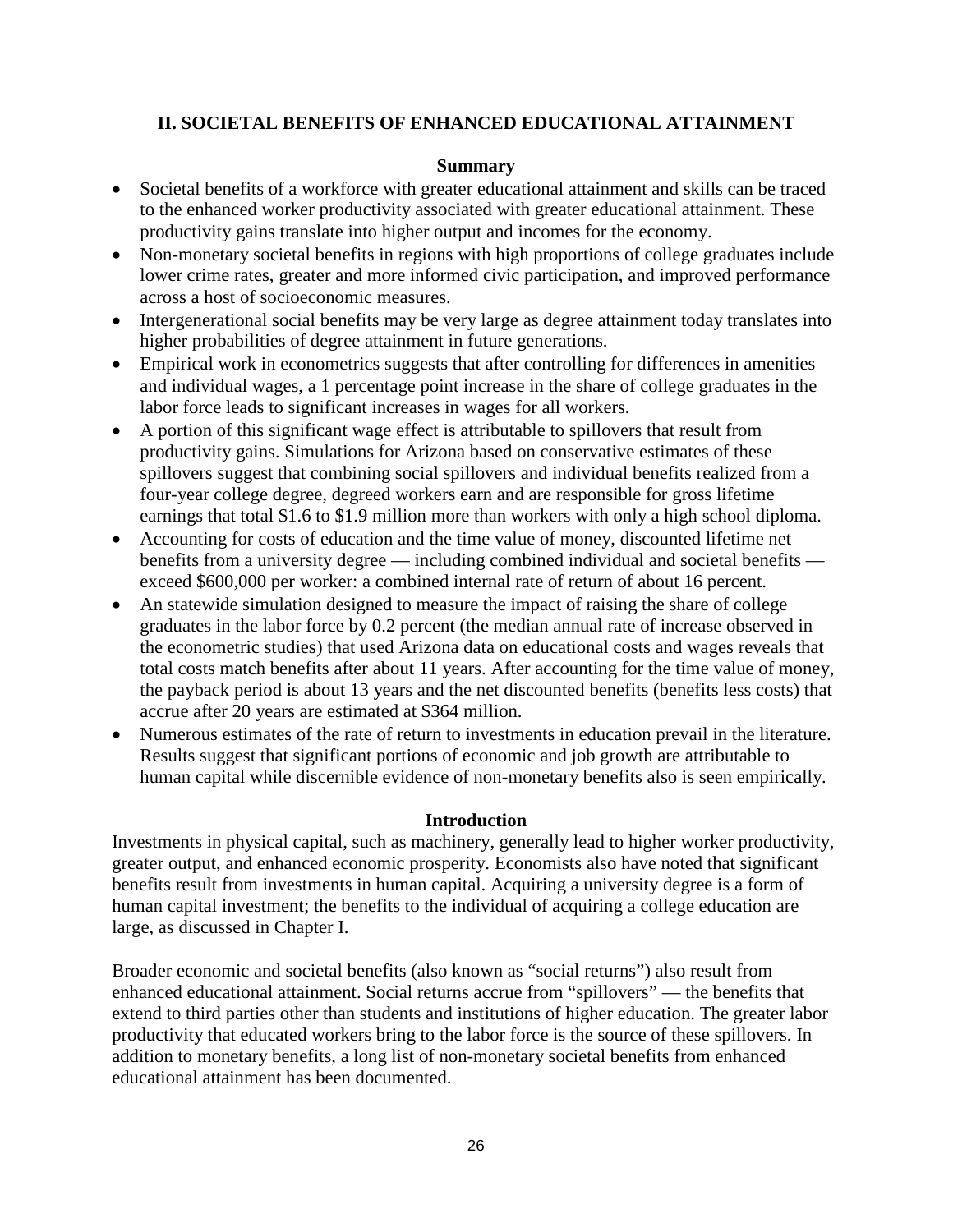## **II. SOCIETAL BENEFITS OF ENHANCED EDUCATIONAL ATTAINMENT**

#### **Summary**

- Societal benefits of a workforce with greater educational attainment and skills can be traced to the enhanced worker productivity associated with greater educational attainment. These productivity gains translate into higher output and incomes for the economy.
- Non-monetary societal benefits in regions with high proportions of college graduates include lower crime rates, greater and more informed civic participation, and improved performance across a host of socioeconomic measures.
- Intergenerational social benefits may be very large as degree attainment today translates into higher probabilities of degree attainment in future generations.
- Empirical work in econometrics suggests that after controlling for differences in amenities and individual wages, a 1 percentage point increase in the share of college graduates in the labor force leads to significant increases in wages for all workers.
- A portion of this significant wage effect is attributable to spillovers that result from productivity gains. Simulations for Arizona based on conservative estimates of these spillovers suggest that combining social spillovers and individual benefits realized from a four-year college degree, degreed workers earn and are responsible for gross lifetime earnings that total \$1.6 to \$1.9 million more than workers with only a high school diploma.
- Accounting for costs of education and the time value of money, discounted lifetime net benefits from a university degree — including combined individual and societal benefits exceed \$600,000 per worker: a combined internal rate of return of about 16 percent.
- An statewide simulation designed to measure the impact of raising the share of college graduates in the labor force by 0.2 percent (the median annual rate of increase observed in the econometric studies) that used Arizona data on educational costs and wages reveals that total costs match benefits after about 11 years. After accounting for the time value of money, the payback period is about 13 years and the net discounted benefits (benefits less costs) that accrue after 20 years are estimated at \$364 million.
- Numerous estimates of the rate of return to investments in education prevail in the literature. Results suggest that significant portions of economic and job growth are attributable to human capital while discernible evidence of non-monetary benefits also is seen empirically.

#### **Introduction**

Investments in physical capital, such as machinery, generally lead to higher worker productivity, greater output, and enhanced economic prosperity. Economists also have noted that significant benefits result from investments in human capital. Acquiring a university degree is a form of human capital investment; the benefits to the individual of acquiring a college education are large, as discussed in Chapter I.

Broader economic and societal benefits (also known as "social returns") also result from enhanced educational attainment. Social returns accrue from "spillovers" — the benefits that extend to third parties other than students and institutions of higher education. The greater labor productivity that educated workers bring to the labor force is the source of these spillovers. In addition to monetary benefits, a long list of non-monetary societal benefits from enhanced educational attainment has been documented.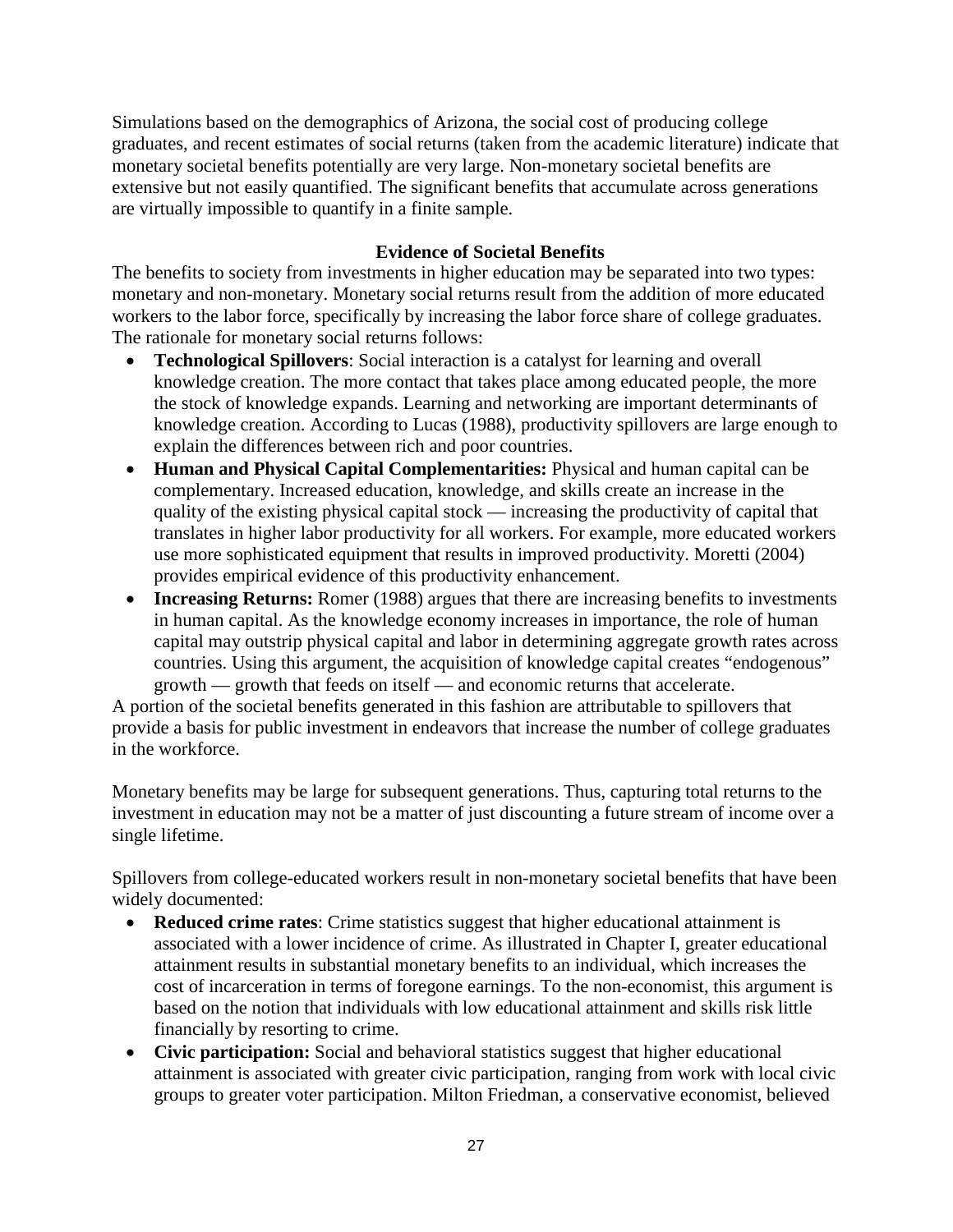Simulations based on the demographics of Arizona, the social cost of producing college graduates, and recent estimates of social returns (taken from the academic literature) indicate that monetary societal benefits potentially are very large. Non-monetary societal benefits are extensive but not easily quantified. The significant benefits that accumulate across generations are virtually impossible to quantify in a finite sample.

## **Evidence of Societal Benefits**

The benefits to society from investments in higher education may be separated into two types: monetary and non-monetary. Monetary social returns result from the addition of more educated workers to the labor force, specifically by increasing the labor force share of college graduates. The rationale for monetary social returns follows:

- **Technological Spillovers**: Social interaction is a catalyst for learning and overall knowledge creation. The more contact that takes place among educated people, the more the stock of knowledge expands. Learning and networking are important determinants of knowledge creation. According to Lucas (1988), productivity spillovers are large enough to explain the differences between rich and poor countries.
- **Human and Physical Capital Complementarities:** Physical and human capital can be complementary. Increased education, knowledge, and skills create an increase in the quality of the existing physical capital stock — increasing the productivity of capital that translates in higher labor productivity for all workers. For example, more educated workers use more sophisticated equipment that results in improved productivity. Moretti (2004) provides empirical evidence of this productivity enhancement.
- **Increasing Returns:** Romer (1988) argues that there are increasing benefits to investments in human capital. As the knowledge economy increases in importance, the role of human capital may outstrip physical capital and labor in determining aggregate growth rates across countries. Using this argument, the acquisition of knowledge capital creates "endogenous" growth — growth that feeds on itself — and economic returns that accelerate.

A portion of the societal benefits generated in this fashion are attributable to spillovers that provide a basis for public investment in endeavors that increase the number of college graduates in the workforce.

Monetary benefits may be large for subsequent generations. Thus, capturing total returns to the investment in education may not be a matter of just discounting a future stream of income over a single lifetime.

Spillovers from college-educated workers result in non-monetary societal benefits that have been widely documented:

- **Reduced crime rates**: Crime statistics suggest that higher educational attainment is associated with a lower incidence of crime. As illustrated in Chapter I, greater educational attainment results in substantial monetary benefits to an individual, which increases the cost of incarceration in terms of foregone earnings. To the non-economist, this argument is based on the notion that individuals with low educational attainment and skills risk little financially by resorting to crime.
- **Civic participation:** Social and behavioral statistics suggest that higher educational attainment is associated with greater civic participation, ranging from work with local civic groups to greater voter participation. Milton Friedman, a conservative economist, believed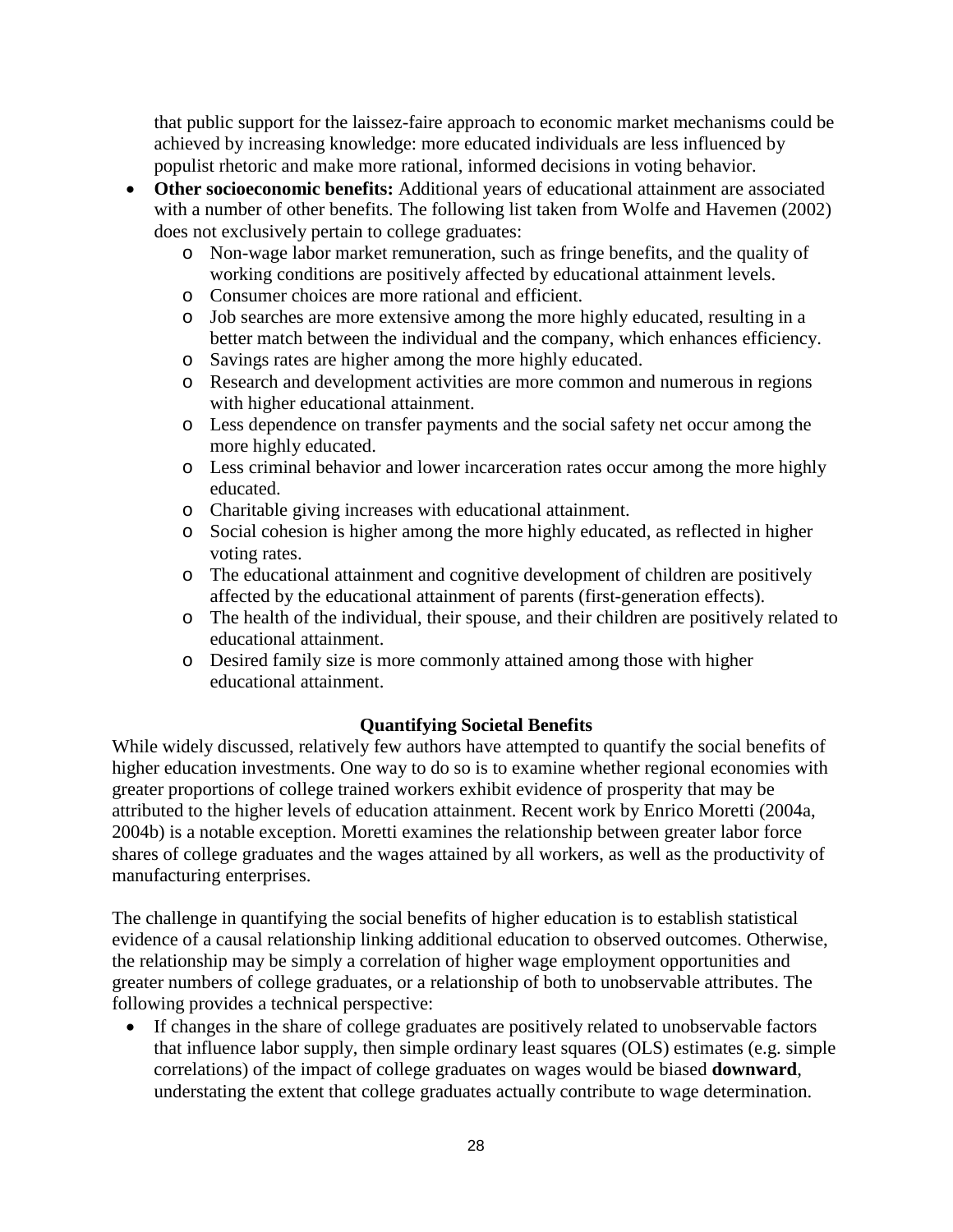that public support for the laissez-faire approach to economic market mechanisms could be achieved by increasing knowledge: more educated individuals are less influenced by populist rhetoric and make more rational, informed decisions in voting behavior.

- **Other socioeconomic benefits:** Additional years of educational attainment are associated with a number of other benefits. The following list taken from Wolfe and Havemen (2002) does not exclusively pertain to college graduates:
	- o Non-wage labor market remuneration, such as fringe benefits, and the quality of working conditions are positively affected by educational attainment levels.
	- o Consumer choices are more rational and efficient.
	- o Job searches are more extensive among the more highly educated, resulting in a better match between the individual and the company, which enhances efficiency.
	- o Savings rates are higher among the more highly educated.
	- o Research and development activities are more common and numerous in regions with higher educational attainment.
	- o Less dependence on transfer payments and the social safety net occur among the more highly educated.
	- o Less criminal behavior and lower incarceration rates occur among the more highly educated.
	- o Charitable giving increases with educational attainment.
	- o Social cohesion is higher among the more highly educated, as reflected in higher voting rates.
	- o The educational attainment and cognitive development of children are positively affected by the educational attainment of parents (first-generation effects).
	- o The health of the individual, their spouse, and their children are positively related to educational attainment.
	- o Desired family size is more commonly attained among those with higher educational attainment.

## **Quantifying Societal Benefits**

While widely discussed, relatively few authors have attempted to quantify the social benefits of higher education investments. One way to do so is to examine whether regional economies with greater proportions of college trained workers exhibit evidence of prosperity that may be attributed to the higher levels of education attainment. Recent work by Enrico Moretti (2004a, 2004b) is a notable exception. Moretti examines the relationship between greater labor force shares of college graduates and the wages attained by all workers, as well as the productivity of manufacturing enterprises.

The challenge in quantifying the social benefits of higher education is to establish statistical evidence of a causal relationship linking additional education to observed outcomes. Otherwise, the relationship may be simply a correlation of higher wage employment opportunities and greater numbers of college graduates, or a relationship of both to unobservable attributes. The following provides a technical perspective:

• If changes in the share of college graduates are positively related to unobservable factors that influence labor supply, then simple ordinary least squares (OLS) estimates (e.g. simple correlations) of the impact of college graduates on wages would be biased **downward**, understating the extent that college graduates actually contribute to wage determination.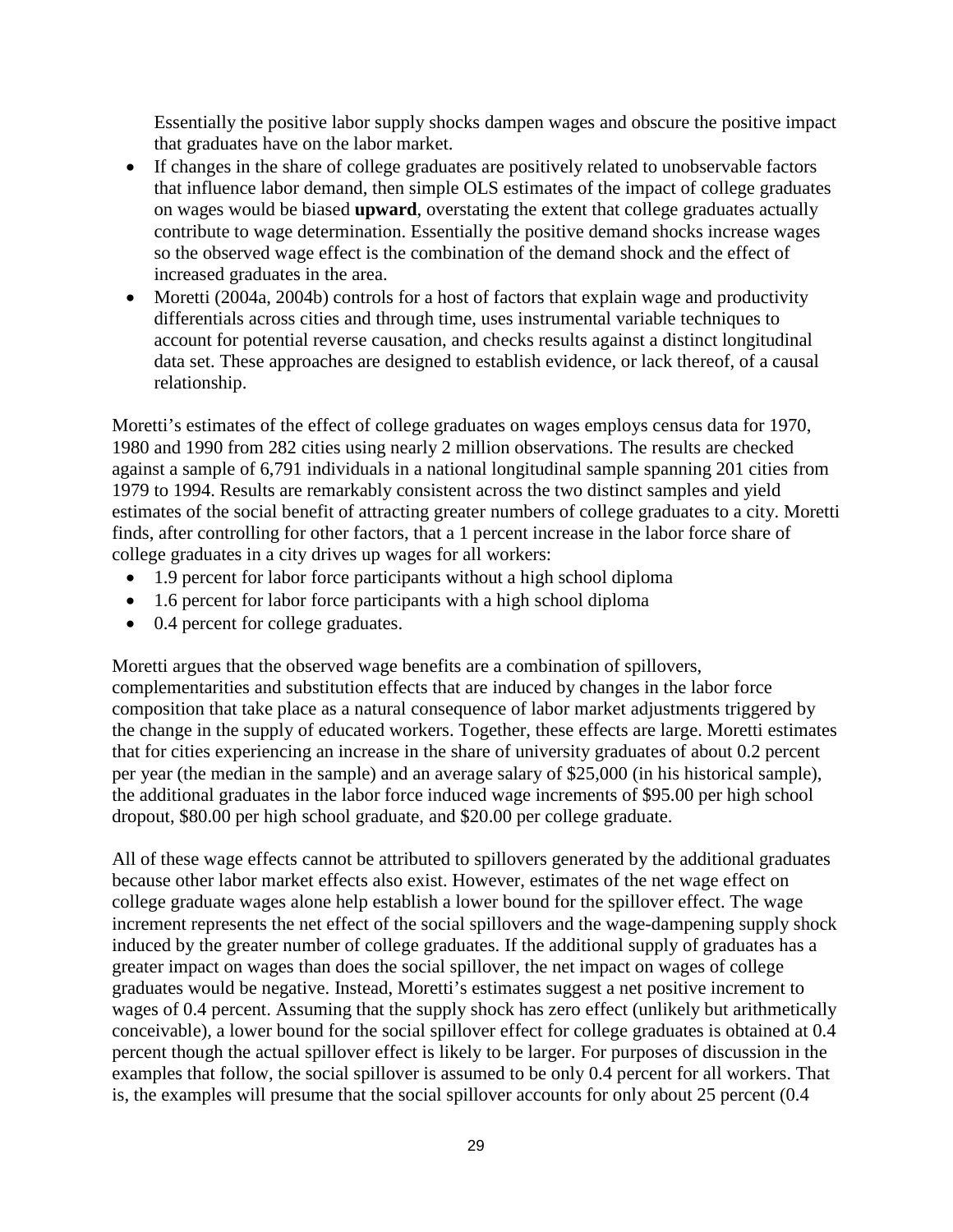Essentially the positive labor supply shocks dampen wages and obscure the positive impact that graduates have on the labor market.

- If changes in the share of college graduates are positively related to unobservable factors that influence labor demand, then simple OLS estimates of the impact of college graduates on wages would be biased **upward**, overstating the extent that college graduates actually contribute to wage determination. Essentially the positive demand shocks increase wages so the observed wage effect is the combination of the demand shock and the effect of increased graduates in the area.
- Moretti (2004a, 2004b) controls for a host of factors that explain wage and productivity differentials across cities and through time, uses instrumental variable techniques to account for potential reverse causation, and checks results against a distinct longitudinal data set. These approaches are designed to establish evidence, or lack thereof, of a causal relationship.

Moretti's estimates of the effect of college graduates on wages employs census data for 1970, 1980 and 1990 from 282 cities using nearly 2 million observations. The results are checked against a sample of 6,791 individuals in a national longitudinal sample spanning 201 cities from 1979 to 1994. Results are remarkably consistent across the two distinct samples and yield estimates of the social benefit of attracting greater numbers of college graduates to a city. Moretti finds, after controlling for other factors, that a 1 percent increase in the labor force share of college graduates in a city drives up wages for all workers:

- 1.9 percent for labor force participants without a high school diploma
- 1.6 percent for labor force participants with a high school diploma
- 0.4 percent for college graduates.

Moretti argues that the observed wage benefits are a combination of spillovers, complementarities and substitution effects that are induced by changes in the labor force composition that take place as a natural consequence of labor market adjustments triggered by the change in the supply of educated workers. Together, these effects are large. Moretti estimates that for cities experiencing an increase in the share of university graduates of about 0.2 percent per year (the median in the sample) and an average salary of \$25,000 (in his historical sample), the additional graduates in the labor force induced wage increments of \$95.00 per high school dropout, \$80.00 per high school graduate, and \$20.00 per college graduate.

All of these wage effects cannot be attributed to spillovers generated by the additional graduates because other labor market effects also exist. However, estimates of the net wage effect on college graduate wages alone help establish a lower bound for the spillover effect. The wage increment represents the net effect of the social spillovers and the wage-dampening supply shock induced by the greater number of college graduates. If the additional supply of graduates has a greater impact on wages than does the social spillover, the net impact on wages of college graduates would be negative. Instead, Moretti's estimates suggest a net positive increment to wages of 0.4 percent. Assuming that the supply shock has zero effect (unlikely but arithmetically conceivable), a lower bound for the social spillover effect for college graduates is obtained at 0.4 percent though the actual spillover effect is likely to be larger. For purposes of discussion in the examples that follow, the social spillover is assumed to be only 0.4 percent for all workers. That is, the examples will presume that the social spillover accounts for only about 25 percent (0.4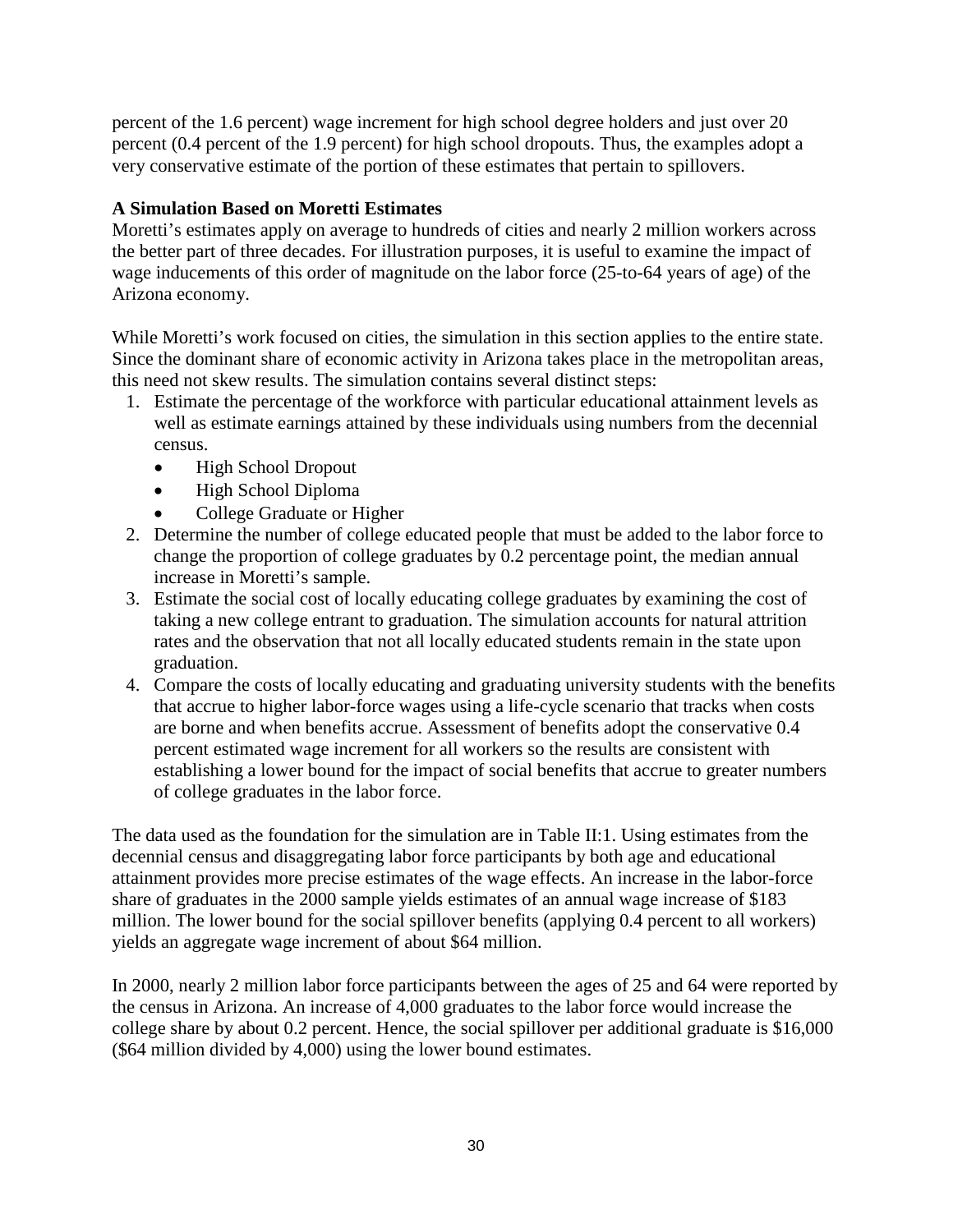percent of the 1.6 percent) wage increment for high school degree holders and just over 20 percent (0.4 percent of the 1.9 percent) for high school dropouts. Thus, the examples adopt a very conservative estimate of the portion of these estimates that pertain to spillovers.

## **A Simulation Based on Moretti Estimates**

Moretti's estimates apply on average to hundreds of cities and nearly 2 million workers across the better part of three decades. For illustration purposes, it is useful to examine the impact of wage inducements of this order of magnitude on the labor force (25-to-64 years of age) of the Arizona economy.

While Moretti's work focused on cities, the simulation in this section applies to the entire state. Since the dominant share of economic activity in Arizona takes place in the metropolitan areas, this need not skew results. The simulation contains several distinct steps:

- 1. Estimate the percentage of the workforce with particular educational attainment levels as well as estimate earnings attained by these individuals using numbers from the decennial census.
	- High School Dropout
	- High School Diploma
	- College Graduate or Higher
- 2. Determine the number of college educated people that must be added to the labor force to change the proportion of college graduates by 0.2 percentage point, the median annual increase in Moretti's sample.
- 3. Estimate the social cost of locally educating college graduates by examining the cost of taking a new college entrant to graduation. The simulation accounts for natural attrition rates and the observation that not all locally educated students remain in the state upon graduation.
- 4. Compare the costs of locally educating and graduating university students with the benefits that accrue to higher labor-force wages using a life-cycle scenario that tracks when costs are borne and when benefits accrue. Assessment of benefits adopt the conservative 0.4 percent estimated wage increment for all workers so the results are consistent with establishing a lower bound for the impact of social benefits that accrue to greater numbers of college graduates in the labor force.

The data used as the foundation for the simulation are in Table II:1. Using estimates from the decennial census and disaggregating labor force participants by both age and educational attainment provides more precise estimates of the wage effects. An increase in the labor-force share of graduates in the 2000 sample yields estimates of an annual wage increase of \$183 million. The lower bound for the social spillover benefits (applying 0.4 percent to all workers) yields an aggregate wage increment of about \$64 million.

In 2000, nearly 2 million labor force participants between the ages of 25 and 64 were reported by the census in Arizona. An increase of 4,000 graduates to the labor force would increase the college share by about 0.2 percent. Hence, the social spillover per additional graduate is \$16,000 (\$64 million divided by 4,000) using the lower bound estimates.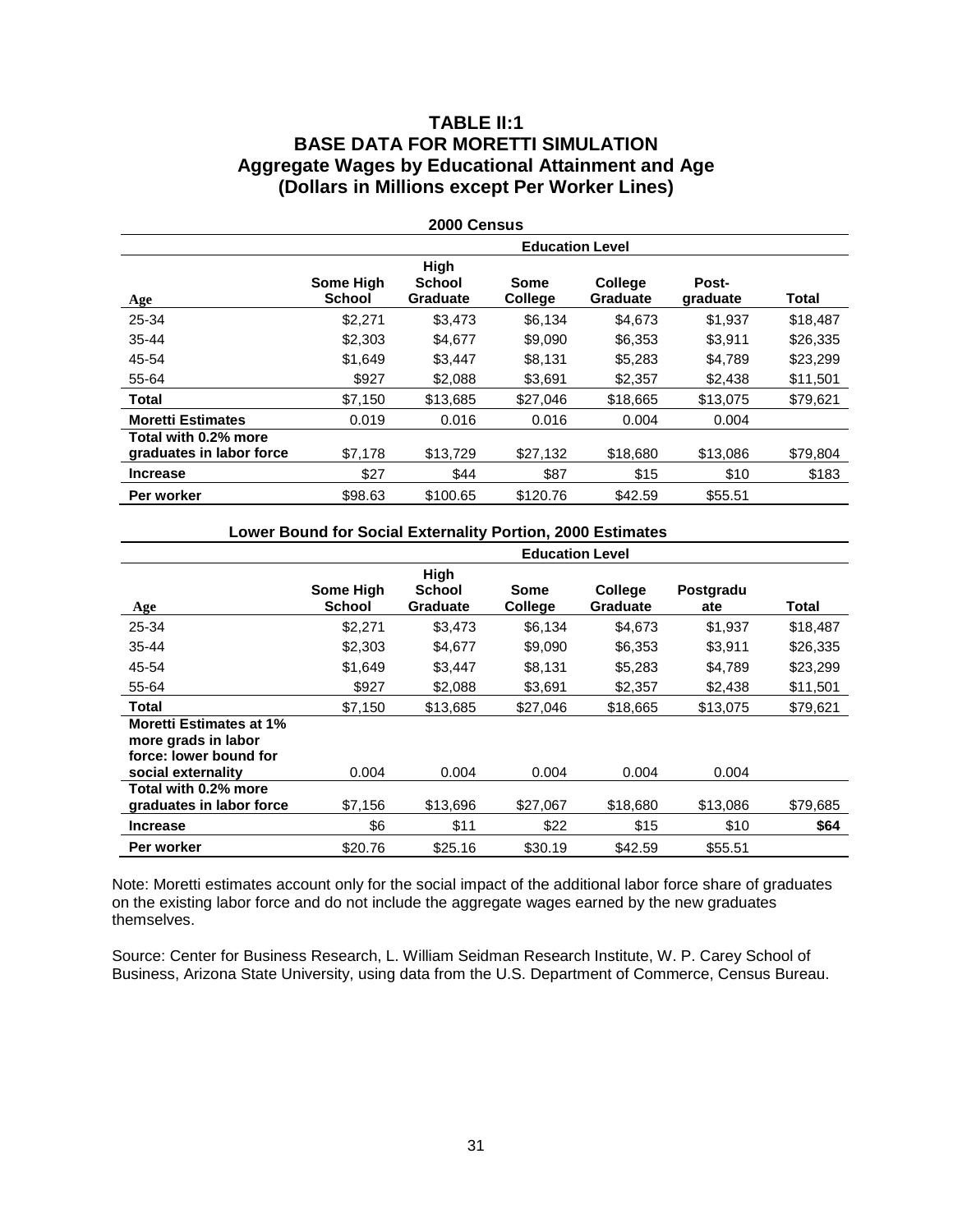## **TABLE II:1 BASE DATA FOR MORETTI SIMULATION Aggregate Wages by Educational Attainment and Age (Dollars in Millions except Per Worker Lines)**

| <b>2000 Census</b>                               |                            |                                          |                        |                                   |                   |          |  |
|--------------------------------------------------|----------------------------|------------------------------------------|------------------------|-----------------------------------|-------------------|----------|--|
|                                                  | <b>Education Level</b>     |                                          |                        |                                   |                   |          |  |
| <b>Age</b>                                       | Some High<br><b>School</b> | High<br><b>School</b><br><b>Graduate</b> | Some<br><b>College</b> | <b>College</b><br><b>Graduate</b> | Post-<br>graduate | Total    |  |
| 25-34                                            | \$2.271                    | \$3,473                                  | \$6,134                | \$4,673                           | \$1,937           | \$18,487 |  |
| $35 - 44$                                        | \$2,303                    | \$4,677                                  | \$9,090                | \$6,353                           | \$3,911           | \$26,335 |  |
| 45-54                                            | \$1,649                    | \$3,447                                  | \$8,131                | \$5,283                           | \$4,789           | \$23,299 |  |
| 55-64                                            | \$927                      | \$2,088                                  | \$3,691                | \$2,357                           | \$2,438           | \$11,501 |  |
| <b>Total</b>                                     | \$7.150                    | \$13,685                                 | \$27,046               | \$18,665                          | \$13,075          | \$79,621 |  |
| <b>Moretti Estimates</b>                         | 0.019                      | 0.016                                    | 0.016                  | 0.004                             | 0.004             |          |  |
| Total with 0.2% more<br>graduates in labor force | \$7.178                    | \$13,729                                 | \$27,132               | \$18,680                          | \$13,086          | \$79,804 |  |
| <b>Increase</b>                                  | \$27                       | \$44                                     | \$87                   | \$15                              | \$10              | \$183    |  |
| Per worker                                       | \$98.63                    | \$100.65                                 | \$120.76               | \$42.59                           | \$55.51           |          |  |

| Lower Bound for Social Externality Portion, 2000 Estimates |  |
|------------------------------------------------------------|--|
|------------------------------------------------------------|--|

|                                                                                                       | <b>Education Level</b> |                                   |                        |                            |                  |          |  |
|-------------------------------------------------------------------------------------------------------|------------------------|-----------------------------------|------------------------|----------------------------|------------------|----------|--|
| Age                                                                                                   | Some High<br>School    | High<br>School<br><b>Graduate</b> | Some<br><b>College</b> | <b>College</b><br>Graduate | Postgradu<br>ate | Total    |  |
| 25-34                                                                                                 | \$2,271                | \$3,473                           | \$6,134                | \$4,673                    | \$1,937          | \$18,487 |  |
| $35 - 44$                                                                                             | \$2,303                | \$4,677                           | \$9,090                | \$6,353                    | \$3,911          | \$26,335 |  |
| 45-54                                                                                                 | \$1,649                | \$3,447                           | \$8,131                | \$5,283                    | \$4,789          | \$23,299 |  |
| 55-64                                                                                                 | \$927                  | \$2.088                           | \$3,691                | \$2,357                    | \$2.438          | \$11,501 |  |
| Total                                                                                                 | \$7.150                | \$13,685                          | \$27.046               | \$18,665                   | \$13,075         | \$79,621 |  |
| <b>Moretti Estimates at 1%</b><br>more grads in labor<br>force: lower bound for<br>social externality | 0.004                  | 0.004                             | 0.004                  | 0.004                      | 0.004            |          |  |
| Total with 0.2% more<br>graduates in labor force                                                      | \$7,156                | \$13,696                          | \$27,067               | \$18,680                   | \$13,086         | \$79,685 |  |
| <b>Increase</b>                                                                                       | \$6                    | \$11                              | \$22                   | \$15                       | \$10             | \$64     |  |
| Per worker                                                                                            | \$20.76                | \$25.16                           | \$30.19                | \$42.59                    | \$55.51          |          |  |

Note: Moretti estimates account only for the social impact of the additional labor force share of graduates on the existing labor force and do not include the aggregate wages earned by the new graduates themselves.

Source: Center for Business Research, L. William Seidman Research Institute, W. P. Carey School of Business, Arizona State University, using data from the U.S. Department of Commerce, Census Bureau.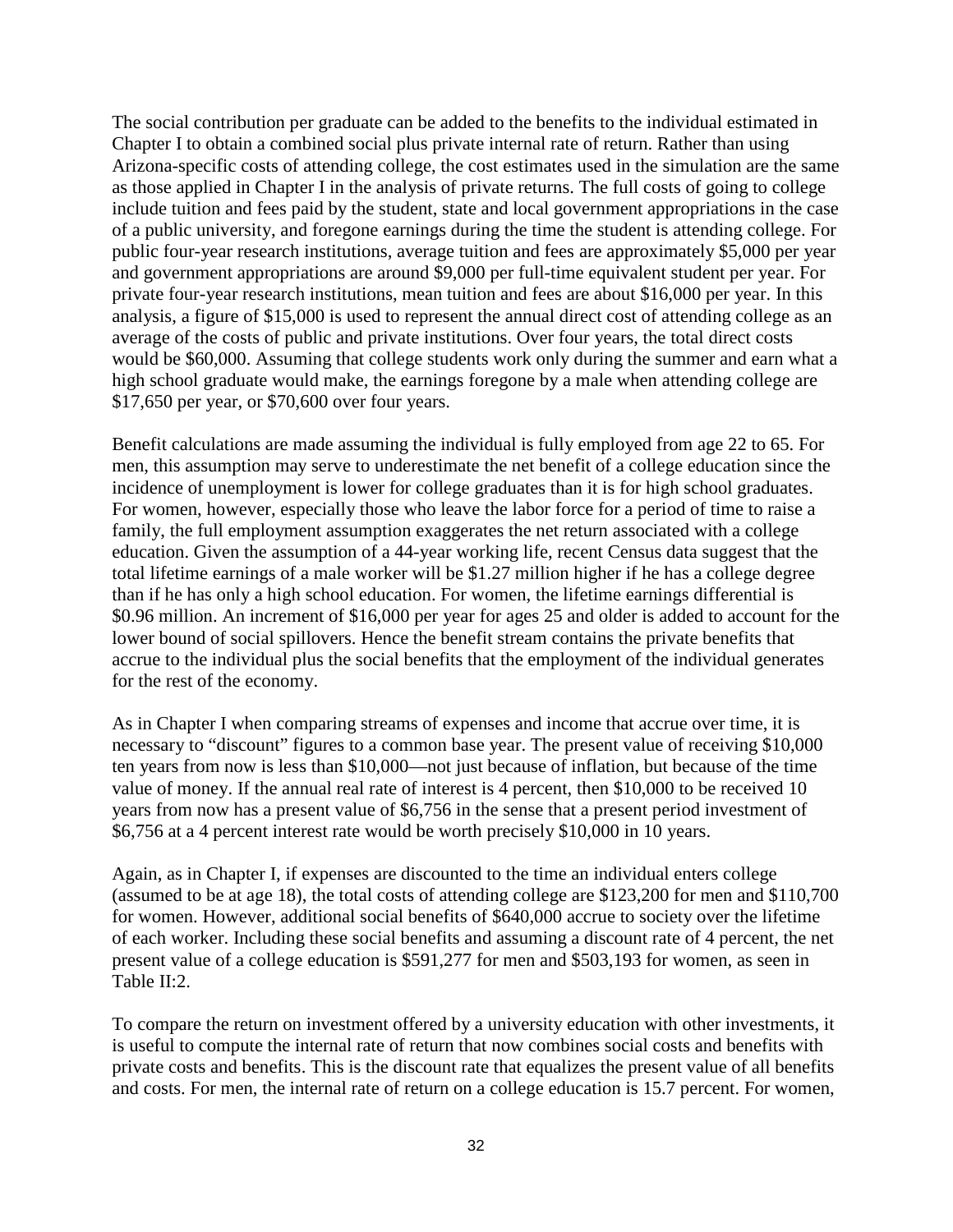The social contribution per graduate can be added to the benefits to the individual estimated in Chapter I to obtain a combined social plus private internal rate of return. Rather than using Arizona-specific costs of attending college, the cost estimates used in the simulation are the same as those applied in Chapter I in the analysis of private returns. The full costs of going to college include tuition and fees paid by the student, state and local government appropriations in the case of a public university, and foregone earnings during the time the student is attending college. For public four-year research institutions, average tuition and fees are approximately \$5,000 per year and government appropriations are around \$9,000 per full-time equivalent student per year. For private four-year research institutions, mean tuition and fees are about \$16,000 per year. In this analysis, a figure of \$15,000 is used to represent the annual direct cost of attending college as an average of the costs of public and private institutions. Over four years, the total direct costs would be \$60,000. Assuming that college students work only during the summer and earn what a high school graduate would make, the earnings foregone by a male when attending college are \$17,650 per year, or \$70,600 over four years.

Benefit calculations are made assuming the individual is fully employed from age 22 to 65. For men, this assumption may serve to underestimate the net benefit of a college education since the incidence of unemployment is lower for college graduates than it is for high school graduates. For women, however, especially those who leave the labor force for a period of time to raise a family, the full employment assumption exaggerates the net return associated with a college education. Given the assumption of a 44-year working life, recent Census data suggest that the total lifetime earnings of a male worker will be \$1.27 million higher if he has a college degree than if he has only a high school education. For women, the lifetime earnings differential is \$0.96 million. An increment of \$16,000 per year for ages 25 and older is added to account for the lower bound of social spillovers. Hence the benefit stream contains the private benefits that accrue to the individual plus the social benefits that the employment of the individual generates for the rest of the economy.

As in Chapter I when comparing streams of expenses and income that accrue over time, it is necessary to "discount" figures to a common base year. The present value of receiving \$10,000 ten years from now is less than \$10,000—not just because of inflation, but because of the time value of money. If the annual real rate of interest is 4 percent, then \$10,000 to be received 10 years from now has a present value of \$6,756 in the sense that a present period investment of \$6,756 at a 4 percent interest rate would be worth precisely \$10,000 in 10 years.

Again, as in Chapter I, if expenses are discounted to the time an individual enters college (assumed to be at age 18), the total costs of attending college are \$123,200 for men and \$110,700 for women. However, additional social benefits of \$640,000 accrue to society over the lifetime of each worker. Including these social benefits and assuming a discount rate of 4 percent, the net present value of a college education is \$591,277 for men and \$503,193 for women, as seen in Table II:2.

To compare the return on investment offered by a university education with other investments, it is useful to compute the internal rate of return that now combines social costs and benefits with private costs and benefits. This is the discount rate that equalizes the present value of all benefits and costs. For men, the internal rate of return on a college education is 15.7 percent. For women,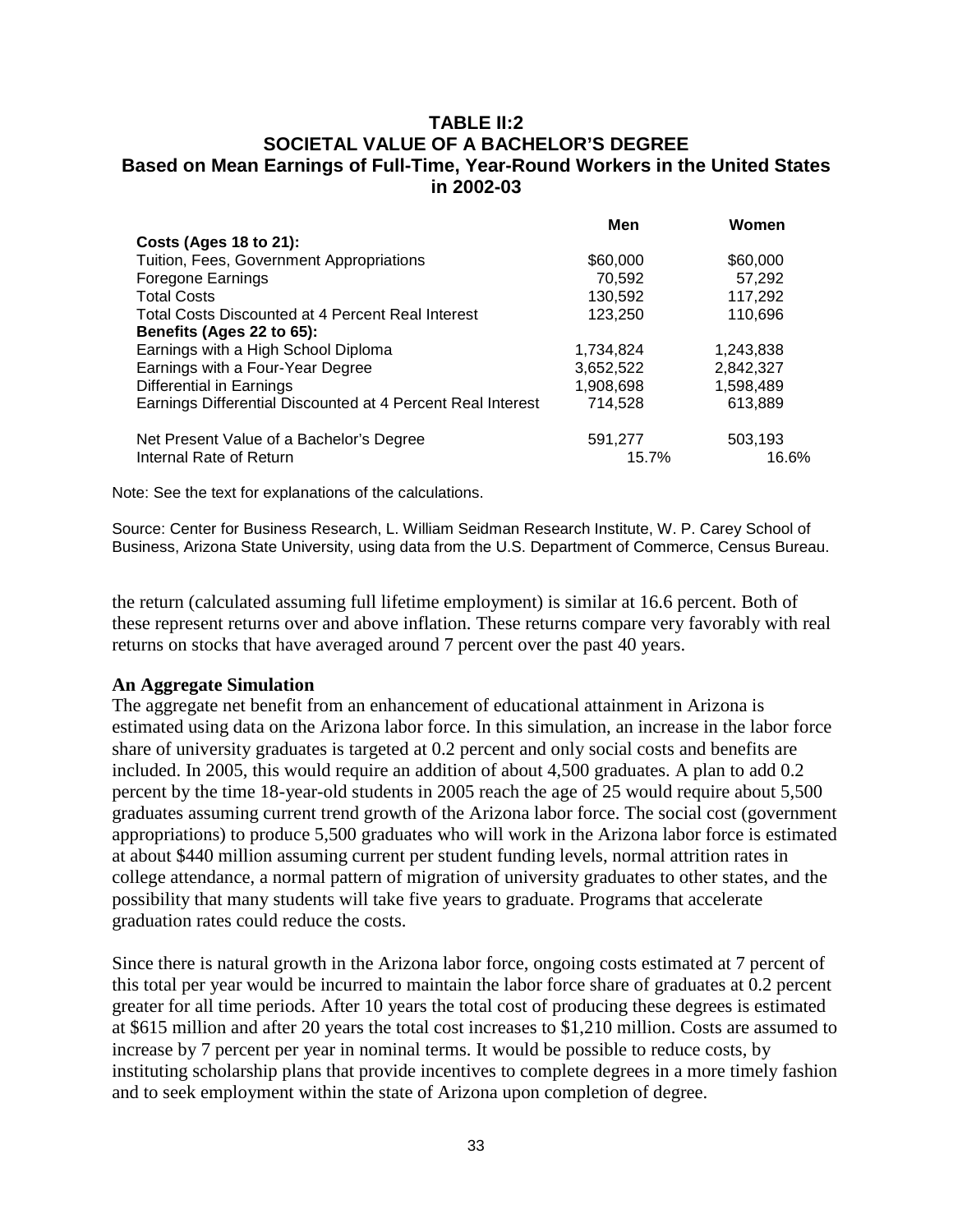## **TABLE II:2 SOCIETAL VALUE OF A BACHELOR'S DEGREE Based on Mean Earnings of Full-Time, Year-Round Workers in the United States in 2002-03**

|                                                             | Men       | Women     |
|-------------------------------------------------------------|-----------|-----------|
| Costs (Ages 18 to 21):                                      |           |           |
| Tuition, Fees, Government Appropriations                    | \$60,000  | \$60,000  |
| Foregone Earnings                                           | 70,592    | 57,292    |
| <b>Total Costs</b>                                          | 130,592   | 117,292   |
| <b>Total Costs Discounted at 4 Percent Real Interest</b>    | 123,250   | 110,696   |
| Benefits (Ages 22 to 65):                                   |           |           |
| Earnings with a High School Diploma                         | 1,734,824 | 1,243,838 |
| Earnings with a Four-Year Degree                            | 3,652,522 | 2,842,327 |
| Differential in Earnings                                    | 1,908,698 | 1,598,489 |
| Earnings Differential Discounted at 4 Percent Real Interest | 714.528   | 613,889   |
| Net Present Value of a Bachelor's Degree                    | 591,277   | 503,193   |
| Internal Rate of Return                                     | 15.7%     | 16.6%     |

Note: See the text for explanations of the calculations.

Source: Center for Business Research, L. William Seidman Research Institute, W. P. Carey School of Business, Arizona State University, using data from the U.S. Department of Commerce, Census Bureau.

the return (calculated assuming full lifetime employment) is similar at 16.6 percent. Both of these represent returns over and above inflation. These returns compare very favorably with real returns on stocks that have averaged around 7 percent over the past 40 years.

### **An Aggregate Simulation**

The aggregate net benefit from an enhancement of educational attainment in Arizona is estimated using data on the Arizona labor force. In this simulation, an increase in the labor force share of university graduates is targeted at 0.2 percent and only social costs and benefits are included. In 2005, this would require an addition of about 4,500 graduates. A plan to add 0.2 percent by the time 18-year-old students in 2005 reach the age of 25 would require about 5,500 graduates assuming current trend growth of the Arizona labor force. The social cost (government appropriations) to produce 5,500 graduates who will work in the Arizona labor force is estimated at about \$440 million assuming current per student funding levels, normal attrition rates in college attendance, a normal pattern of migration of university graduates to other states, and the possibility that many students will take five years to graduate. Programs that accelerate graduation rates could reduce the costs.

Since there is natural growth in the Arizona labor force, ongoing costs estimated at 7 percent of this total per year would be incurred to maintain the labor force share of graduates at 0.2 percent greater for all time periods. After 10 years the total cost of producing these degrees is estimated at \$615 million and after 20 years the total cost increases to \$1,210 million. Costs are assumed to increase by 7 percent per year in nominal terms. It would be possible to reduce costs, by instituting scholarship plans that provide incentives to complete degrees in a more timely fashion and to seek employment within the state of Arizona upon completion of degree.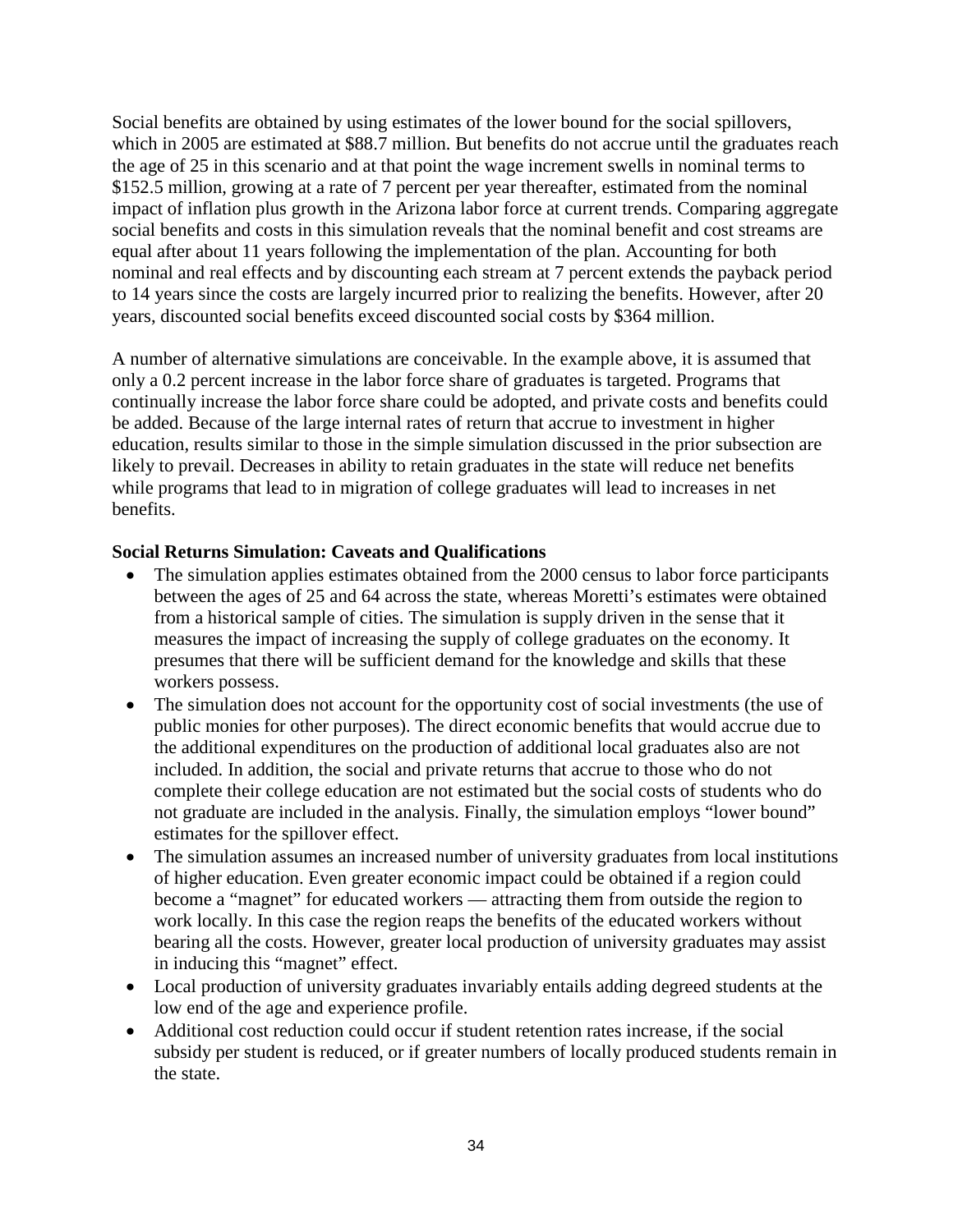Social benefits are obtained by using estimates of the lower bound for the social spillovers, which in 2005 are estimated at \$88.7 million. But benefits do not accrue until the graduates reach the age of 25 in this scenario and at that point the wage increment swells in nominal terms to \$152.5 million, growing at a rate of 7 percent per year thereafter, estimated from the nominal impact of inflation plus growth in the Arizona labor force at current trends. Comparing aggregate social benefits and costs in this simulation reveals that the nominal benefit and cost streams are equal after about 11 years following the implementation of the plan. Accounting for both nominal and real effects and by discounting each stream at 7 percent extends the payback period to 14 years since the costs are largely incurred prior to realizing the benefits. However, after 20 years, discounted social benefits exceed discounted social costs by \$364 million.

A number of alternative simulations are conceivable. In the example above, it is assumed that only a 0.2 percent increase in the labor force share of graduates is targeted. Programs that continually increase the labor force share could be adopted, and private costs and benefits could be added. Because of the large internal rates of return that accrue to investment in higher education, results similar to those in the simple simulation discussed in the prior subsection are likely to prevail. Decreases in ability to retain graduates in the state will reduce net benefits while programs that lead to in migration of college graduates will lead to increases in net benefits.

## **Social Returns Simulation: Caveats and Qualifications**

- The simulation applies estimates obtained from the 2000 census to labor force participants between the ages of 25 and 64 across the state, whereas Moretti's estimates were obtained from a historical sample of cities. The simulation is supply driven in the sense that it measures the impact of increasing the supply of college graduates on the economy. It presumes that there will be sufficient demand for the knowledge and skills that these workers possess.
- The simulation does not account for the opportunity cost of social investments (the use of public monies for other purposes). The direct economic benefits that would accrue due to the additional expenditures on the production of additional local graduates also are not included. In addition, the social and private returns that accrue to those who do not complete their college education are not estimated but the social costs of students who do not graduate are included in the analysis. Finally, the simulation employs "lower bound" estimates for the spillover effect.
- The simulation assumes an increased number of university graduates from local institutions of higher education. Even greater economic impact could be obtained if a region could become a "magnet" for educated workers — attracting them from outside the region to work locally. In this case the region reaps the benefits of the educated workers without bearing all the costs. However, greater local production of university graduates may assist in inducing this "magnet" effect.
- Local production of university graduates invariably entails adding degreed students at the low end of the age and experience profile.
- Additional cost reduction could occur if student retention rates increase, if the social subsidy per student is reduced, or if greater numbers of locally produced students remain in the state.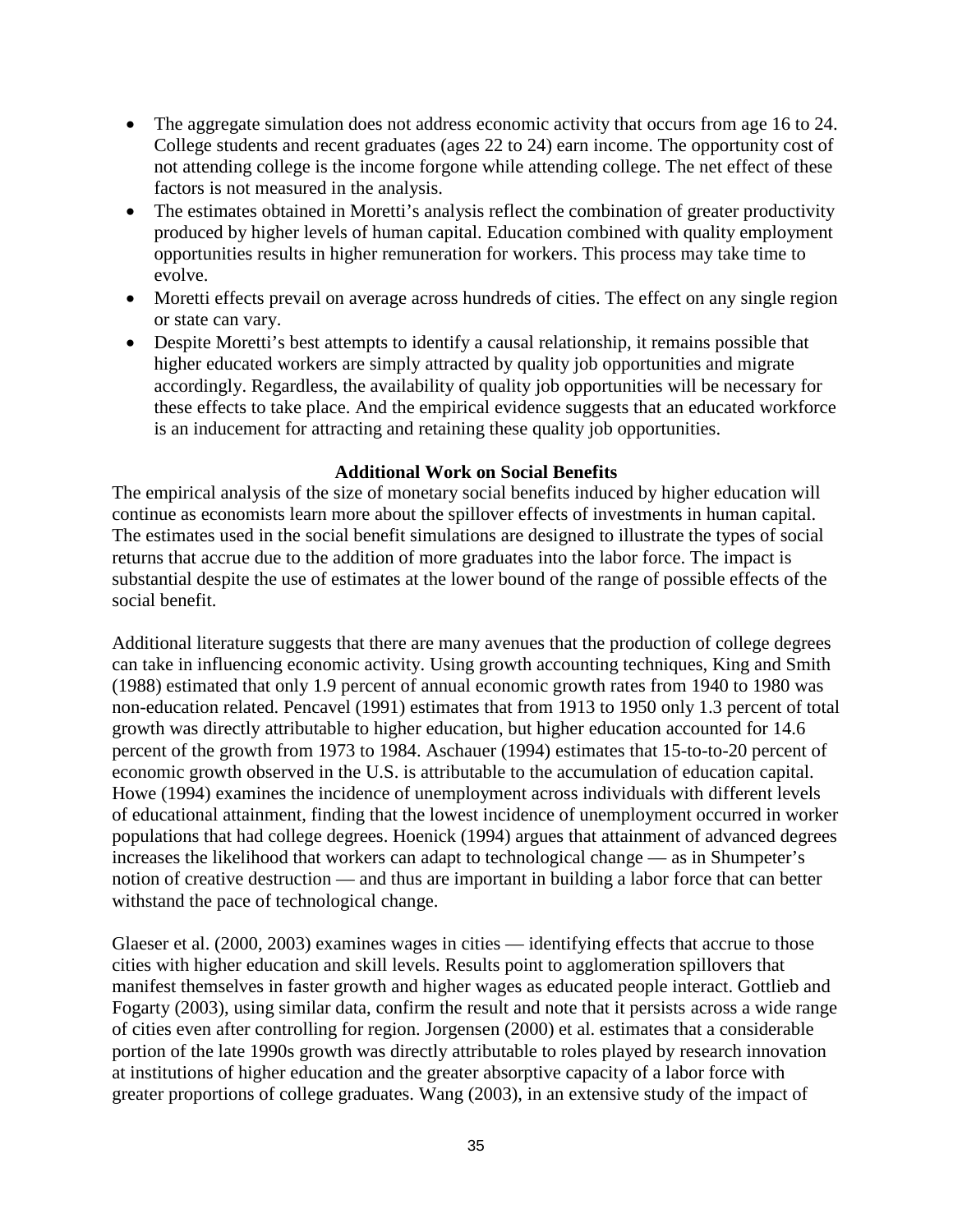- The aggregate simulation does not address economic activity that occurs from age 16 to 24. College students and recent graduates (ages 22 to 24) earn income. The opportunity cost of not attending college is the income forgone while attending college. The net effect of these factors is not measured in the analysis.
- The estimates obtained in Moretti's analysis reflect the combination of greater productivity produced by higher levels of human capital. Education combined with quality employment opportunities results in higher remuneration for workers. This process may take time to evolve.
- Moretti effects prevail on average across hundreds of cities. The effect on any single region or state can vary.
- Despite Moretti's best attempts to identify a causal relationship, it remains possible that higher educated workers are simply attracted by quality job opportunities and migrate accordingly. Regardless, the availability of quality job opportunities will be necessary for these effects to take place. And the empirical evidence suggests that an educated workforce is an inducement for attracting and retaining these quality job opportunities.

### **Additional Work on Social Benefits**

The empirical analysis of the size of monetary social benefits induced by higher education will continue as economists learn more about the spillover effects of investments in human capital. The estimates used in the social benefit simulations are designed to illustrate the types of social returns that accrue due to the addition of more graduates into the labor force. The impact is substantial despite the use of estimates at the lower bound of the range of possible effects of the social benefit.

Additional literature suggests that there are many avenues that the production of college degrees can take in influencing economic activity. Using growth accounting techniques, King and Smith (1988) estimated that only 1.9 percent of annual economic growth rates from 1940 to 1980 was non-education related. Pencavel (1991) estimates that from 1913 to 1950 only 1.3 percent of total growth was directly attributable to higher education, but higher education accounted for 14.6 percent of the growth from 1973 to 1984. Aschauer (1994) estimates that 15-to-to-20 percent of economic growth observed in the U.S. is attributable to the accumulation of education capital. Howe (1994) examines the incidence of unemployment across individuals with different levels of educational attainment, finding that the lowest incidence of unemployment occurred in worker populations that had college degrees. Hoenick (1994) argues that attainment of advanced degrees increases the likelihood that workers can adapt to technological change — as in Shumpeter's notion of creative destruction — and thus are important in building a labor force that can better withstand the pace of technological change.

Glaeser et al. (2000, 2003) examines wages in cities — identifying effects that accrue to those cities with higher education and skill levels. Results point to agglomeration spillovers that manifest themselves in faster growth and higher wages as educated people interact. Gottlieb and Fogarty (2003), using similar data, confirm the result and note that it persists across a wide range of cities even after controlling for region. Jorgensen (2000) et al. estimates that a considerable portion of the late 1990s growth was directly attributable to roles played by research innovation at institutions of higher education and the greater absorptive capacity of a labor force with greater proportions of college graduates. Wang (2003), in an extensive study of the impact of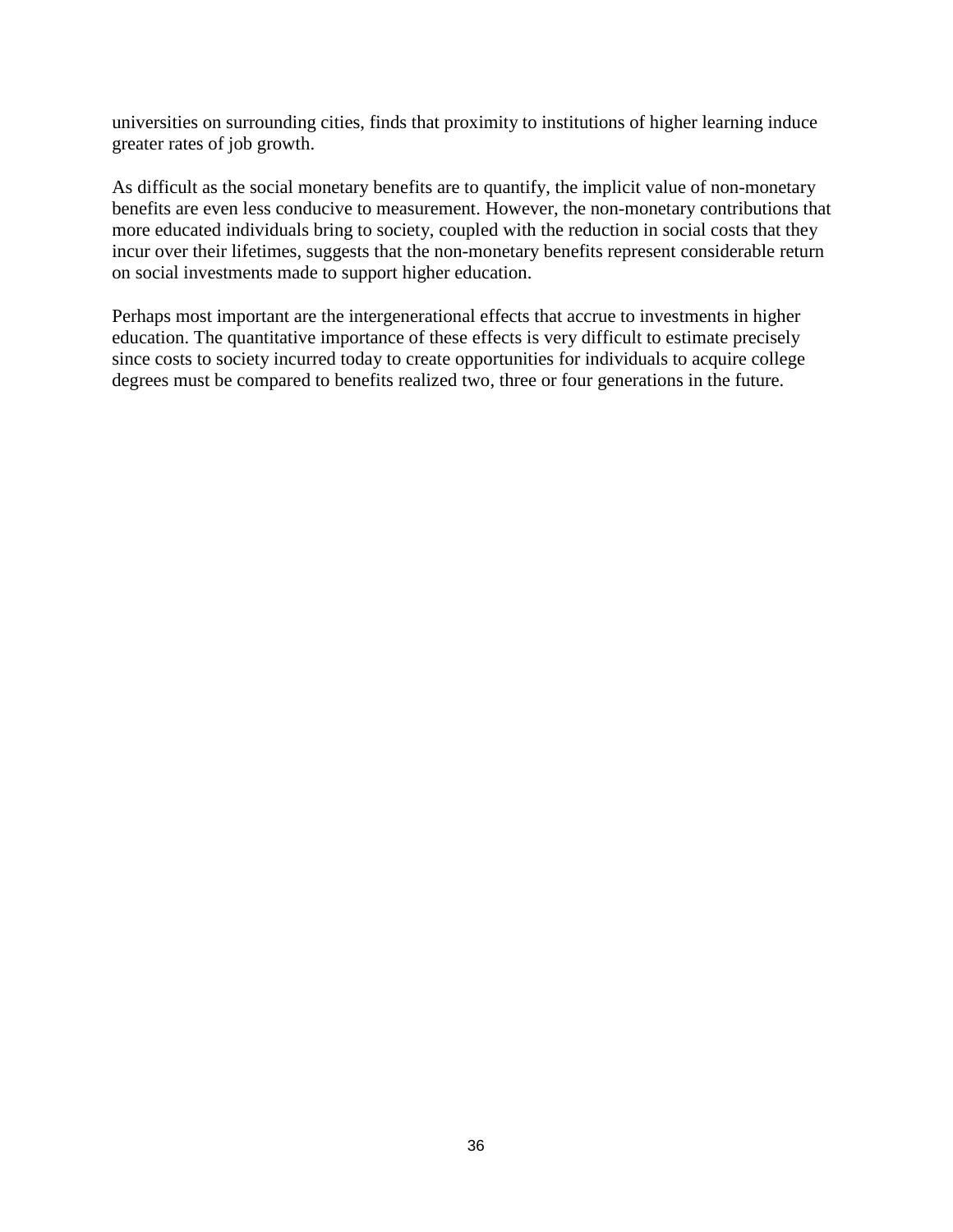universities on surrounding cities, finds that proximity to institutions of higher learning induce greater rates of job growth.

As difficult as the social monetary benefits are to quantify, the implicit value of non-monetary benefits are even less conducive to measurement. However, the non-monetary contributions that more educated individuals bring to society, coupled with the reduction in social costs that they incur over their lifetimes, suggests that the non-monetary benefits represent considerable return on social investments made to support higher education.

Perhaps most important are the intergenerational effects that accrue to investments in higher education. The quantitative importance of these effects is very difficult to estimate precisely since costs to society incurred today to create opportunities for individuals to acquire college degrees must be compared to benefits realized two, three or four generations in the future.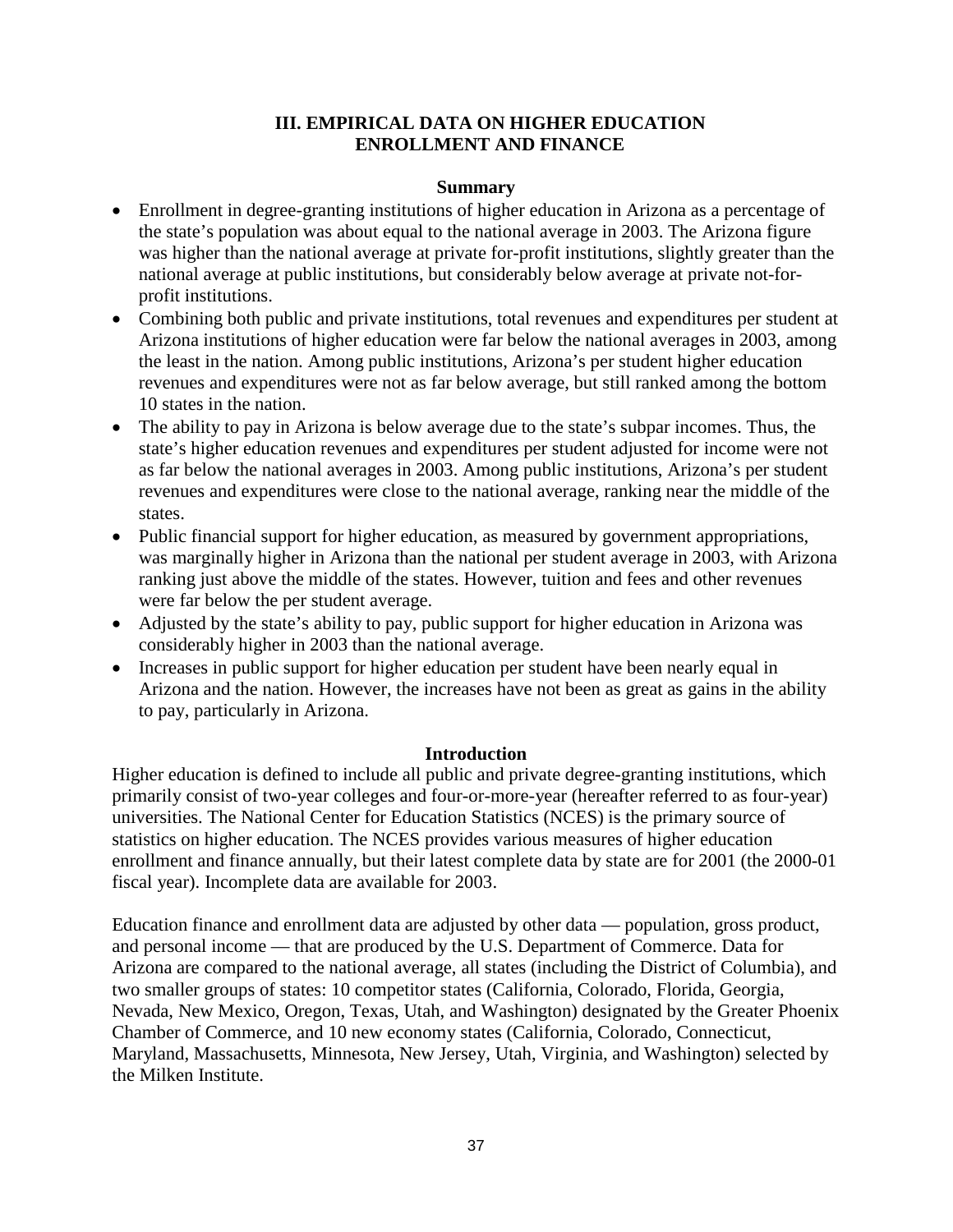## **III. EMPIRICAL DATA ON HIGHER EDUCATION ENROLLMENT AND FINANCE**

#### **Summary**

- Enrollment in degree-granting institutions of higher education in Arizona as a percentage of the state's population was about equal to the national average in 2003. The Arizona figure was higher than the national average at private for-profit institutions, slightly greater than the national average at public institutions, but considerably below average at private not-forprofit institutions.
- Combining both public and private institutions, total revenues and expenditures per student at Arizona institutions of higher education were far below the national averages in 2003, among the least in the nation. Among public institutions, Arizona's per student higher education revenues and expenditures were not as far below average, but still ranked among the bottom 10 states in the nation.
- The ability to pay in Arizona is below average due to the state's subpar incomes. Thus, the state's higher education revenues and expenditures per student adjusted for income were not as far below the national averages in 2003. Among public institutions, Arizona's per student revenues and expenditures were close to the national average, ranking near the middle of the states.
- Public financial support for higher education, as measured by government appropriations, was marginally higher in Arizona than the national per student average in 2003, with Arizona ranking just above the middle of the states. However, tuition and fees and other revenues were far below the per student average.
- Adjusted by the state's ability to pay, public support for higher education in Arizona was considerably higher in 2003 than the national average.
- Increases in public support for higher education per student have been nearly equal in Arizona and the nation. However, the increases have not been as great as gains in the ability to pay, particularly in Arizona.

### **Introduction**

Higher education is defined to include all public and private degree-granting institutions, which primarily consist of two-year colleges and four-or-more-year (hereafter referred to as four-year) universities. The National Center for Education Statistics (NCES) is the primary source of statistics on higher education. The NCES provides various measures of higher education enrollment and finance annually, but their latest complete data by state are for 2001 (the 2000-01 fiscal year). Incomplete data are available for 2003.

Education finance and enrollment data are adjusted by other data — population, gross product, and personal income — that are produced by the U.S. Department of Commerce. Data for Arizona are compared to the national average, all states (including the District of Columbia), and two smaller groups of states: 10 competitor states (California, Colorado, Florida, Georgia, Nevada, New Mexico, Oregon, Texas, Utah, and Washington) designated by the Greater Phoenix Chamber of Commerce, and 10 new economy states (California, Colorado, Connecticut, Maryland, Massachusetts, Minnesota, New Jersey, Utah, Virginia, and Washington) selected by the Milken Institute.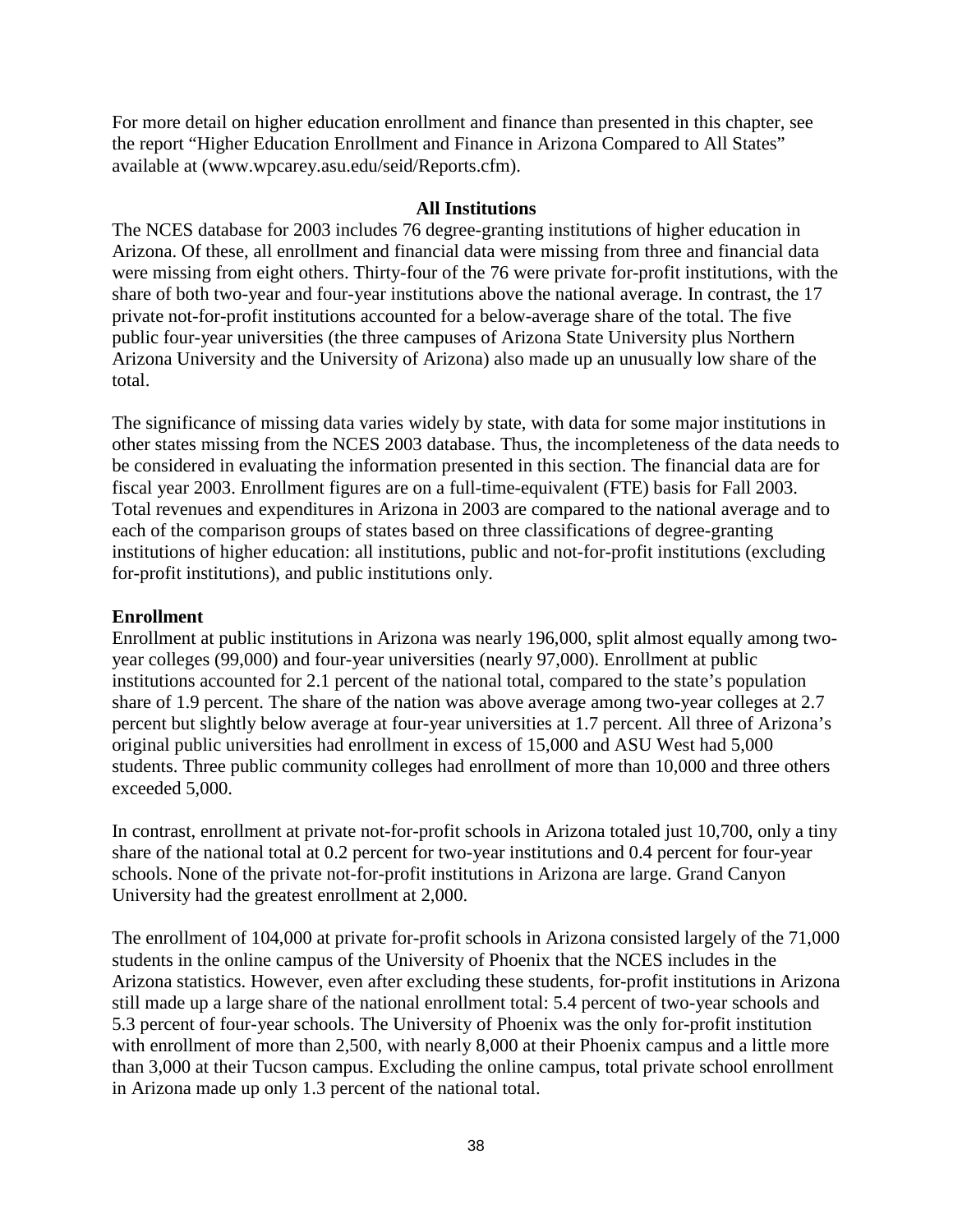For more detail on higher education enrollment and finance than presented in this chapter, see the report "Higher Education Enrollment and Finance in Arizona Compared to All States" available at (www.wpcarey.asu.edu/seid/Reports.cfm).

#### **All Institutions**

The NCES database for 2003 includes 76 degree-granting institutions of higher education in Arizona. Of these, all enrollment and financial data were missing from three and financial data were missing from eight others. Thirty-four of the 76 were private for-profit institutions, with the share of both two-year and four-year institutions above the national average. In contrast, the 17 private not-for-profit institutions accounted for a below-average share of the total. The five public four-year universities (the three campuses of Arizona State University plus Northern Arizona University and the University of Arizona) also made up an unusually low share of the total.

The significance of missing data varies widely by state, with data for some major institutions in other states missing from the NCES 2003 database. Thus, the incompleteness of the data needs to be considered in evaluating the information presented in this section. The financial data are for fiscal year 2003. Enrollment figures are on a full-time-equivalent (FTE) basis for Fall 2003. Total revenues and expenditures in Arizona in 2003 are compared to the national average and to each of the comparison groups of states based on three classifications of degree-granting institutions of higher education: all institutions, public and not-for-profit institutions (excluding for-profit institutions), and public institutions only.

### **Enrollment**

Enrollment at public institutions in Arizona was nearly 196,000, split almost equally among twoyear colleges (99,000) and four-year universities (nearly 97,000). Enrollment at public institutions accounted for 2.1 percent of the national total, compared to the state's population share of 1.9 percent. The share of the nation was above average among two-year colleges at 2.7 percent but slightly below average at four-year universities at 1.7 percent. All three of Arizona's original public universities had enrollment in excess of 15,000 and ASU West had 5,000 students. Three public community colleges had enrollment of more than 10,000 and three others exceeded 5,000.

In contrast, enrollment at private not-for-profit schools in Arizona totaled just 10,700, only a tiny share of the national total at 0.2 percent for two-year institutions and 0.4 percent for four-year schools. None of the private not-for-profit institutions in Arizona are large. Grand Canyon University had the greatest enrollment at 2,000.

The enrollment of 104,000 at private for-profit schools in Arizona consisted largely of the 71,000 students in the online campus of the University of Phoenix that the NCES includes in the Arizona statistics. However, even after excluding these students, for-profit institutions in Arizona still made up a large share of the national enrollment total: 5.4 percent of two-year schools and 5.3 percent of four-year schools. The University of Phoenix was the only for-profit institution with enrollment of more than 2,500, with nearly 8,000 at their Phoenix campus and a little more than 3,000 at their Tucson campus. Excluding the online campus, total private school enrollment in Arizona made up only 1.3 percent of the national total.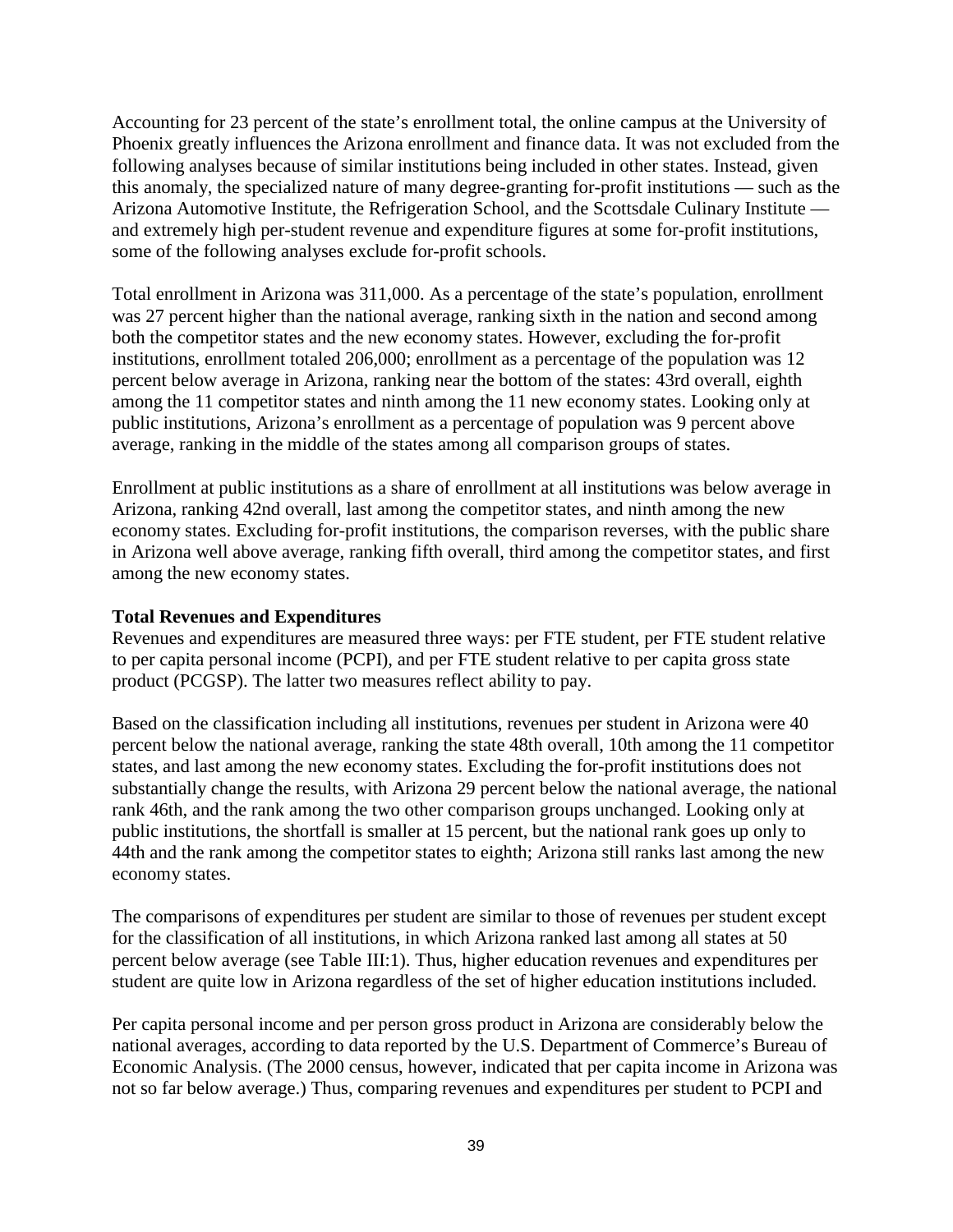Accounting for 23 percent of the state's enrollment total, the online campus at the University of Phoenix greatly influences the Arizona enrollment and finance data. It was not excluded from the following analyses because of similar institutions being included in other states. Instead, given this anomaly, the specialized nature of many degree-granting for-profit institutions — such as the Arizona Automotive Institute, the Refrigeration School, and the Scottsdale Culinary Institute and extremely high per-student revenue and expenditure figures at some for-profit institutions, some of the following analyses exclude for-profit schools.

Total enrollment in Arizona was 311,000. As a percentage of the state's population, enrollment was 27 percent higher than the national average, ranking sixth in the nation and second among both the competitor states and the new economy states. However, excluding the for-profit institutions, enrollment totaled 206,000; enrollment as a percentage of the population was 12 percent below average in Arizona, ranking near the bottom of the states: 43rd overall, eighth among the 11 competitor states and ninth among the 11 new economy states. Looking only at public institutions, Arizona's enrollment as a percentage of population was 9 percent above average, ranking in the middle of the states among all comparison groups of states.

Enrollment at public institutions as a share of enrollment at all institutions was below average in Arizona, ranking 42nd overall, last among the competitor states, and ninth among the new economy states. Excluding for-profit institutions, the comparison reverses, with the public share in Arizona well above average, ranking fifth overall, third among the competitor states, and first among the new economy states.

### **Total Revenues and Expenditures**

Revenues and expenditures are measured three ways: per FTE student, per FTE student relative to per capita personal income (PCPI), and per FTE student relative to per capita gross state product (PCGSP). The latter two measures reflect ability to pay.

Based on the classification including all institutions, revenues per student in Arizona were 40 percent below the national average, ranking the state 48th overall, 10th among the 11 competitor states, and last among the new economy states. Excluding the for-profit institutions does not substantially change the results, with Arizona 29 percent below the national average, the national rank 46th, and the rank among the two other comparison groups unchanged. Looking only at public institutions, the shortfall is smaller at 15 percent, but the national rank goes up only to 44th and the rank among the competitor states to eighth; Arizona still ranks last among the new economy states.

The comparisons of expenditures per student are similar to those of revenues per student except for the classification of all institutions, in which Arizona ranked last among all states at 50 percent below average (see Table III:1). Thus, higher education revenues and expenditures per student are quite low in Arizona regardless of the set of higher education institutions included.

Per capita personal income and per person gross product in Arizona are considerably below the national averages, according to data reported by the U.S. Department of Commerce's Bureau of Economic Analysis. (The 2000 census, however, indicated that per capita income in Arizona was not so far below average.) Thus, comparing revenues and expenditures per student to PCPI and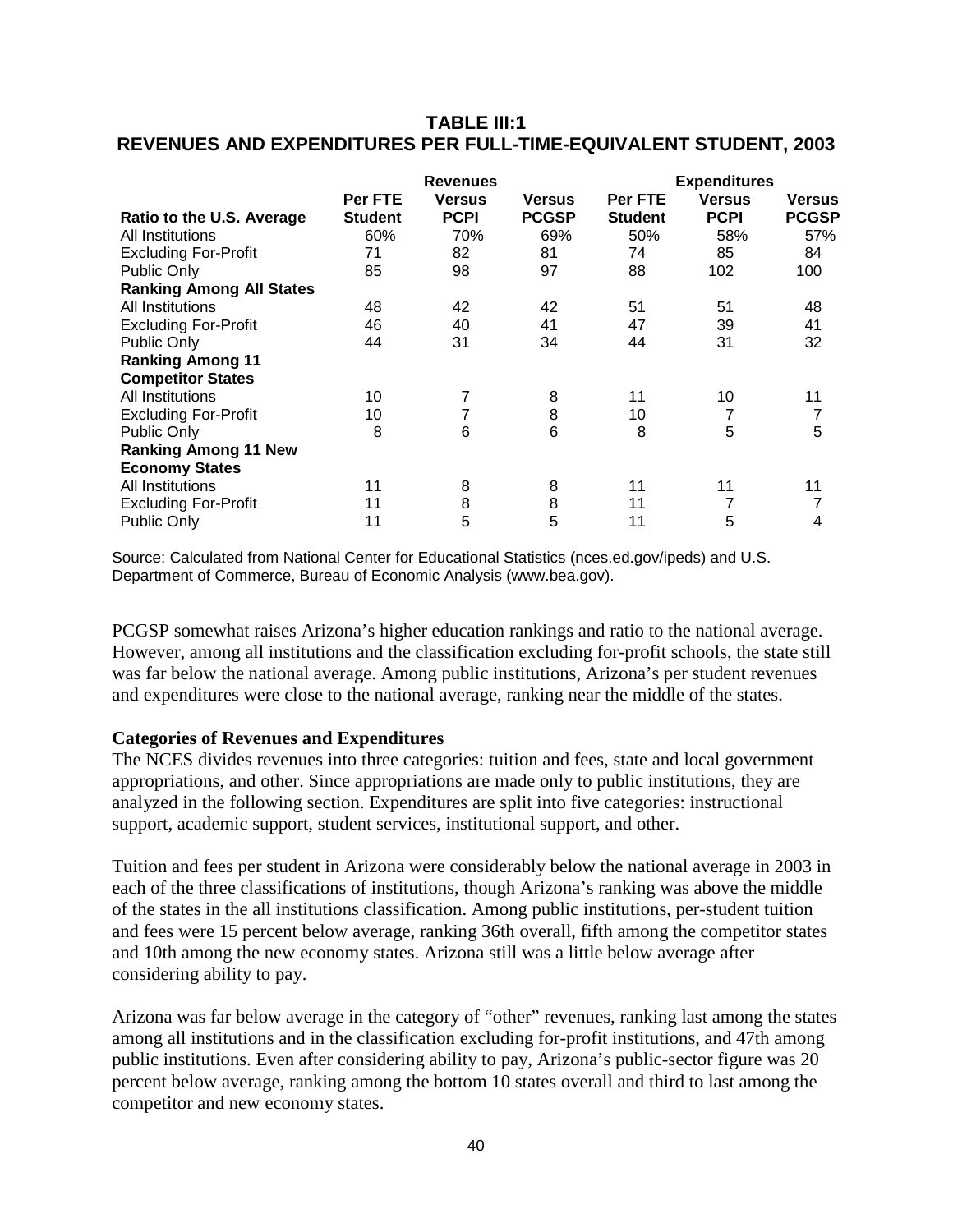## **TABLE III:1 REVENUES AND EXPENDITURES PER FULL-TIME-EQUIVALENT STUDENT, 2003**

|                                 |                           | <b>Revenues</b>              |                               |                           | <b>Expenditures</b>          |                        |
|---------------------------------|---------------------------|------------------------------|-------------------------------|---------------------------|------------------------------|------------------------|
| Ratio to the U.S. Average       | Per FTE<br><b>Student</b> | <b>Versus</b><br><b>PCPI</b> | <b>Versus</b><br><b>PCGSP</b> | Per FTE<br><b>Student</b> | <b>Versus</b><br><b>PCPI</b> | Versus<br><b>PCGSP</b> |
| All Institutions                | 60%                       | 70%                          | 69%                           | 50%                       | 58%                          | 57%                    |
| <b>Excluding For-Profit</b>     | 71                        | 82                           | 81                            | 74                        | 85                           | 84                     |
| Public Only                     | 85                        | 98                           | 97                            | 88                        | 102                          | 100                    |
| <b>Ranking Among All States</b> |                           |                              |                               |                           |                              |                        |
| All Institutions                | 48                        | 42                           | 42                            | 51                        | 51                           | 48                     |
| <b>Excluding For-Profit</b>     | 46                        | 40                           | 41                            | 47                        | 39                           | 41                     |
| Public Only                     | 44                        | 31                           | 34                            | 44                        | 31                           | 32                     |
| <b>Ranking Among 11</b>         |                           |                              |                               |                           |                              |                        |
| <b>Competitor States</b>        |                           |                              |                               |                           |                              |                        |
| All Institutions                | 10                        | 7                            | 8                             | 11                        | 10                           | 11                     |
| <b>Excluding For-Profit</b>     | 10                        | 7                            | 8                             | 10                        |                              | 7                      |
| Public Only                     | 8                         | 6                            | 6                             | 8                         | 5                            | 5                      |
| <b>Ranking Among 11 New</b>     |                           |                              |                               |                           |                              |                        |
| <b>Economy States</b>           |                           |                              |                               |                           |                              |                        |
| All Institutions                | 11                        | 8                            | 8                             | 11                        | 11                           | 11                     |
| <b>Excluding For-Profit</b>     | 11                        | 8                            | 8                             | 11                        |                              | 7                      |
| <b>Public Only</b>              | 11                        | 5                            | 5                             | 11                        | 5                            | 4                      |

Source: Calculated from National Center for Educational Statistics (nces.ed.gov/ipeds) and U.S. Department of Commerce, Bureau of Economic Analysis (www.bea.gov).

PCGSP somewhat raises Arizona's higher education rankings and ratio to the national average. However, among all institutions and the classification excluding for-profit schools, the state still was far below the national average. Among public institutions, Arizona's per student revenues and expenditures were close to the national average, ranking near the middle of the states.

### **Categories of Revenues and Expenditures**

The NCES divides revenues into three categories: tuition and fees, state and local government appropriations, and other. Since appropriations are made only to public institutions, they are analyzed in the following section. Expenditures are split into five categories: instructional support, academic support, student services, institutional support, and other.

Tuition and fees per student in Arizona were considerably below the national average in 2003 in each of the three classifications of institutions, though Arizona's ranking was above the middle of the states in the all institutions classification. Among public institutions, per-student tuition and fees were 15 percent below average, ranking 36th overall, fifth among the competitor states and 10th among the new economy states. Arizona still was a little below average after considering ability to pay.

Arizona was far below average in the category of "other" revenues, ranking last among the states among all institutions and in the classification excluding for-profit institutions, and 47th among public institutions. Even after considering ability to pay, Arizona's public-sector figure was 20 percent below average, ranking among the bottom 10 states overall and third to last among the competitor and new economy states.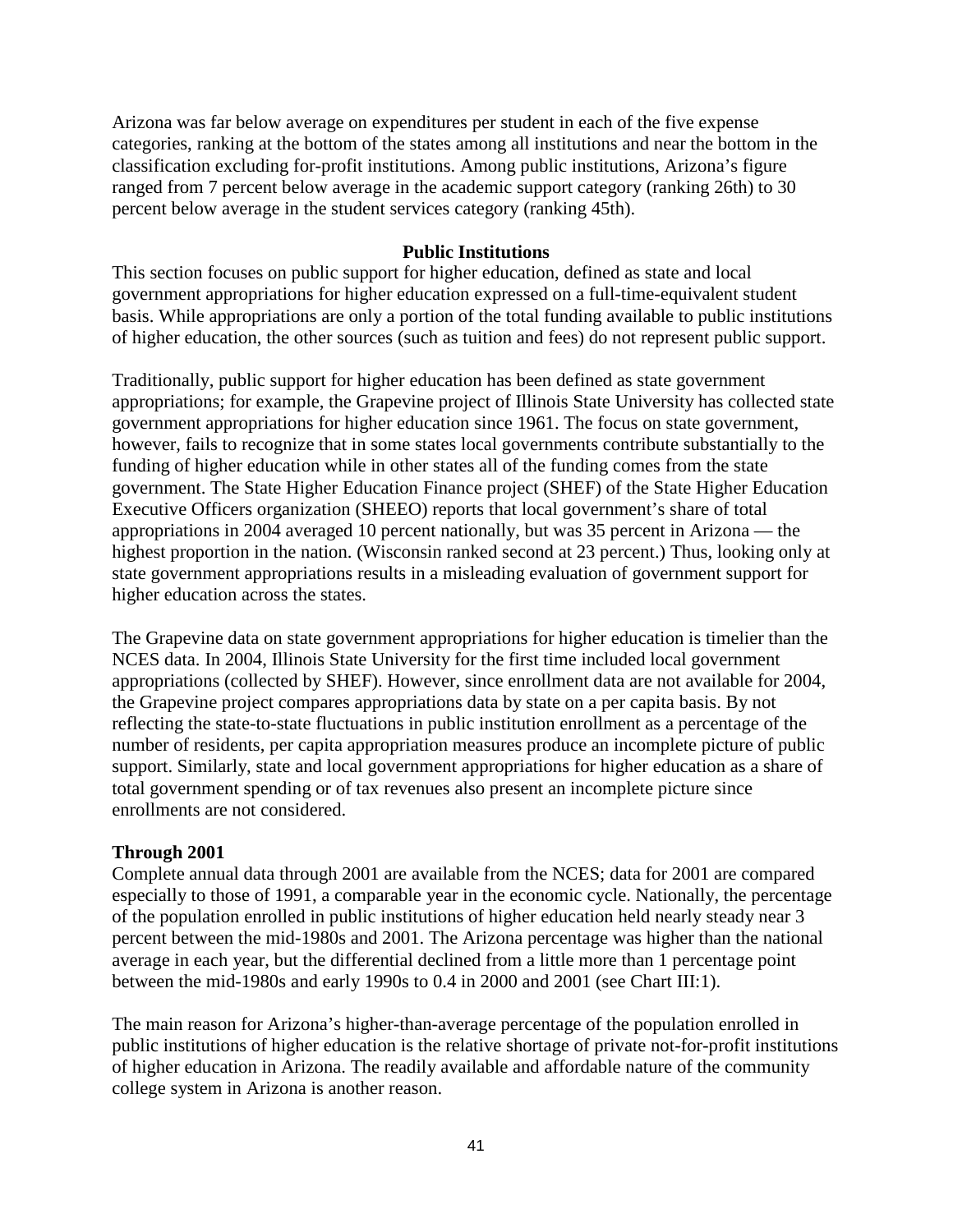Arizona was far below average on expenditures per student in each of the five expense categories, ranking at the bottom of the states among all institutions and near the bottom in the classification excluding for-profit institutions. Among public institutions, Arizona's figure ranged from 7 percent below average in the academic support category (ranking 26th) to 30 percent below average in the student services category (ranking 45th).

### **Public Institutions**

This section focuses on public support for higher education, defined as state and local government appropriations for higher education expressed on a full-time-equivalent student basis. While appropriations are only a portion of the total funding available to public institutions of higher education, the other sources (such as tuition and fees) do not represent public support.

Traditionally, public support for higher education has been defined as state government appropriations; for example, the Grapevine project of Illinois State University has collected state government appropriations for higher education since 1961. The focus on state government, however, fails to recognize that in some states local governments contribute substantially to the funding of higher education while in other states all of the funding comes from the state government. The State Higher Education Finance project (SHEF) of the State Higher Education Executive Officers organization (SHEEO) reports that local government's share of total appropriations in 2004 averaged 10 percent nationally, but was 35 percent in Arizona — the highest proportion in the nation. (Wisconsin ranked second at 23 percent.) Thus, looking only at state government appropriations results in a misleading evaluation of government support for higher education across the states.

The Grapevine data on state government appropriations for higher education is timelier than the NCES data. In 2004, Illinois State University for the first time included local government appropriations (collected by SHEF). However, since enrollment data are not available for 2004, the Grapevine project compares appropriations data by state on a per capita basis. By not reflecting the state-to-state fluctuations in public institution enrollment as a percentage of the number of residents, per capita appropriation measures produce an incomplete picture of public support. Similarly, state and local government appropriations for higher education as a share of total government spending or of tax revenues also present an incomplete picture since enrollments are not considered.

### **Through 2001**

Complete annual data through 2001 are available from the NCES; data for 2001 are compared especially to those of 1991, a comparable year in the economic cycle. Nationally, the percentage of the population enrolled in public institutions of higher education held nearly steady near 3 percent between the mid-1980s and 2001. The Arizona percentage was higher than the national average in each year, but the differential declined from a little more than 1 percentage point between the mid-1980s and early 1990s to 0.4 in 2000 and 2001 (see Chart III:1).

The main reason for Arizona's higher-than-average percentage of the population enrolled in public institutions of higher education is the relative shortage of private not-for-profit institutions of higher education in Arizona. The readily available and affordable nature of the community college system in Arizona is another reason.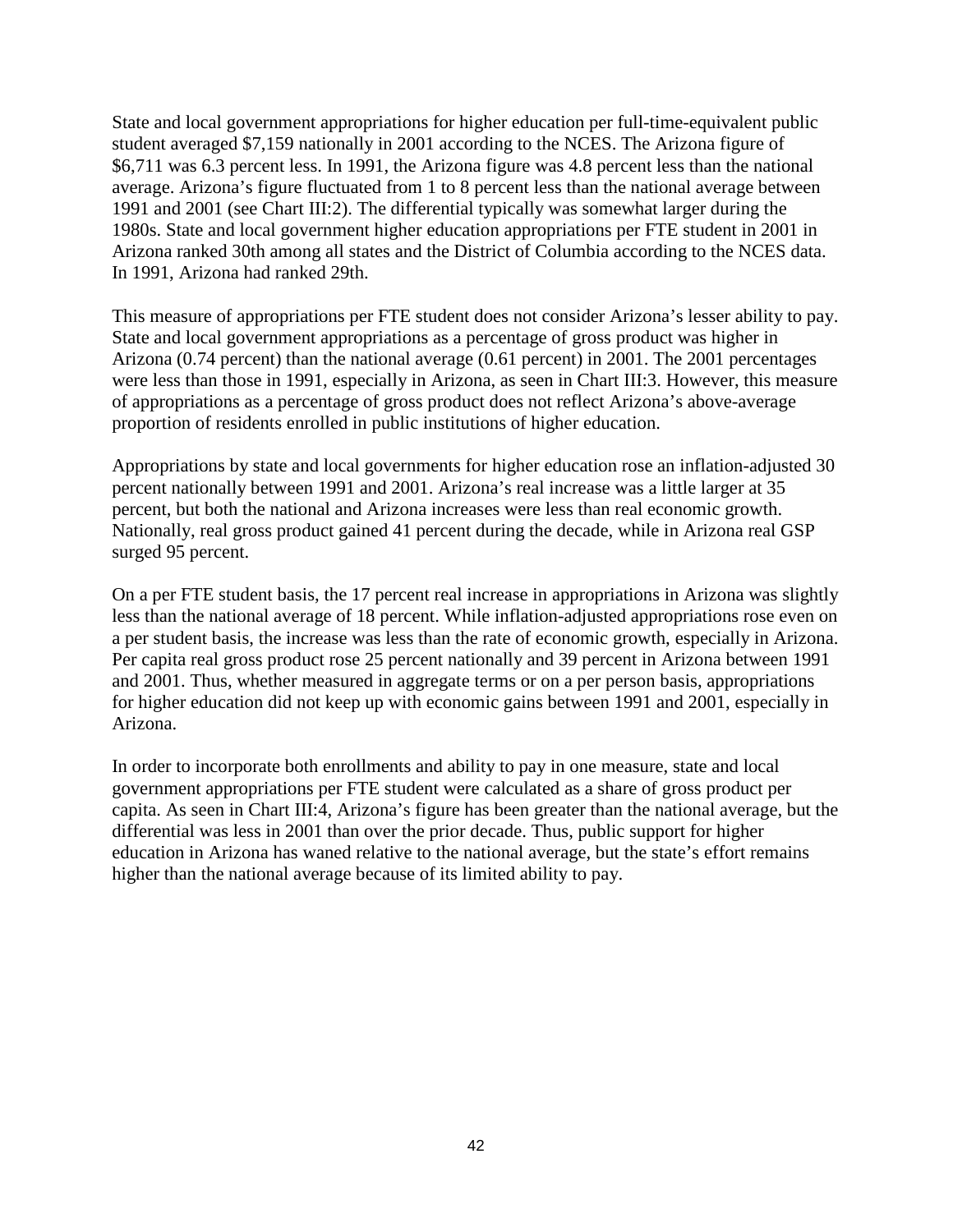State and local government appropriations for higher education per full-time-equivalent public student averaged \$7,159 nationally in 2001 according to the NCES. The Arizona figure of \$6,711 was 6.3 percent less. In 1991, the Arizona figure was 4.8 percent less than the national average. Arizona's figure fluctuated from 1 to 8 percent less than the national average between 1991 and 2001 (see Chart III:2). The differential typically was somewhat larger during the 1980s. State and local government higher education appropriations per FTE student in 2001 in Arizona ranked 30th among all states and the District of Columbia according to the NCES data. In 1991, Arizona had ranked 29th.

This measure of appropriations per FTE student does not consider Arizona's lesser ability to pay. State and local government appropriations as a percentage of gross product was higher in Arizona (0.74 percent) than the national average (0.61 percent) in 2001. The 2001 percentages were less than those in 1991, especially in Arizona, as seen in Chart III:3. However, this measure of appropriations as a percentage of gross product does not reflect Arizona's above-average proportion of residents enrolled in public institutions of higher education.

Appropriations by state and local governments for higher education rose an inflation-adjusted 30 percent nationally between 1991 and 2001. Arizona's real increase was a little larger at 35 percent, but both the national and Arizona increases were less than real economic growth. Nationally, real gross product gained 41 percent during the decade, while in Arizona real GSP surged 95 percent.

On a per FTE student basis, the 17 percent real increase in appropriations in Arizona was slightly less than the national average of 18 percent. While inflation-adjusted appropriations rose even on a per student basis, the increase was less than the rate of economic growth, especially in Arizona. Per capita real gross product rose 25 percent nationally and 39 percent in Arizona between 1991 and 2001. Thus, whether measured in aggregate terms or on a per person basis, appropriations for higher education did not keep up with economic gains between 1991 and 2001, especially in Arizona.

In order to incorporate both enrollments and ability to pay in one measure, state and local government appropriations per FTE student were calculated as a share of gross product per capita. As seen in Chart III:4, Arizona's figure has been greater than the national average, but the differential was less in 2001 than over the prior decade. Thus, public support for higher education in Arizona has waned relative to the national average, but the state's effort remains higher than the national average because of its limited ability to pay.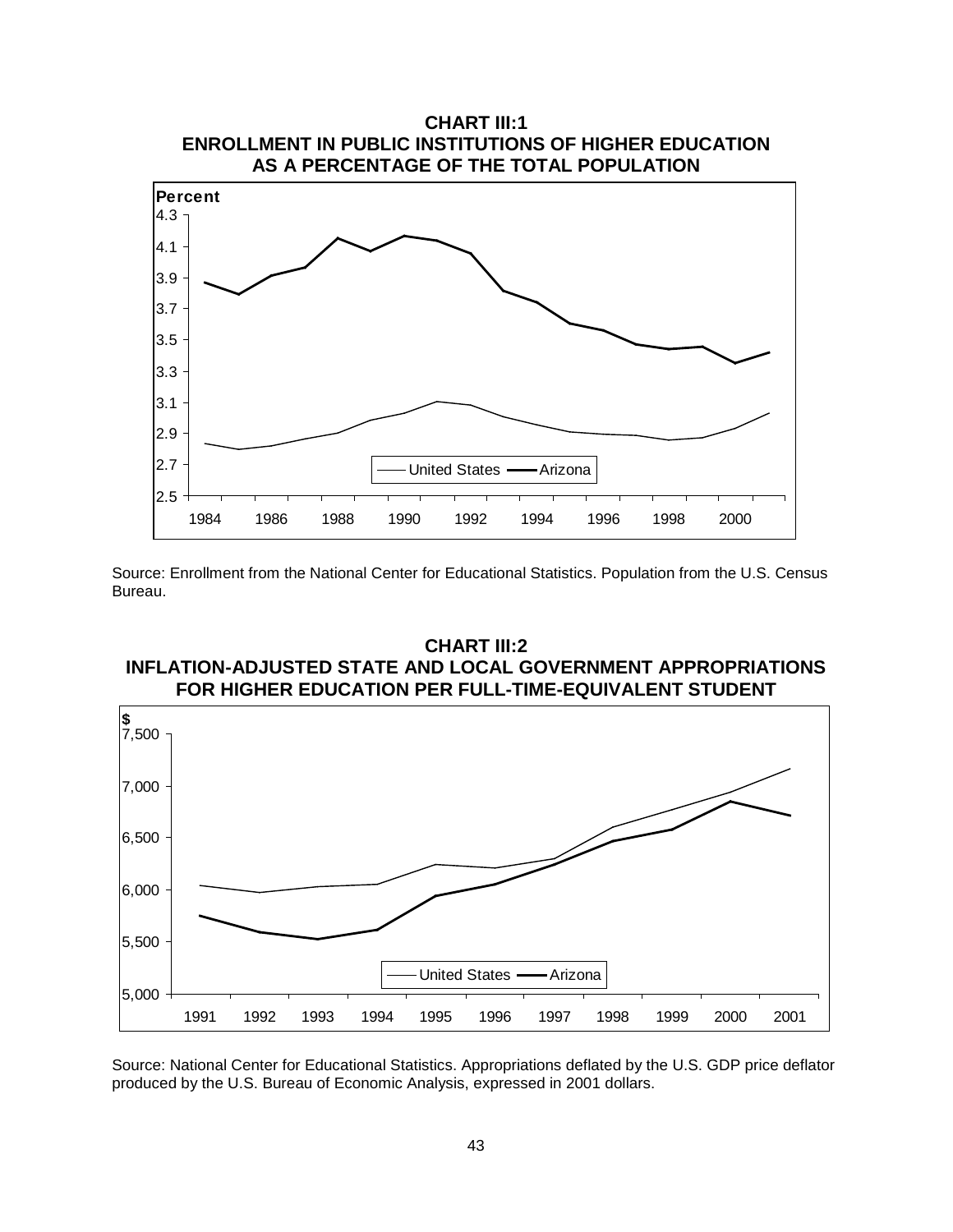

Source: Enrollment from the National Center for Educational Statistics. Population from the U.S. Census Bureau.

#### **CHART III:2 INFLATION-ADJUSTED STATE AND LOCAL GOVERNMENT APPROPRIATIONS FOR HIGHER EDUCATION PER FULL-TIME-EQUIVALENT STUDENT**



Source: National Center for Educational Statistics. Appropriations deflated by the U.S. GDP price deflator produced by the U.S. Bureau of Economic Analysis, expressed in 2001 dollars.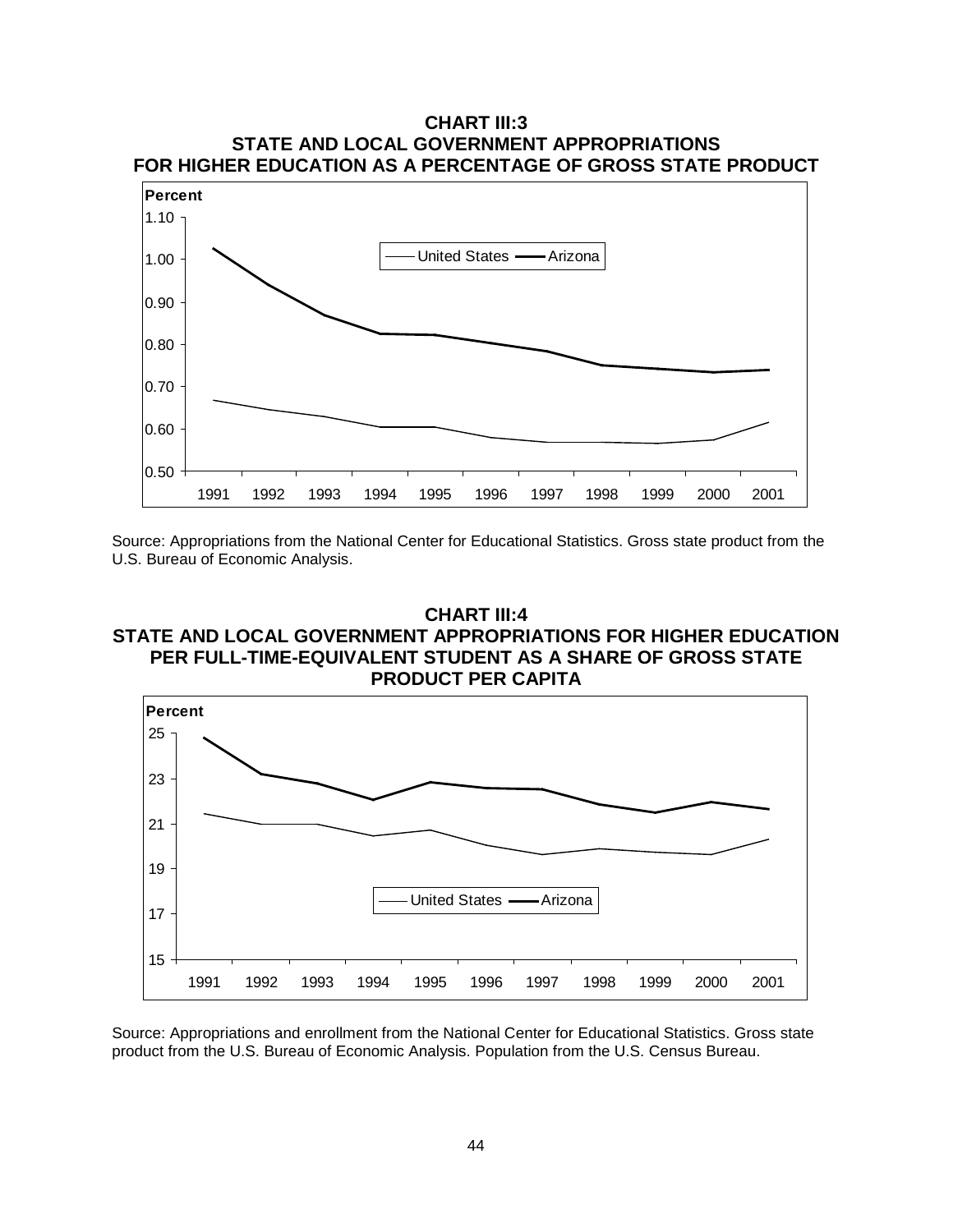

Source: Appropriations from the National Center for Educational Statistics. Gross state product from the U.S. Bureau of Economic Analysis.

## **CHART III:4 STATE AND LOCAL GOVERNMENT APPROPRIATIONS FOR HIGHER EDUCATION PER FULL-TIME-EQUIVALENT STUDENT AS A SHARE OF GROSS STATE PRODUCT PER CAPITA**



Source: Appropriations and enrollment from the National Center for Educational Statistics. Gross state product from the U.S. Bureau of Economic Analysis. Population from the U.S. Census Bureau.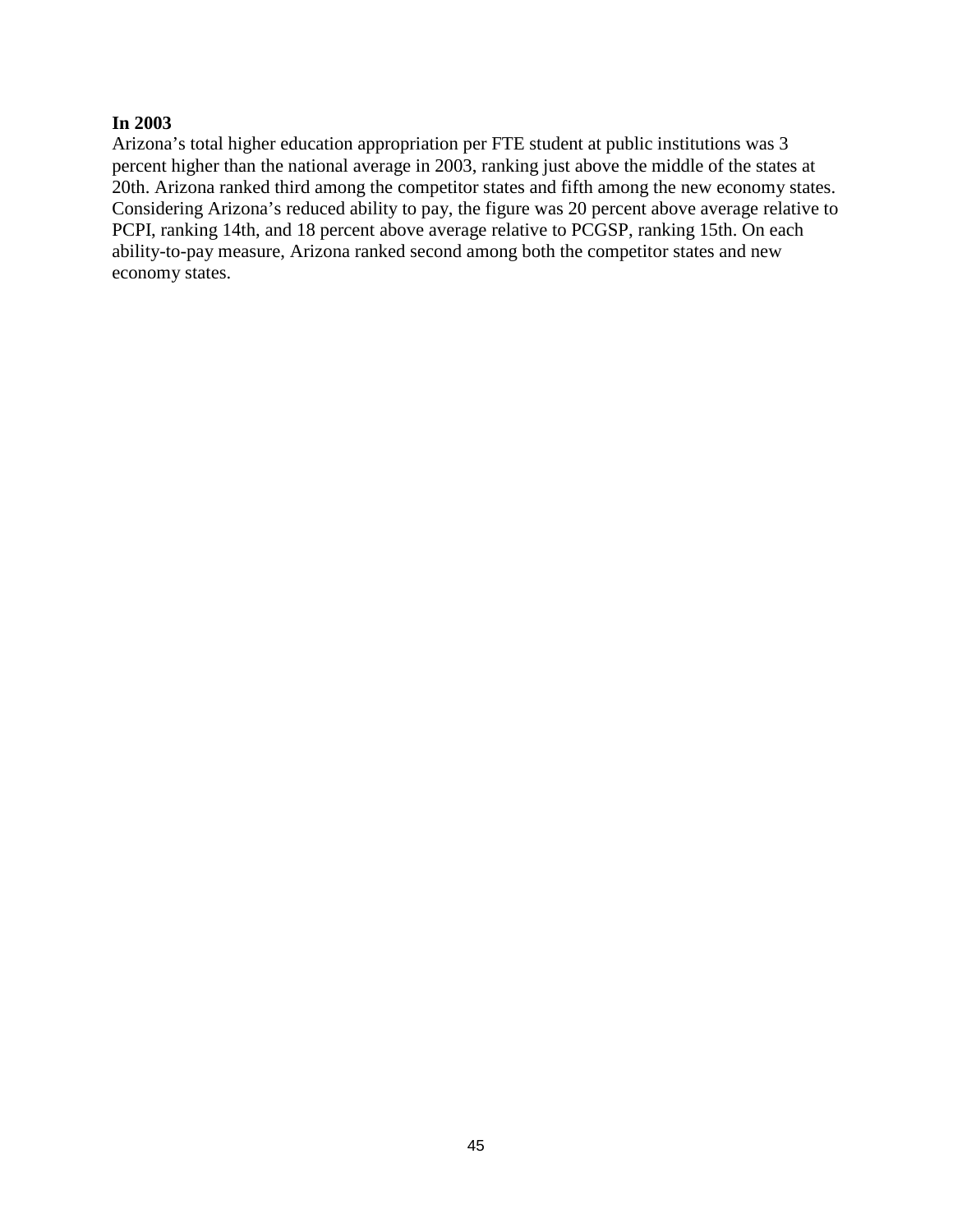## **In 2003**

Arizona's total higher education appropriation per FTE student at public institutions was 3 percent higher than the national average in 2003, ranking just above the middle of the states at 20th. Arizona ranked third among the competitor states and fifth among the new economy states. Considering Arizona's reduced ability to pay, the figure was 20 percent above average relative to PCPI, ranking 14th, and 18 percent above average relative to PCGSP, ranking 15th. On each ability-to-pay measure, Arizona ranked second among both the competitor states and new economy states.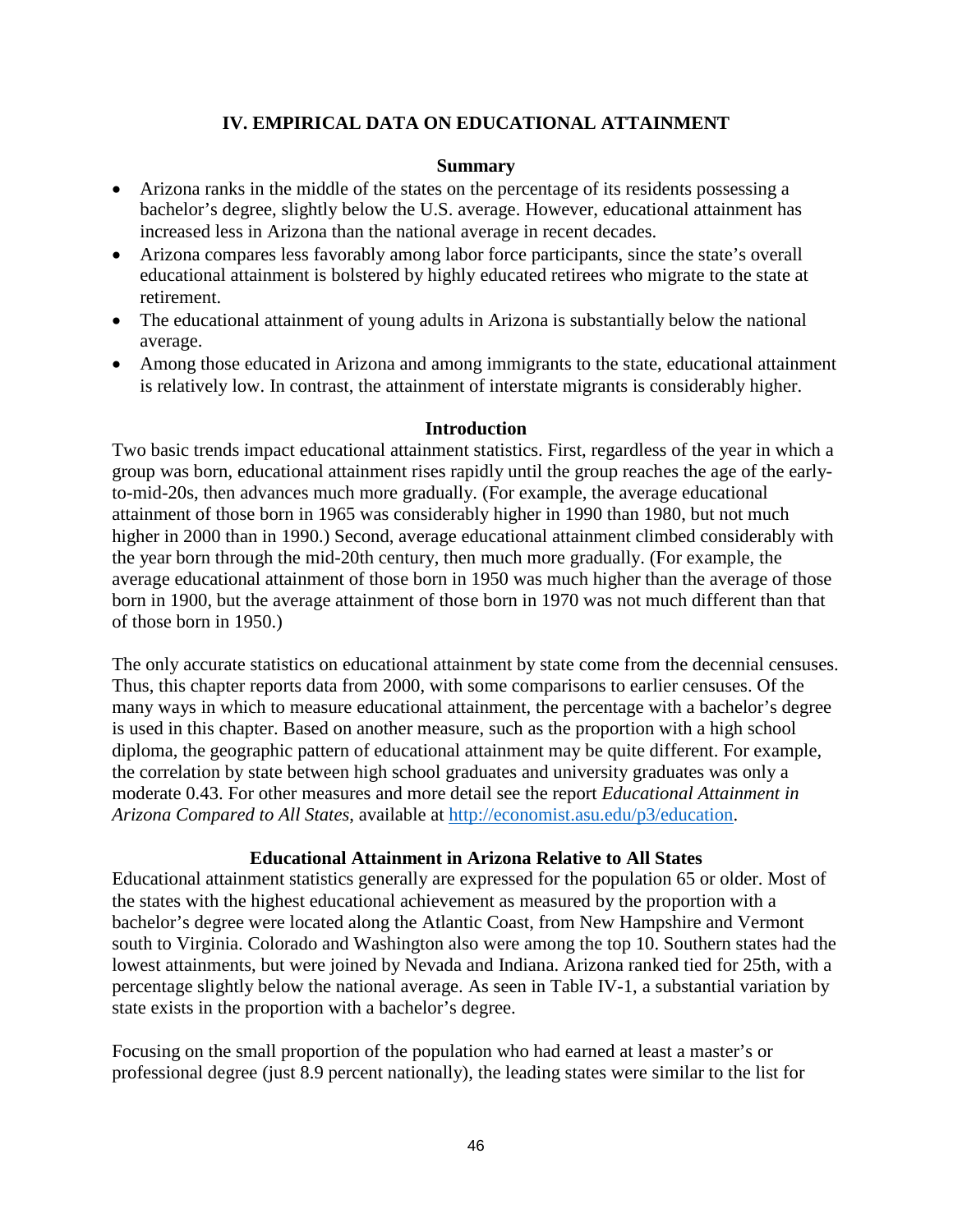## **IV. EMPIRICAL DATA ON EDUCATIONAL ATTAINMENT**

#### **Summary**

- Arizona ranks in the middle of the states on the percentage of its residents possessing a bachelor's degree, slightly below the U.S. average. However, educational attainment has increased less in Arizona than the national average in recent decades.
- Arizona compares less favorably among labor force participants, since the state's overall educational attainment is bolstered by highly educated retirees who migrate to the state at retirement.
- The educational attainment of young adults in Arizona is substantially below the national average.
- Among those educated in Arizona and among immigrants to the state, educational attainment is relatively low. In contrast, the attainment of interstate migrants is considerably higher.

#### **Introduction**

Two basic trends impact educational attainment statistics. First, regardless of the year in which a group was born, educational attainment rises rapidly until the group reaches the age of the earlyto-mid-20s, then advances much more gradually. (For example, the average educational attainment of those born in 1965 was considerably higher in 1990 than 1980, but not much higher in 2000 than in 1990.) Second, average educational attainment climbed considerably with the year born through the mid-20th century, then much more gradually. (For example, the average educational attainment of those born in 1950 was much higher than the average of those born in 1900, but the average attainment of those born in 1970 was not much different than that of those born in 1950.)

The only accurate statistics on educational attainment by state come from the decennial censuses. Thus, this chapter reports data from 2000, with some comparisons to earlier censuses. Of the many ways in which to measure educational attainment, the percentage with a bachelor's degree is used in this chapter. Based on another measure, such as the proportion with a high school diploma, the geographic pattern of educational attainment may be quite different. For example, the correlation by state between high school graduates and university graduates was only a moderate 0.43. For other measures and more detail see the report *Educational Attainment in Arizona Compared to All States*, available at [http://economist.asu.edu/p3/education.](http://economist.asu.edu/p3/education)

### **Educational Attainment in Arizona Relative to All States**

Educational attainment statistics generally are expressed for the population 65 or older. Most of the states with the highest educational achievement as measured by the proportion with a bachelor's degree were located along the Atlantic Coast, from New Hampshire and Vermont south to Virginia. Colorado and Washington also were among the top 10. Southern states had the lowest attainments, but were joined by Nevada and Indiana. Arizona ranked tied for 25th, with a percentage slightly below the national average. As seen in Table IV-1, a substantial variation by state exists in the proportion with a bachelor's degree.

Focusing on the small proportion of the population who had earned at least a master's or professional degree (just 8.9 percent nationally), the leading states were similar to the list for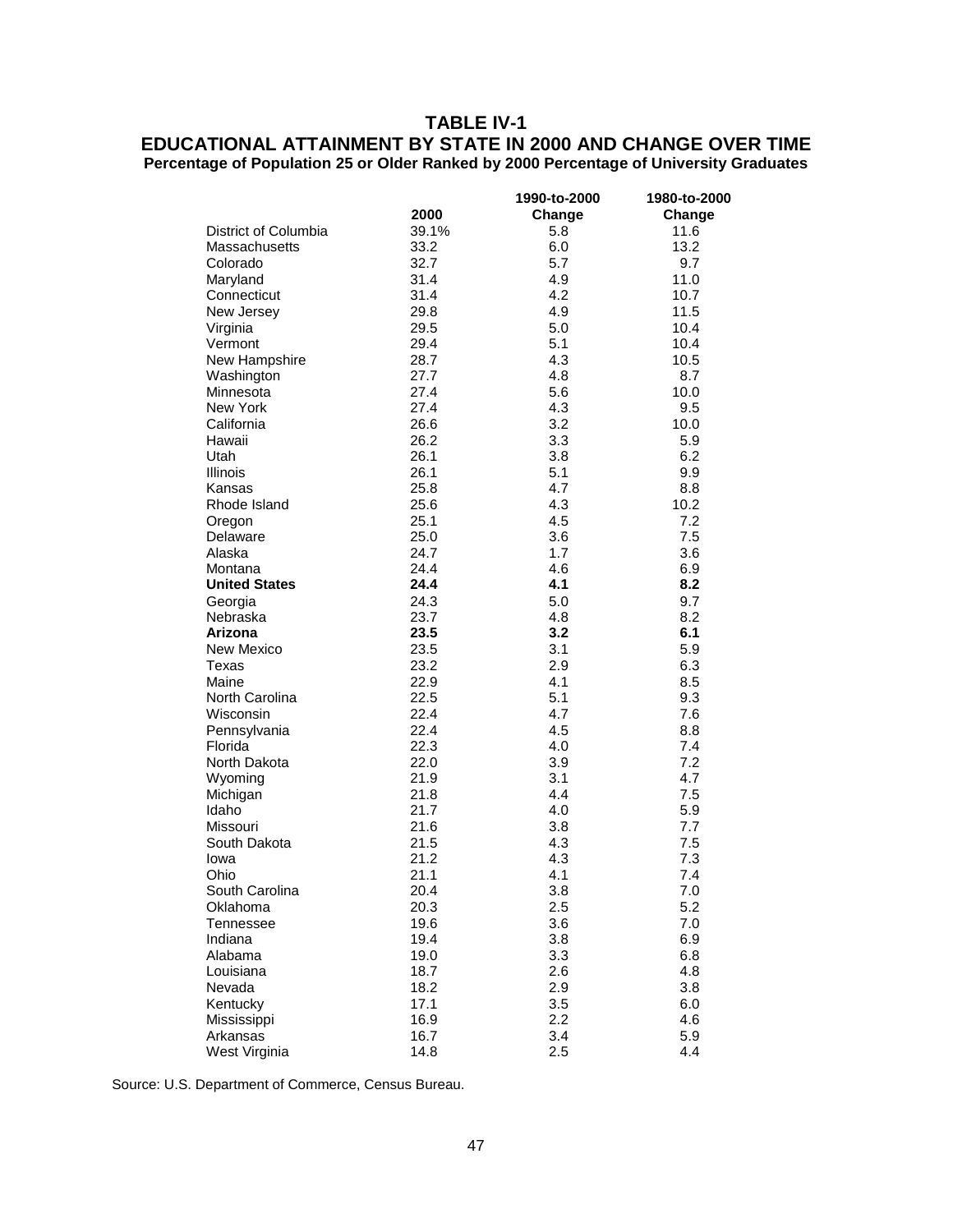# **TABLE IV-1**

## **EDUCATIONAL ATTAINMENT BY STATE IN 2000 AND CHANGE OVER TIME Percentage of Population 25 or Older Ranked by 2000 Percentage of University Graduates**

|                      |       | 1990-to-2000 | 1980-to-2000 |
|----------------------|-------|--------------|--------------|
|                      | 2000  | Change       | Change       |
| District of Columbia | 39.1% | 5.8          | 11.6         |
| <b>Massachusetts</b> | 33.2  | 6.0          | 13.2         |
| Colorado             | 32.7  | 5.7          | 9.7          |
| Maryland             | 31.4  | 4.9          | 11.0         |
| Connecticut          | 31.4  | 4.2          | 10.7         |
| New Jersey           | 29.8  | 4.9          | 11.5         |
| Virginia             | 29.5  | 5.0          | 10.4         |
| Vermont              | 29.4  | 5.1          | 10.4         |
| New Hampshire        | 28.7  | 4.3          | 10.5         |
| Washington           | 27.7  | 4.8          | 8.7          |
| Minnesota            | 27.4  | 5.6          | 10.0         |
| New York             | 27.4  | 4.3          | 9.5          |
| California           | 26.6  | 3.2          | 10.0         |
| Hawaii               | 26.2  | 3.3          | 5.9          |
| Utah                 | 26.1  | 3.8          | 6.2          |
| <b>Illinois</b>      | 26.1  | 5.1          | 9.9          |
| Kansas               | 25.8  | 4.7          | 8.8          |
| Rhode Island         | 25.6  | 4.3          | 10.2         |
| Oregon               | 25.1  | 4.5          | 7.2          |
| Delaware             | 25.0  | 3.6          | 7.5          |
| Alaska               | 24.7  | 1.7          | 3.6          |
| Montana              | 24.4  | 4.6          | 6.9          |
| <b>United States</b> | 24.4  | 4.1          | 8.2          |
| Georgia              | 24.3  | 5.0          | 9.7          |
| Nebraska             | 23.7  | 4.8          | 8.2          |
| Arizona              | 23.5  | 3.2          | 6.1          |
| New Mexico           | 23.5  | 3.1          | 5.9          |
| Texas                | 23.2  | 2.9          | 6.3          |
| Maine                | 22.9  | 4.1          | 8.5          |
| North Carolina       | 22.5  | 5.1          | 9.3          |
| Wisconsin            | 22.4  | 4.7          | 7.6          |
| Pennsylvania         | 22.4  | 4.5          | 8.8          |
| Florida              | 22.3  | 4.0          | 7.4          |
| North Dakota         | 22.0  | 3.9          | 7.2          |
| Wyoming              | 21.9  | 3.1          | 4.7          |
| Michigan             | 21.8  | 4.4          | 7.5          |
| Idaho                | 21.7  | 4.0          | 5.9          |
| Missouri             | 21.6  | 3.8          | 7.7          |
| South Dakota         | 21.5  | 4.3          | 7.5          |
| lowa                 | 21.2  | 4.3          | 7.3          |
| Ohio                 | 21.1  | 4.1          | 7.4          |
| South Carolina       | 20.4  | 3.8          | $7.0$        |
| Oklahoma             | 20.3  | 2.5          | 5.2          |
| Tennessee            | 19.6  | 3.6          | 7.0          |
| Indiana              | 19.4  | 3.8          | 6.9          |
| Alabama              | 19.0  | 3.3          | 6.8          |
| Louisiana            | 18.7  | 2.6          | 4.8          |
| Nevada               | 18.2  | 2.9          | 3.8          |
| Kentucky             | 17.1  | 3.5          | 6.0          |
| Mississippi          | 16.9  | 2.2          | 4.6          |
| Arkansas             | 16.7  | 3.4          | 5.9          |
| West Virginia        | 14.8  | 2.5          | 4.4          |

Source: U.S. Department of Commerce, Census Bureau.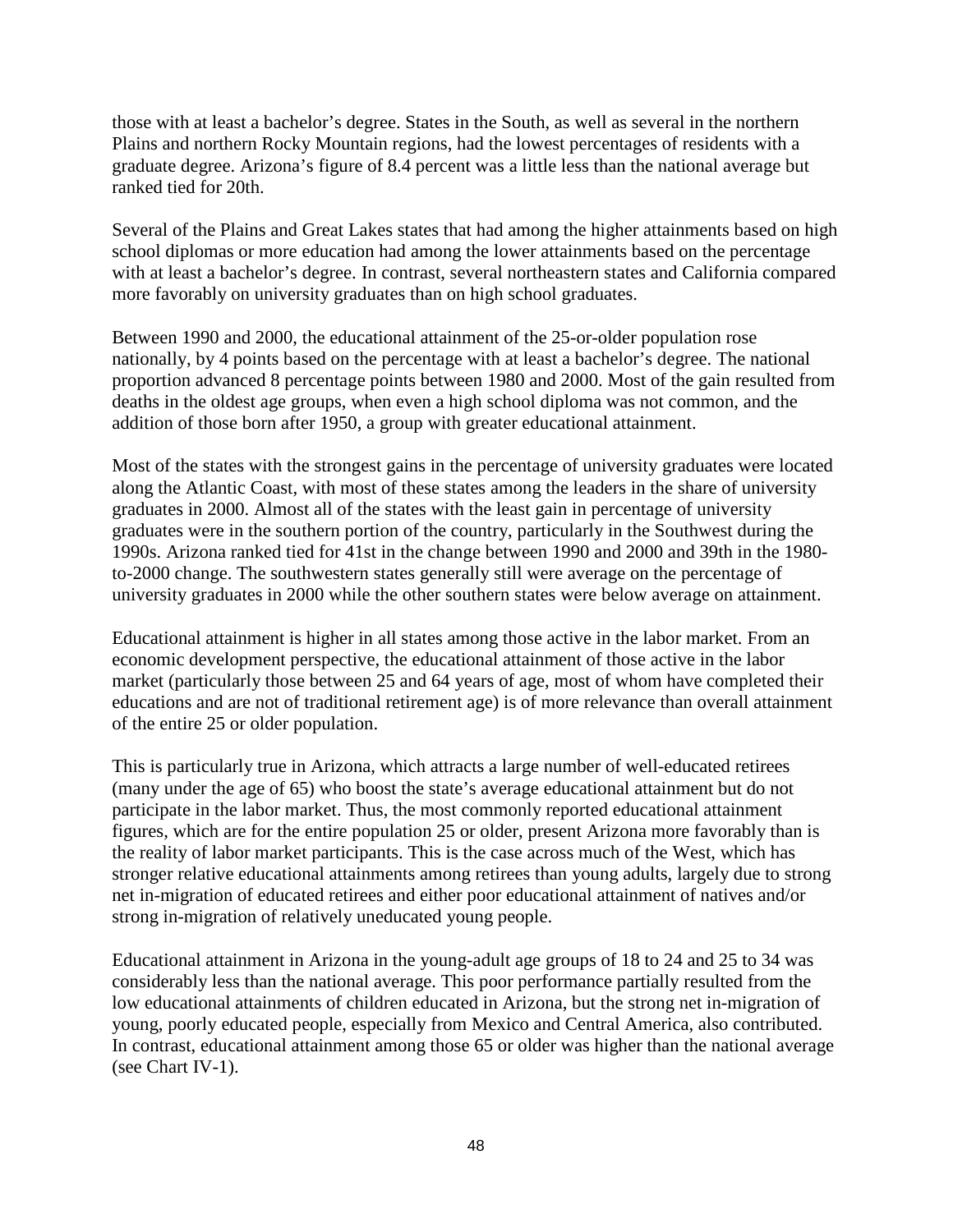those with at least a bachelor's degree. States in the South, as well as several in the northern Plains and northern Rocky Mountain regions, had the lowest percentages of residents with a graduate degree. Arizona's figure of 8.4 percent was a little less than the national average but ranked tied for 20th.

Several of the Plains and Great Lakes states that had among the higher attainments based on high school diplomas or more education had among the lower attainments based on the percentage with at least a bachelor's degree. In contrast, several northeastern states and California compared more favorably on university graduates than on high school graduates.

Between 1990 and 2000, the educational attainment of the 25-or-older population rose nationally, by 4 points based on the percentage with at least a bachelor's degree. The national proportion advanced 8 percentage points between 1980 and 2000. Most of the gain resulted from deaths in the oldest age groups, when even a high school diploma was not common, and the addition of those born after 1950, a group with greater educational attainment.

Most of the states with the strongest gains in the percentage of university graduates were located along the Atlantic Coast, with most of these states among the leaders in the share of university graduates in 2000. Almost all of the states with the least gain in percentage of university graduates were in the southern portion of the country, particularly in the Southwest during the 1990s. Arizona ranked tied for 41st in the change between 1990 and 2000 and 39th in the 1980 to-2000 change. The southwestern states generally still were average on the percentage of university graduates in 2000 while the other southern states were below average on attainment.

Educational attainment is higher in all states among those active in the labor market. From an economic development perspective, the educational attainment of those active in the labor market (particularly those between 25 and 64 years of age, most of whom have completed their educations and are not of traditional retirement age) is of more relevance than overall attainment of the entire 25 or older population.

This is particularly true in Arizona, which attracts a large number of well-educated retirees (many under the age of 65) who boost the state's average educational attainment but do not participate in the labor market. Thus, the most commonly reported educational attainment figures, which are for the entire population 25 or older, present Arizona more favorably than is the reality of labor market participants. This is the case across much of the West, which has stronger relative educational attainments among retirees than young adults, largely due to strong net in-migration of educated retirees and either poor educational attainment of natives and/or strong in-migration of relatively uneducated young people.

Educational attainment in Arizona in the young-adult age groups of 18 to 24 and 25 to 34 was considerably less than the national average. This poor performance partially resulted from the low educational attainments of children educated in Arizona, but the strong net in-migration of young, poorly educated people, especially from Mexico and Central America, also contributed. In contrast, educational attainment among those 65 or older was higher than the national average (see Chart IV-1).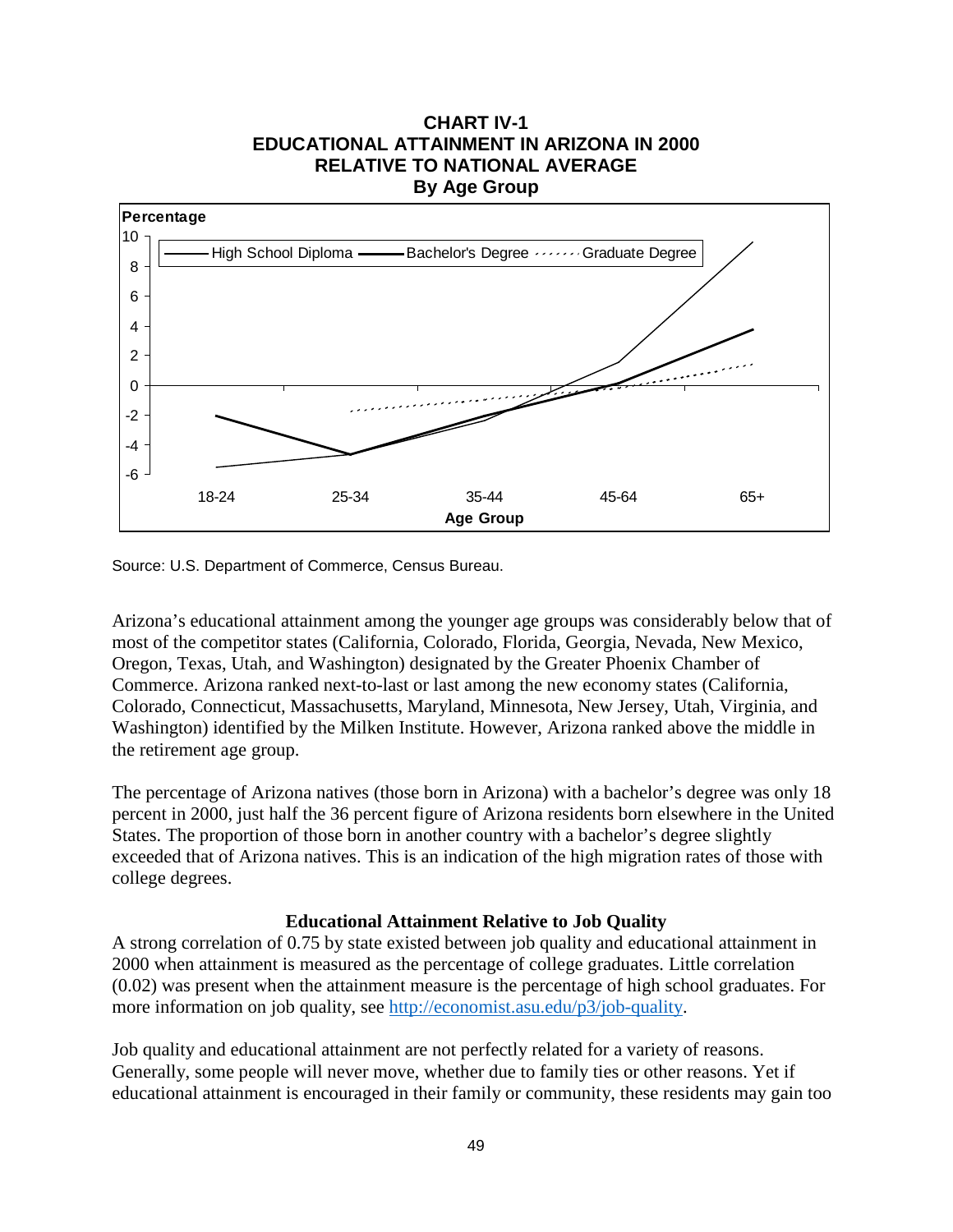## **CHART IV-1 EDUCATIONAL ATTAINMENT IN ARIZONA IN 2000 RELATIVE TO NATIONAL AVERAGE By Age Group**



Source: U.S. Department of Commerce, Census Bureau.

Arizona's educational attainment among the younger age groups was considerably below that of most of the competitor states (California, Colorado, Florida, Georgia, Nevada, New Mexico, Oregon, Texas, Utah, and Washington) designated by the Greater Phoenix Chamber of Commerce. Arizona ranked next-to-last or last among the new economy states (California, Colorado, Connecticut, Massachusetts, Maryland, Minnesota, New Jersey, Utah, Virginia, and Washington) identified by the Milken Institute. However, Arizona ranked above the middle in the retirement age group.

The percentage of Arizona natives (those born in Arizona) with a bachelor's degree was only 18 percent in 2000, just half the 36 percent figure of Arizona residents born elsewhere in the United States. The proportion of those born in another country with a bachelor's degree slightly exceeded that of Arizona natives. This is an indication of the high migration rates of those with college degrees.

### **Educational Attainment Relative to Job Quality**

A strong correlation of 0.75 by state existed between job quality and educational attainment in 2000 when attainment is measured as the percentage of college graduates. Little correlation (0.02) was present when the attainment measure is the percentage of high school graduates. For more information on job quality, see [http://economist.asu.edu/p3/job-quality.](http://economist.asu.edu/p3/job-quality)

Job quality and educational attainment are not perfectly related for a variety of reasons. Generally, some people will never move, whether due to family ties or other reasons. Yet if educational attainment is encouraged in their family or community, these residents may gain too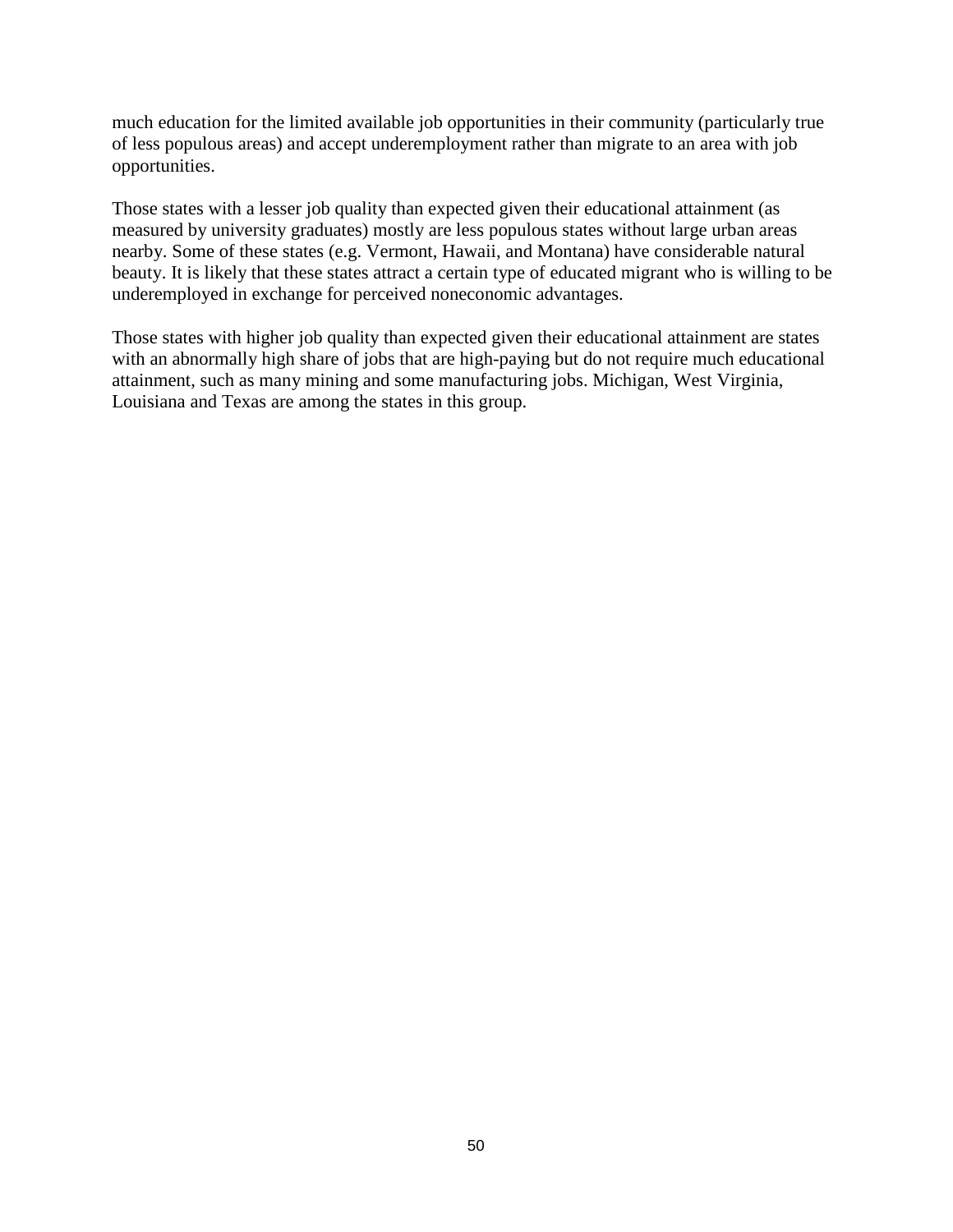much education for the limited available job opportunities in their community (particularly true of less populous areas) and accept underemployment rather than migrate to an area with job opportunities.

Those states with a lesser job quality than expected given their educational attainment (as measured by university graduates) mostly are less populous states without large urban areas nearby. Some of these states (e.g. Vermont, Hawaii, and Montana) have considerable natural beauty. It is likely that these states attract a certain type of educated migrant who is willing to be underemployed in exchange for perceived noneconomic advantages.

Those states with higher job quality than expected given their educational attainment are states with an abnormally high share of jobs that are high-paying but do not require much educational attainment, such as many mining and some manufacturing jobs. Michigan, West Virginia, Louisiana and Texas are among the states in this group.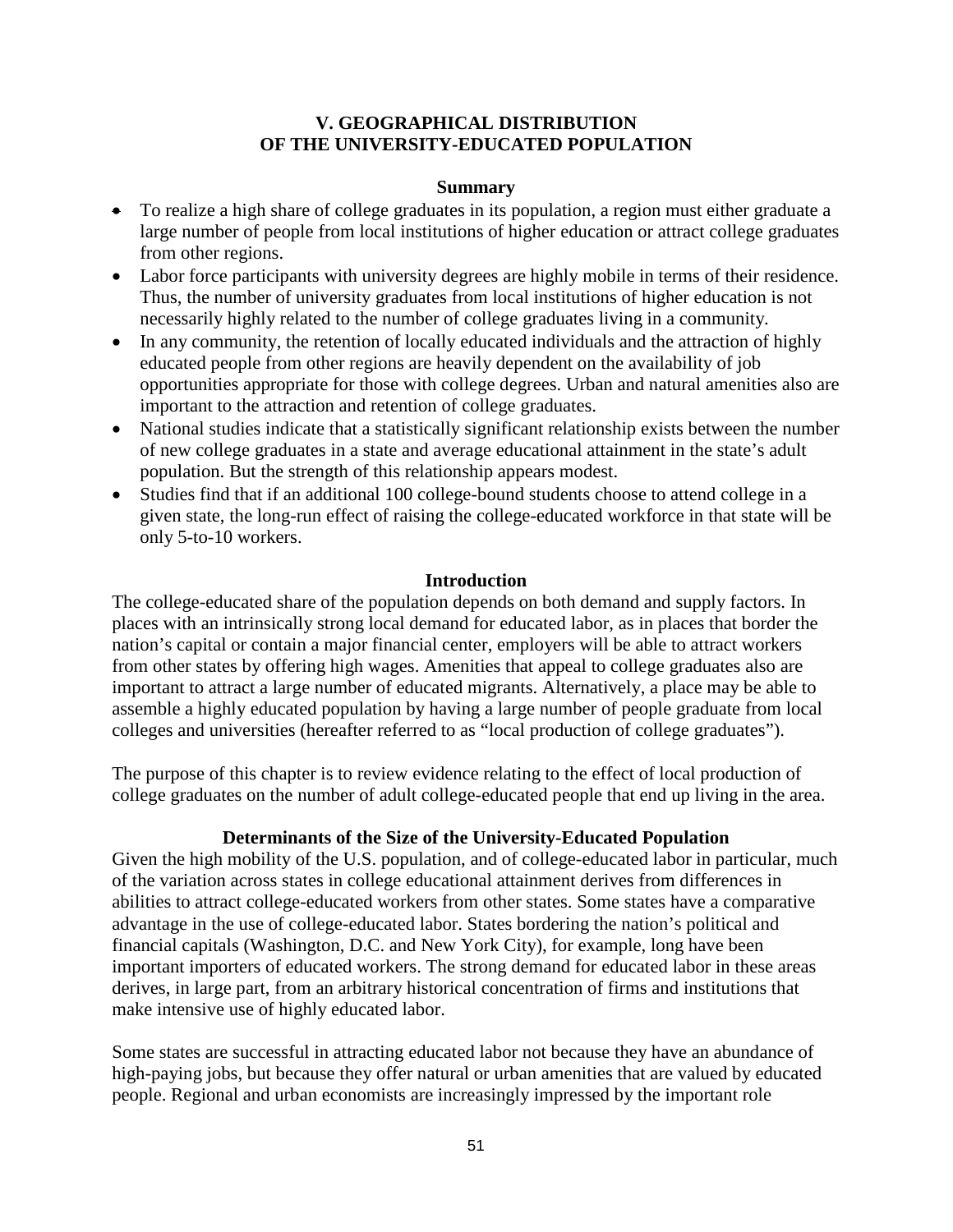### **V. GEOGRAPHICAL DISTRIBUTION OF THE UNIVERSITY-EDUCATED POPULATION**

#### **Summary**

- To realize a high share of college graduates in its population, a region must either graduate a large number of people from local institutions of higher education or attract college graduates from other regions.
- Labor force participants with university degrees are highly mobile in terms of their residence. Thus, the number of university graduates from local institutions of higher education is not necessarily highly related to the number of college graduates living in a community.
- In any community, the retention of locally educated individuals and the attraction of highly educated people from other regions are heavily dependent on the availability of job opportunities appropriate for those with college degrees. Urban and natural amenities also are important to the attraction and retention of college graduates.
- National studies indicate that a statistically significant relationship exists between the number of new college graduates in a state and average educational attainment in the state's adult population. But the strength of this relationship appears modest.
- Studies find that if an additional 100 college-bound students choose to attend college in a given state, the long-run effect of raising the college-educated workforce in that state will be only 5-to-10 workers.

### **Introduction**

The college-educated share of the population depends on both demand and supply factors. In places with an intrinsically strong local demand for educated labor, as in places that border the nation's capital or contain a major financial center, employers will be able to attract workers from other states by offering high wages. Amenities that appeal to college graduates also are important to attract a large number of educated migrants. Alternatively, a place may be able to assemble a highly educated population by having a large number of people graduate from local colleges and universities (hereafter referred to as "local production of college graduates").

The purpose of this chapter is to review evidence relating to the effect of local production of college graduates on the number of adult college-educated people that end up living in the area.

## **Determinants of the Size of the University-Educated Population**

Given the high mobility of the U.S. population, and of college-educated labor in particular, much of the variation across states in college educational attainment derives from differences in abilities to attract college-educated workers from other states. Some states have a comparative advantage in the use of college-educated labor. States bordering the nation's political and financial capitals (Washington, D.C. and New York City), for example, long have been important importers of educated workers. The strong demand for educated labor in these areas derives, in large part, from an arbitrary historical concentration of firms and institutions that make intensive use of highly educated labor.

Some states are successful in attracting educated labor not because they have an abundance of high-paying jobs, but because they offer natural or urban amenities that are valued by educated people. Regional and urban economists are increasingly impressed by the important role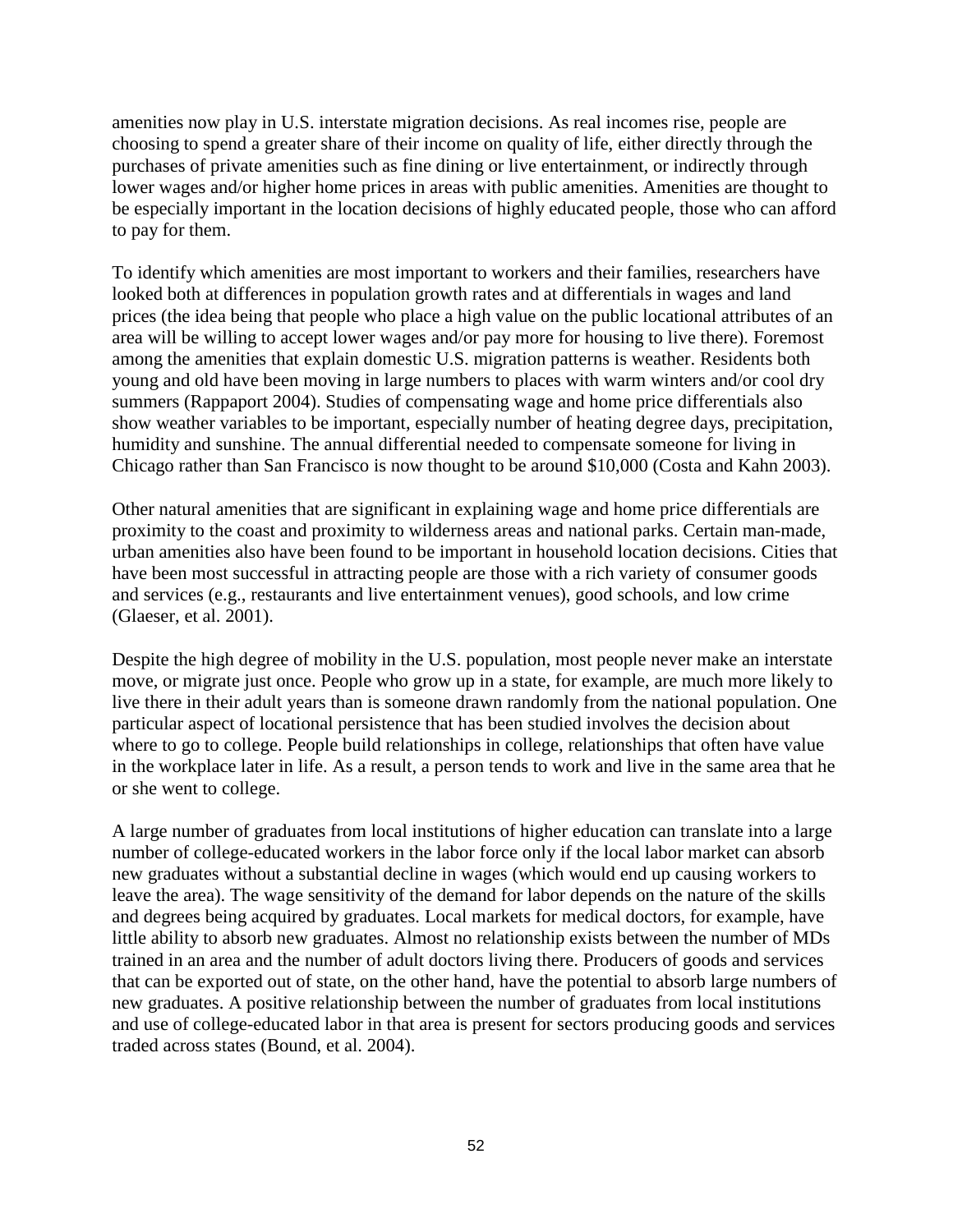amenities now play in U.S. interstate migration decisions. As real incomes rise, people are choosing to spend a greater share of their income on quality of life, either directly through the purchases of private amenities such as fine dining or live entertainment, or indirectly through lower wages and/or higher home prices in areas with public amenities. Amenities are thought to be especially important in the location decisions of highly educated people, those who can afford to pay for them.

To identify which amenities are most important to workers and their families, researchers have looked both at differences in population growth rates and at differentials in wages and land prices (the idea being that people who place a high value on the public locational attributes of an area will be willing to accept lower wages and/or pay more for housing to live there). Foremost among the amenities that explain domestic U.S. migration patterns is weather. Residents both young and old have been moving in large numbers to places with warm winters and/or cool dry summers (Rappaport 2004). Studies of compensating wage and home price differentials also show weather variables to be important, especially number of heating degree days, precipitation, humidity and sunshine. The annual differential needed to compensate someone for living in Chicago rather than San Francisco is now thought to be around \$10,000 (Costa and Kahn 2003).

Other natural amenities that are significant in explaining wage and home price differentials are proximity to the coast and proximity to wilderness areas and national parks. Certain man-made, urban amenities also have been found to be important in household location decisions. Cities that have been most successful in attracting people are those with a rich variety of consumer goods and services (e.g., restaurants and live entertainment venues), good schools, and low crime (Glaeser, et al. 2001).

Despite the high degree of mobility in the U.S. population, most people never make an interstate move, or migrate just once. People who grow up in a state, for example, are much more likely to live there in their adult years than is someone drawn randomly from the national population. One particular aspect of locational persistence that has been studied involves the decision about where to go to college. People build relationships in college, relationships that often have value in the workplace later in life. As a result, a person tends to work and live in the same area that he or she went to college.

A large number of graduates from local institutions of higher education can translate into a large number of college-educated workers in the labor force only if the local labor market can absorb new graduates without a substantial decline in wages (which would end up causing workers to leave the area). The wage sensitivity of the demand for labor depends on the nature of the skills and degrees being acquired by graduates. Local markets for medical doctors, for example, have little ability to absorb new graduates. Almost no relationship exists between the number of MDs trained in an area and the number of adult doctors living there. Producers of goods and services that can be exported out of state, on the other hand, have the potential to absorb large numbers of new graduates. A positive relationship between the number of graduates from local institutions and use of college-educated labor in that area is present for sectors producing goods and services traded across states (Bound, et al. 2004).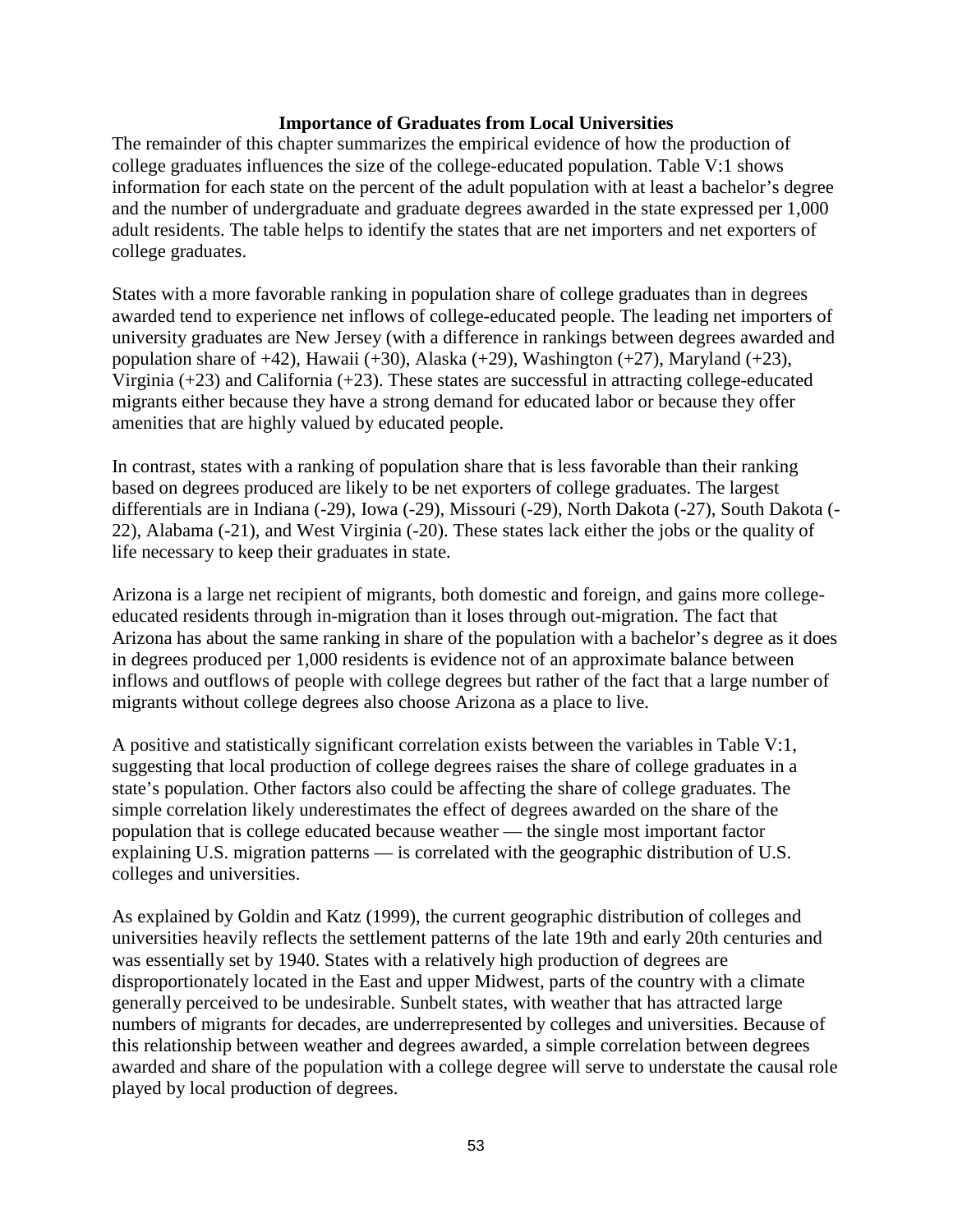#### **Importance of Graduates from Local Universities**

The remainder of this chapter summarizes the empirical evidence of how the production of college graduates influences the size of the college-educated population. Table V:1 shows information for each state on the percent of the adult population with at least a bachelor's degree and the number of undergraduate and graduate degrees awarded in the state expressed per 1,000 adult residents. The table helps to identify the states that are net importers and net exporters of college graduates.

States with a more favorable ranking in population share of college graduates than in degrees awarded tend to experience net inflows of college-educated people. The leading net importers of university graduates are New Jersey (with a difference in rankings between degrees awarded and population share of +42), Hawaii (+30), Alaska (+29), Washington (+27), Maryland (+23), Virginia (+23) and California (+23). These states are successful in attracting college-educated migrants either because they have a strong demand for educated labor or because they offer amenities that are highly valued by educated people.

In contrast, states with a ranking of population share that is less favorable than their ranking based on degrees produced are likely to be net exporters of college graduates. The largest differentials are in Indiana (-29), Iowa (-29), Missouri (-29), North Dakota (-27), South Dakota (- 22), Alabama (-21), and West Virginia (-20). These states lack either the jobs or the quality of life necessary to keep their graduates in state.

Arizona is a large net recipient of migrants, both domestic and foreign, and gains more collegeeducated residents through in-migration than it loses through out-migration. The fact that Arizona has about the same ranking in share of the population with a bachelor's degree as it does in degrees produced per 1,000 residents is evidence not of an approximate balance between inflows and outflows of people with college degrees but rather of the fact that a large number of migrants without college degrees also choose Arizona as a place to live.

A positive and statistically significant correlation exists between the variables in Table V:1, suggesting that local production of college degrees raises the share of college graduates in a state's population. Other factors also could be affecting the share of college graduates. The simple correlation likely underestimates the effect of degrees awarded on the share of the population that is college educated because weather — the single most important factor explaining U.S. migration patterns — is correlated with the geographic distribution of U.S. colleges and universities.

As explained by Goldin and Katz (1999), the current geographic distribution of colleges and universities heavily reflects the settlement patterns of the late 19th and early 20th centuries and was essentially set by 1940. States with a relatively high production of degrees are disproportionately located in the East and upper Midwest, parts of the country with a climate generally perceived to be undesirable. Sunbelt states, with weather that has attracted large numbers of migrants for decades, are underrepresented by colleges and universities. Because of this relationship between weather and degrees awarded, a simple correlation between degrees awarded and share of the population with a college degree will serve to understate the causal role played by local production of degrees.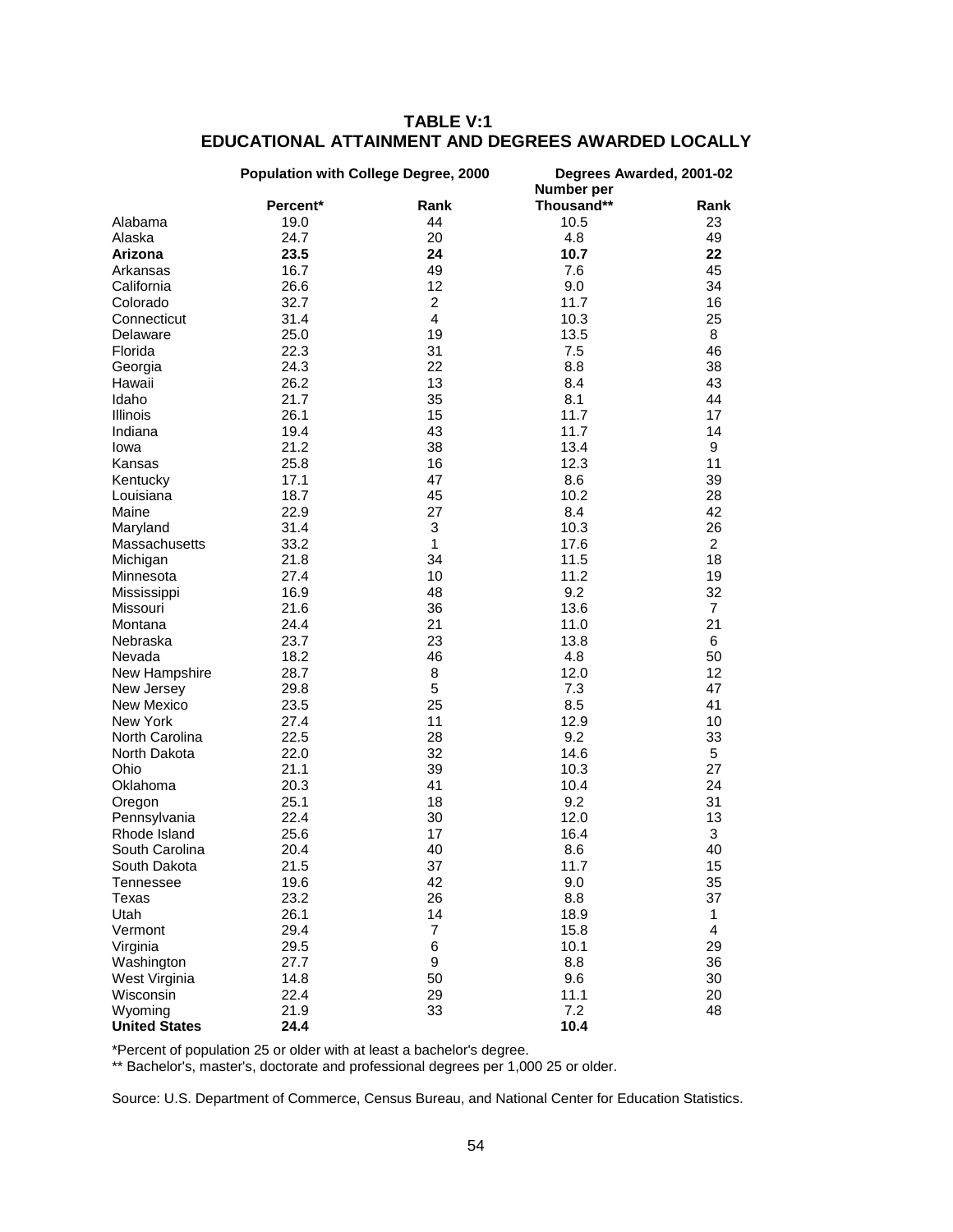|                      | Population with College Degree, 2000 |                | Degrees Awarded, 2001-02<br>Number per |                |
|----------------------|--------------------------------------|----------------|----------------------------------------|----------------|
|                      | Percent*                             | Rank           | Thousand**                             | Rank           |
| Alabama              | 19.0                                 | 44             | 10.5                                   | 23             |
| Alaska               | 24.7                                 | 20             | 4.8                                    | 49             |
| Arizona              | 23.5                                 | 24             | 10.7                                   | 22             |
| Arkansas             | 16.7                                 | 49             | 7.6                                    | 45             |
| California           | 26.6                                 | 12             | 9.0                                    | 34             |
| Colorado             | 32.7                                 | 2              | 11.7                                   | 16             |
| Connecticut          | 31.4                                 | 4              | 10.3                                   | 25             |
| Delaware             | 25.0                                 | 19             | 13.5                                   | 8              |
| Florida              | 22.3                                 | 31             | 7.5                                    | 46             |
|                      | 24.3                                 | 22             | 8.8                                    | 38             |
| Georgia              |                                      |                |                                        |                |
| Hawaii               | 26.2                                 | 13             | 8.4                                    | 43             |
| Idaho                | 21.7                                 | 35             | 8.1                                    | 44             |
| Illinois             | 26.1                                 | 15             | 11.7                                   | 17             |
| Indiana              | 19.4                                 | 43             | 11.7                                   | 14             |
| Iowa                 | 21.2                                 | 38             | 13.4                                   | 9              |
| Kansas               | 25.8                                 | 16             | 12.3                                   | 11             |
| Kentucky             | 17.1                                 | 47             | 8.6                                    | 39             |
| Louisiana            | 18.7                                 | 45             | 10.2                                   | 28             |
| Maine                | 22.9                                 | 27             | 8.4                                    | 42             |
| Maryland             | 31.4                                 | 3              | 10.3                                   | 26             |
| Massachusetts        | 33.2                                 | $\mathbf{1}$   | 17.6                                   | $\overline{2}$ |
| Michigan             | 21.8                                 | 34             | 11.5                                   | 18             |
| Minnesota            | 27.4                                 | 10             | 11.2                                   | 19             |
| Mississippi          | 16.9                                 | 48             | 9.2                                    | 32             |
| Missouri             | 21.6                                 | 36             | 13.6                                   | $\overline{7}$ |
| Montana              | 24.4                                 | 21             | 11.0                                   | 21             |
| Nebraska             | 23.7                                 | 23             | 13.8                                   | 6              |
| Nevada               | 18.2                                 | 46             | 4.8                                    | 50             |
| New Hampshire        | 28.7                                 | 8              | 12.0                                   | 12             |
| New Jersey           | 29.8                                 | 5              | 7.3                                    | 47             |
| New Mexico           | 23.5                                 | 25             | 8.5                                    | 41             |
| New York             | 27.4                                 | 11             | 12.9                                   | 10             |
|                      |                                      |                |                                        |                |
| North Carolina       | 22.5                                 | 28             | 9.2                                    | 33             |
| North Dakota         | 22.0                                 | 32             | 14.6                                   | 5              |
| Ohio                 | 21.1                                 | 39             | 10.3                                   | 27             |
| Oklahoma             | 20.3                                 | 41             | 10.4                                   | 24             |
| Oregon               | 25.1                                 | 18             | 9.2                                    | 31             |
| Pennsylvania         | 22.4                                 | 30             | 12.0                                   | 13             |
| Rhode Island         | 25.6                                 | 17             | 16.4                                   | 3              |
| South Carolina       | 20.4                                 | 40             | 8.6                                    | 40             |
| South Dakota         | 21.5                                 | 37             | 11.7                                   | 15             |
| Tennessee            | 19.6                                 | 42             | 9.0                                    | 35             |
| Texas                | 23.2                                 | 26             | 8.8                                    | 37             |
| Utah                 | 26.1                                 | 14             | 18.9                                   | 1              |
| Vermont              | 29.4                                 | $\overline{7}$ | 15.8                                   | $\overline{4}$ |
| Virginia             | 29.5                                 | 6              | 10.1                                   | 29             |
| Washington           | 27.7                                 | 9              | 8.8                                    | 36             |
| West Virginia        | 14.8                                 | 50             | 9.6                                    | 30             |
| Wisconsin            | 22.4                                 | 29             | 11.1                                   | 20             |
| Wyoming              | 21.9                                 | 33             | 7.2                                    | 48             |
| <b>United States</b> | 24.4                                 |                | 10.4                                   |                |

## **TABLE V:1 EDUCATIONAL ATTAINMENT AND DEGREES AWARDED LOCALLY**

\*Percent of population 25 or older with at least a bachelor's degree.

\*\* Bachelor's, master's, doctorate and professional degrees per 1,000 25 or older.

Source: U.S. Department of Commerce, Census Bureau, and National Center for Education Statistics.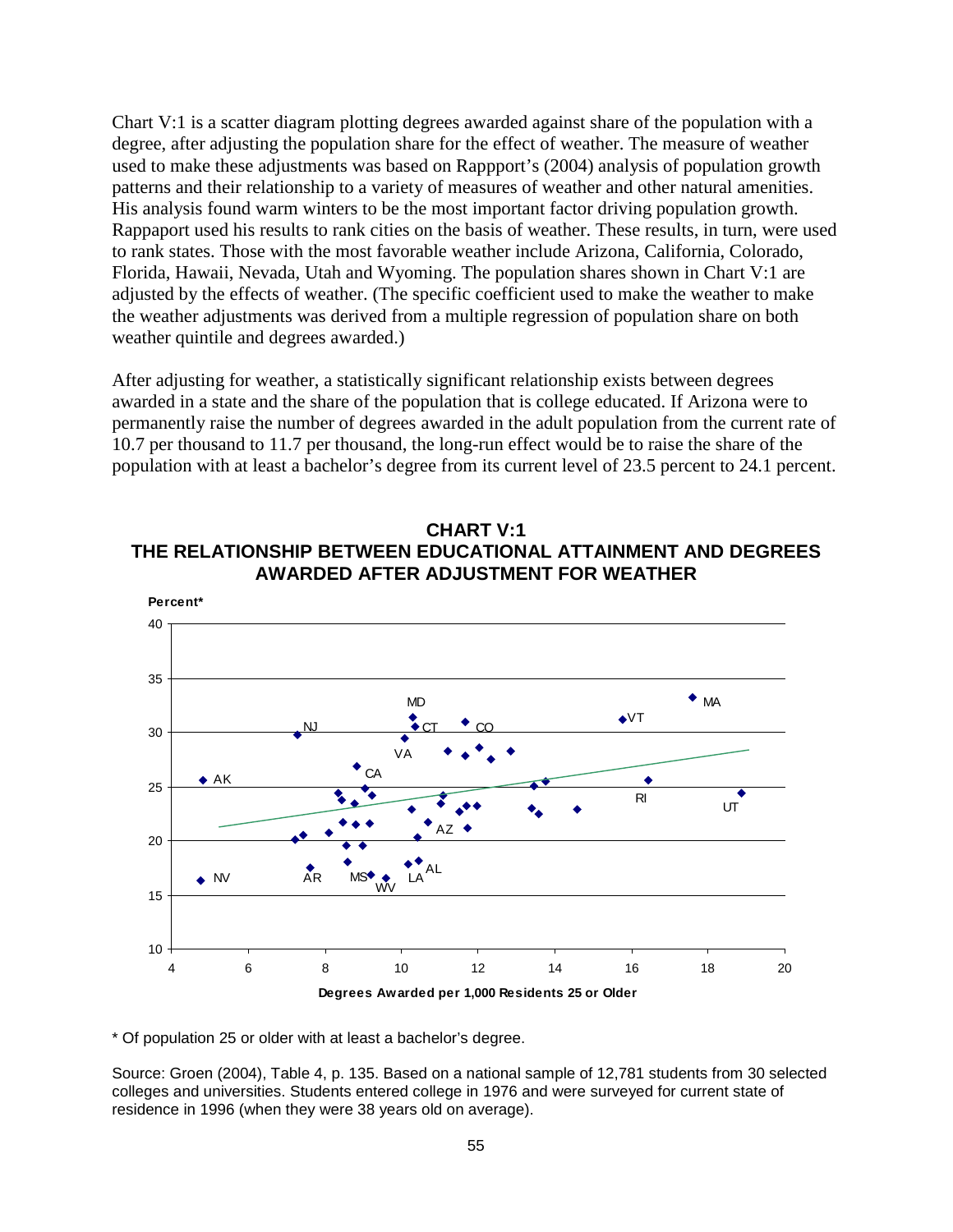Chart V:1 is a scatter diagram plotting degrees awarded against share of the population with a degree, after adjusting the population share for the effect of weather. The measure of weather used to make these adjustments was based on Rappport's (2004) analysis of population growth patterns and their relationship to a variety of measures of weather and other natural amenities. His analysis found warm winters to be the most important factor driving population growth. Rappaport used his results to rank cities on the basis of weather. These results, in turn, were used to rank states. Those with the most favorable weather include Arizona, California, Colorado, Florida, Hawaii, Nevada, Utah and Wyoming. The population shares shown in Chart V:1 are adjusted by the effects of weather. (The specific coefficient used to make the weather to make the weather adjustments was derived from a multiple regression of population share on both weather quintile and degrees awarded.)

After adjusting for weather, a statistically significant relationship exists between degrees awarded in a state and the share of the population that is college educated. If Arizona were to permanently raise the number of degrees awarded in the adult population from the current rate of 10.7 per thousand to 11.7 per thousand, the long-run effect would be to raise the share of the population with at least a bachelor's degree from its current level of 23.5 percent to 24.1 percent.



**CHART V:1 THE RELATIONSHIP BETWEEN EDUCATIONAL ATTAINMENT AND DEGREES** 

\* Of population 25 or older with at least a bachelor's degree.

Source: Groen (2004), Table 4, p. 135. Based on a national sample of 12,781 students from 30 selected colleges and universities. Students entered college in 1976 and were surveyed for current state of residence in 1996 (when they were 38 years old on average).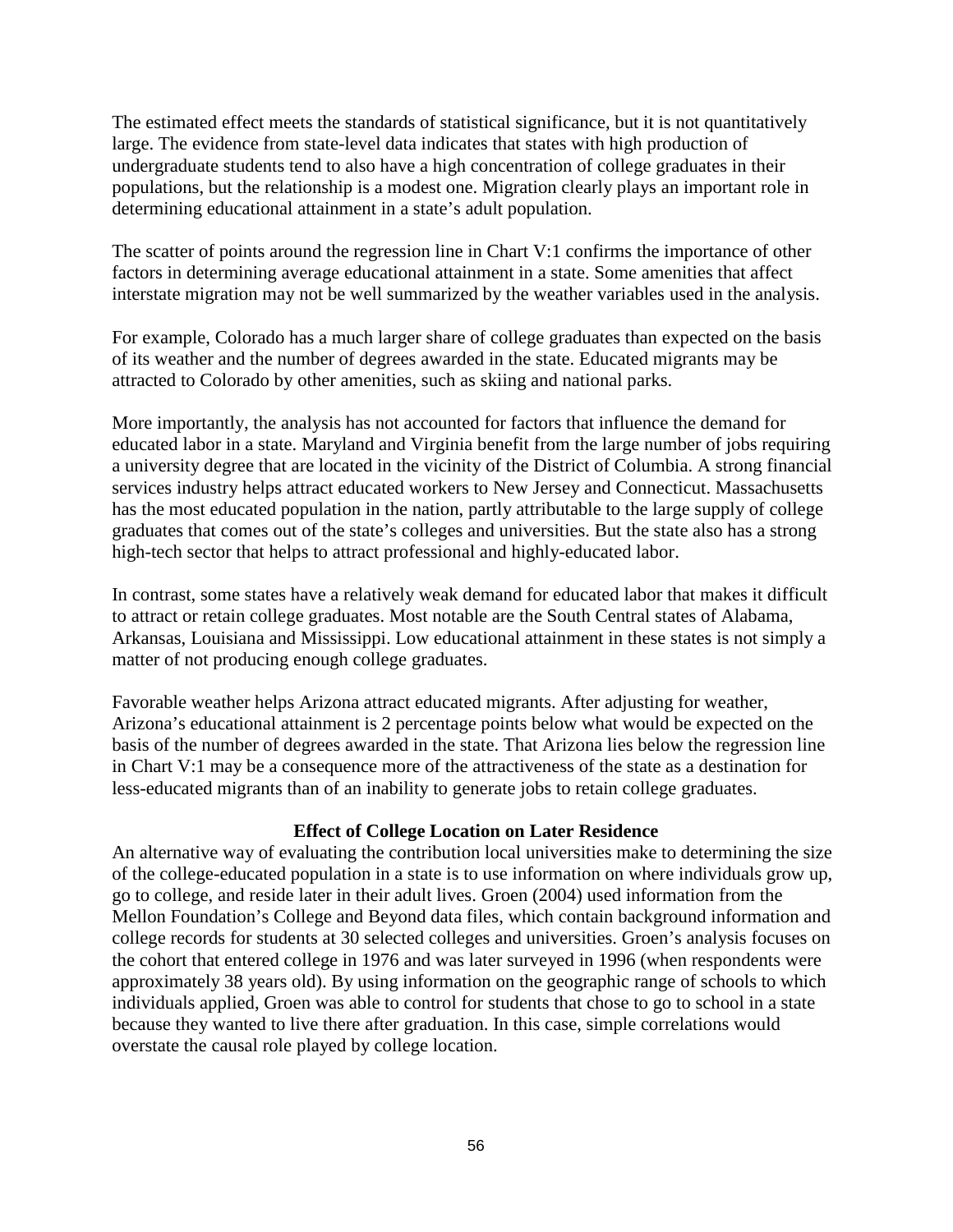The estimated effect meets the standards of statistical significance, but it is not quantitatively large. The evidence from state-level data indicates that states with high production of undergraduate students tend to also have a high concentration of college graduates in their populations, but the relationship is a modest one. Migration clearly plays an important role in determining educational attainment in a state's adult population.

The scatter of points around the regression line in Chart V:1 confirms the importance of other factors in determining average educational attainment in a state. Some amenities that affect interstate migration may not be well summarized by the weather variables used in the analysis.

For example, Colorado has a much larger share of college graduates than expected on the basis of its weather and the number of degrees awarded in the state. Educated migrants may be attracted to Colorado by other amenities, such as skiing and national parks.

More importantly, the analysis has not accounted for factors that influence the demand for educated labor in a state. Maryland and Virginia benefit from the large number of jobs requiring a university degree that are located in the vicinity of the District of Columbia. A strong financial services industry helps attract educated workers to New Jersey and Connecticut. Massachusetts has the most educated population in the nation, partly attributable to the large supply of college graduates that comes out of the state's colleges and universities. But the state also has a strong high-tech sector that helps to attract professional and highly-educated labor.

In contrast, some states have a relatively weak demand for educated labor that makes it difficult to attract or retain college graduates. Most notable are the South Central states of Alabama, Arkansas, Louisiana and Mississippi. Low educational attainment in these states is not simply a matter of not producing enough college graduates.

Favorable weather helps Arizona attract educated migrants. After adjusting for weather, Arizona's educational attainment is 2 percentage points below what would be expected on the basis of the number of degrees awarded in the state. That Arizona lies below the regression line in Chart V:1 may be a consequence more of the attractiveness of the state as a destination for less-educated migrants than of an inability to generate jobs to retain college graduates.

#### **Effect of College Location on Later Residence**

An alternative way of evaluating the contribution local universities make to determining the size of the college-educated population in a state is to use information on where individuals grow up, go to college, and reside later in their adult lives. Groen (2004) used information from the Mellon Foundation's College and Beyond data files, which contain background information and college records for students at 30 selected colleges and universities. Groen's analysis focuses on the cohort that entered college in 1976 and was later surveyed in 1996 (when respondents were approximately 38 years old). By using information on the geographic range of schools to which individuals applied, Groen was able to control for students that chose to go to school in a state because they wanted to live there after graduation. In this case, simple correlations would overstate the causal role played by college location.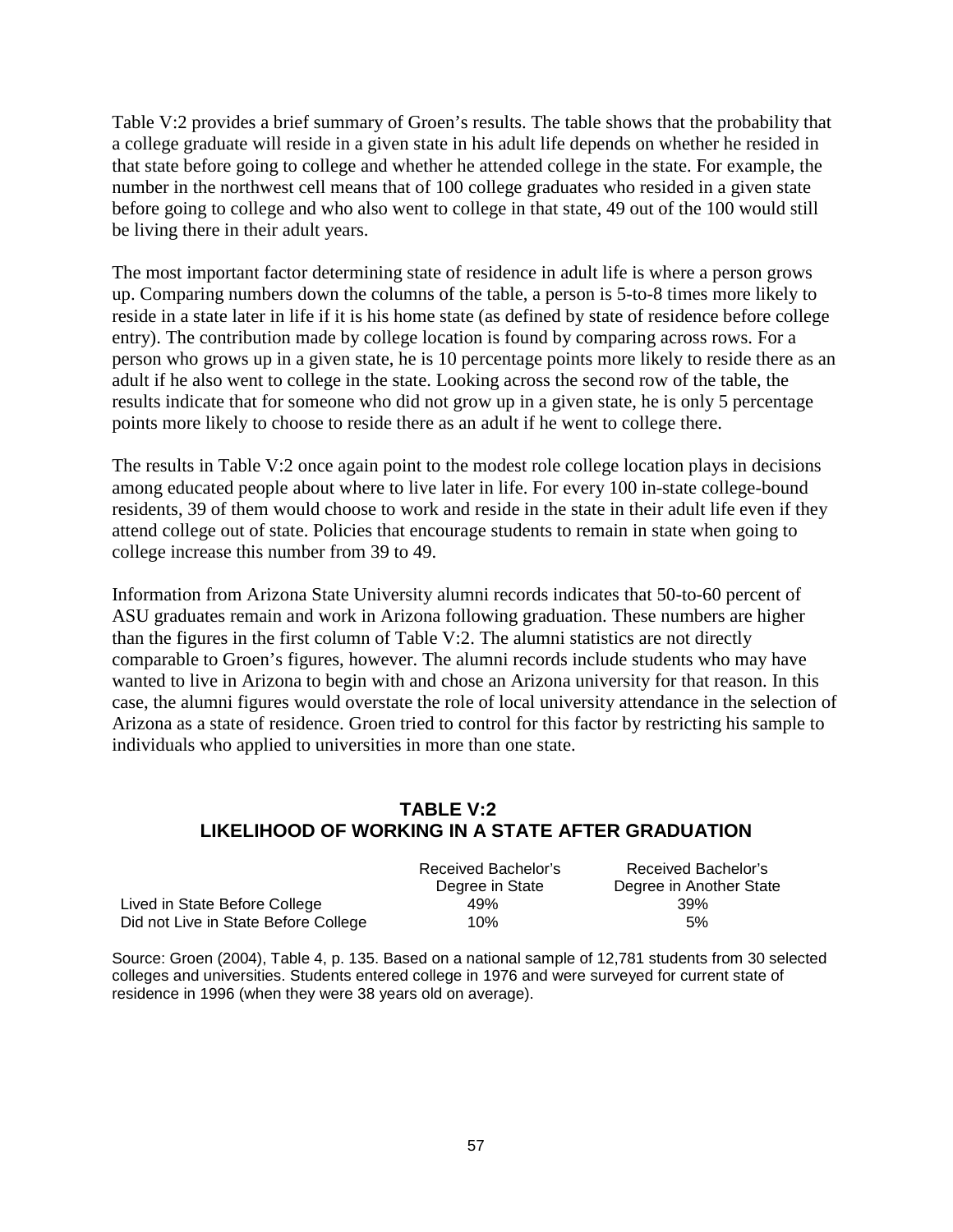Table V:2 provides a brief summary of Groen's results. The table shows that the probability that a college graduate will reside in a given state in his adult life depends on whether he resided in that state before going to college and whether he attended college in the state. For example, the number in the northwest cell means that of 100 college graduates who resided in a given state before going to college and who also went to college in that state, 49 out of the 100 would still be living there in their adult years.

The most important factor determining state of residence in adult life is where a person grows up. Comparing numbers down the columns of the table, a person is 5-to-8 times more likely to reside in a state later in life if it is his home state (as defined by state of residence before college entry). The contribution made by college location is found by comparing across rows. For a person who grows up in a given state, he is 10 percentage points more likely to reside there as an adult if he also went to college in the state. Looking across the second row of the table, the results indicate that for someone who did not grow up in a given state, he is only 5 percentage points more likely to choose to reside there as an adult if he went to college there.

The results in Table V:2 once again point to the modest role college location plays in decisions among educated people about where to live later in life. For every 100 in-state college-bound residents, 39 of them would choose to work and reside in the state in their adult life even if they attend college out of state. Policies that encourage students to remain in state when going to college increase this number from 39 to 49.

Information from Arizona State University alumni records indicates that 50-to-60 percent of ASU graduates remain and work in Arizona following graduation. These numbers are higher than the figures in the first column of Table V:2. The alumni statistics are not directly comparable to Groen's figures, however. The alumni records include students who may have wanted to live in Arizona to begin with and chose an Arizona university for that reason. In this case, the alumni figures would overstate the role of local university attendance in the selection of Arizona as a state of residence. Groen tried to control for this factor by restricting his sample to individuals who applied to universities in more than one state.

## **TABLE V:2 LIKELIHOOD OF WORKING IN A STATE AFTER GRADUATION**

|                                      | Received Bachelor's | Received Bachelor's     |
|--------------------------------------|---------------------|-------------------------|
|                                      | Degree in State     | Degree in Another State |
| Lived in State Before College        | 49%                 | 39%                     |
| Did not Live in State Before College | 10%                 | 5%                      |

Source: Groen (2004), Table 4, p. 135. Based on a national sample of 12,781 students from 30 selected colleges and universities. Students entered college in 1976 and were surveyed for current state of residence in 1996 (when they were 38 years old on average).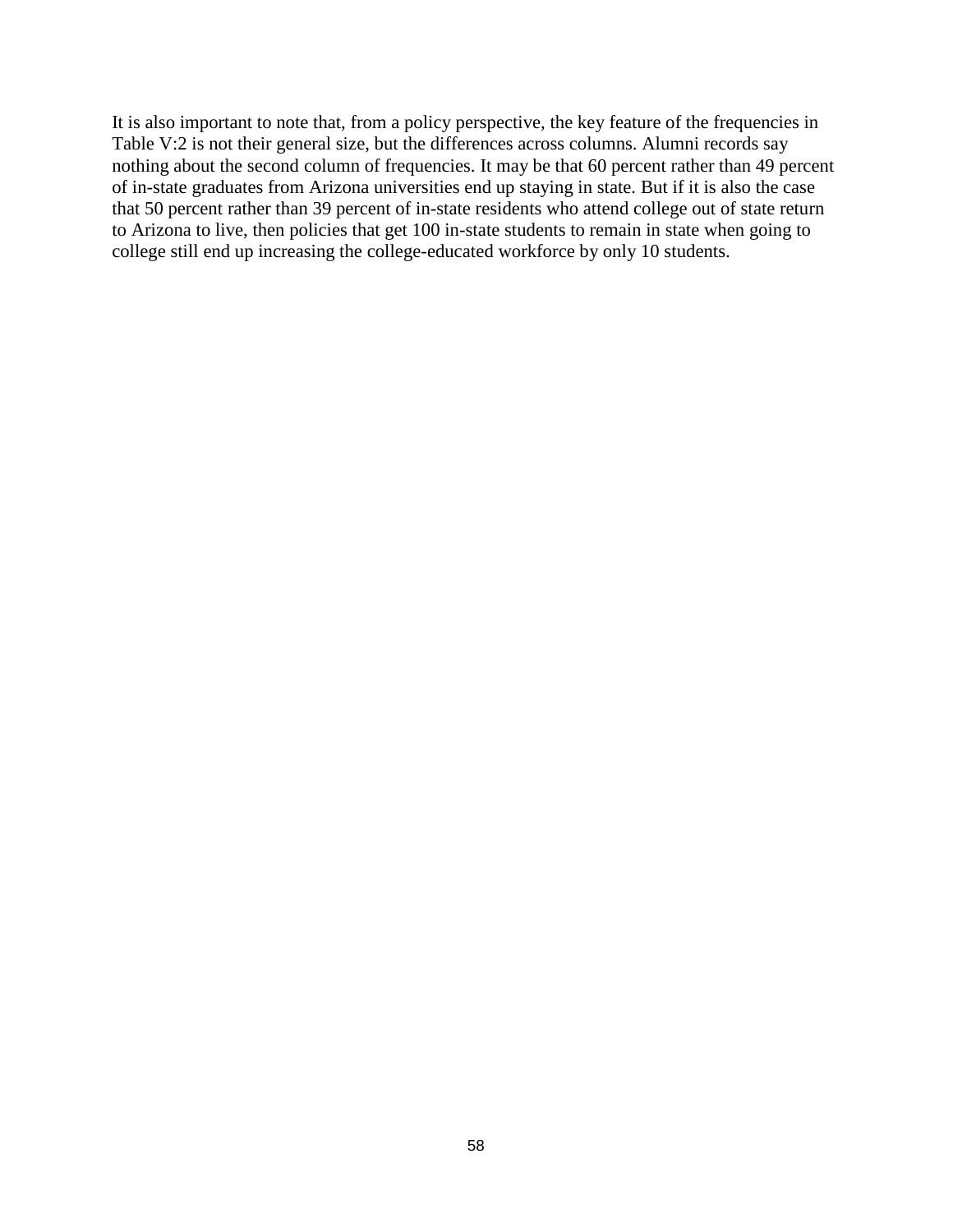It is also important to note that, from a policy perspective, the key feature of the frequencies in Table V:2 is not their general size, but the differences across columns. Alumni records say nothing about the second column of frequencies. It may be that 60 percent rather than 49 percent of in-state graduates from Arizona universities end up staying in state. But if it is also the case that 50 percent rather than 39 percent of in-state residents who attend college out of state return to Arizona to live, then policies that get 100 in-state students to remain in state when going to college still end up increasing the college-educated workforce by only 10 students.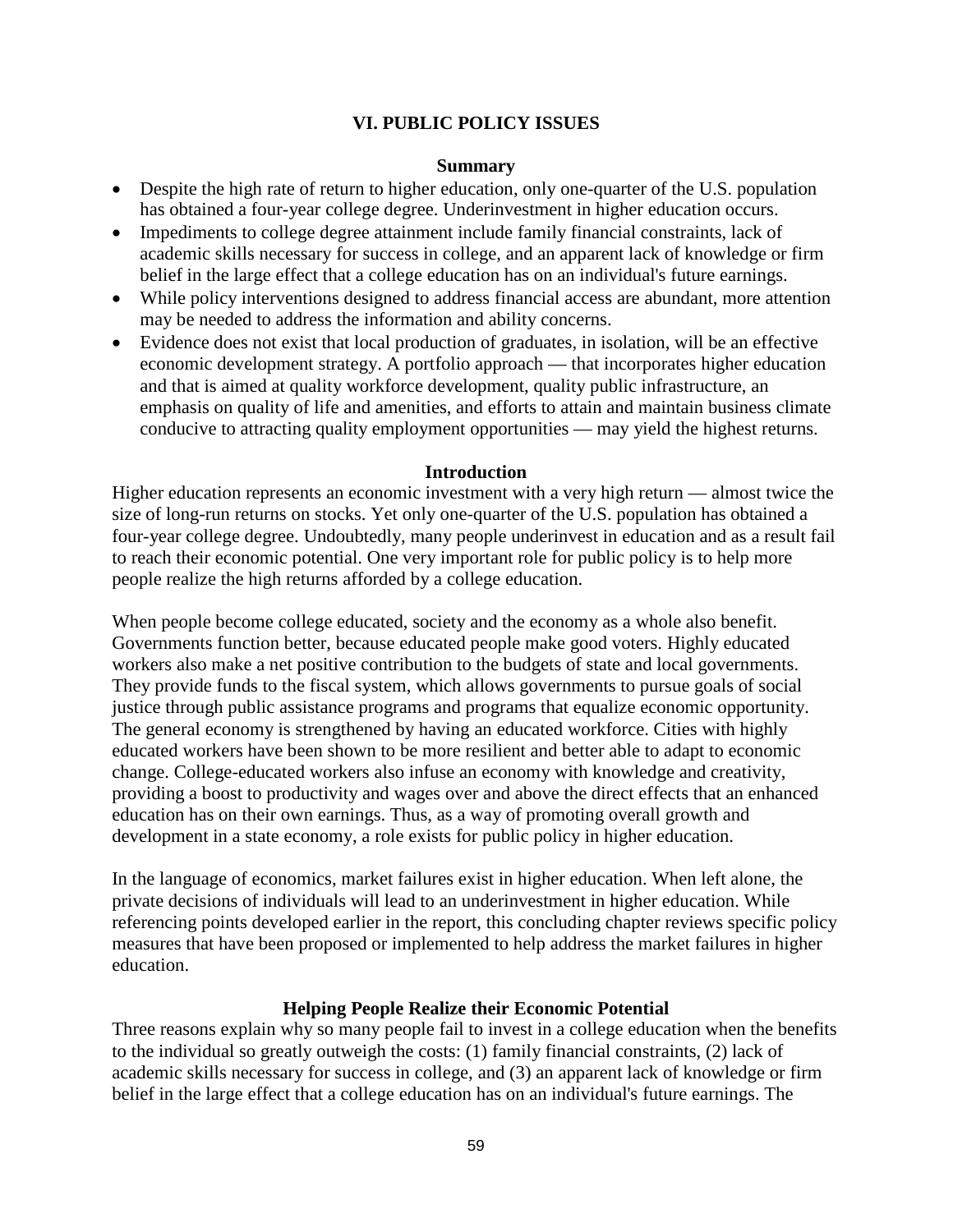### **VI. PUBLIC POLICY ISSUES**

#### **Summary**

- Despite the high rate of return to higher education, only one-quarter of the U.S. population has obtained a four-year college degree. Underinvestment in higher education occurs.
- Impediments to college degree attainment include family financial constraints, lack of academic skills necessary for success in college, and an apparent lack of knowledge or firm belief in the large effect that a college education has on an individual's future earnings.
- While policy interventions designed to address financial access are abundant, more attention may be needed to address the information and ability concerns.
- Evidence does not exist that local production of graduates, in isolation, will be an effective economic development strategy. A portfolio approach — that incorporates higher education and that is aimed at quality workforce development, quality public infrastructure, an emphasis on quality of life and amenities, and efforts to attain and maintain business climate conducive to attracting quality employment opportunities — may yield the highest returns.

#### **Introduction**

Higher education represents an economic investment with a very high return — almost twice the size of long-run returns on stocks. Yet only one-quarter of the U.S. population has obtained a four-year college degree. Undoubtedly, many people underinvest in education and as a result fail to reach their economic potential. One very important role for public policy is to help more people realize the high returns afforded by a college education.

When people become college educated, society and the economy as a whole also benefit. Governments function better, because educated people make good voters. Highly educated workers also make a net positive contribution to the budgets of state and local governments. They provide funds to the fiscal system, which allows governments to pursue goals of social justice through public assistance programs and programs that equalize economic opportunity. The general economy is strengthened by having an educated workforce. Cities with highly educated workers have been shown to be more resilient and better able to adapt to economic change. College-educated workers also infuse an economy with knowledge and creativity, providing a boost to productivity and wages over and above the direct effects that an enhanced education has on their own earnings. Thus, as a way of promoting overall growth and development in a state economy, a role exists for public policy in higher education.

In the language of economics, market failures exist in higher education. When left alone, the private decisions of individuals will lead to an underinvestment in higher education. While referencing points developed earlier in the report, this concluding chapter reviews specific policy measures that have been proposed or implemented to help address the market failures in higher education.

### **Helping People Realize their Economic Potential**

Three reasons explain why so many people fail to invest in a college education when the benefits to the individual so greatly outweigh the costs: (1) family financial constraints, (2) lack of academic skills necessary for success in college, and (3) an apparent lack of knowledge or firm belief in the large effect that a college education has on an individual's future earnings. The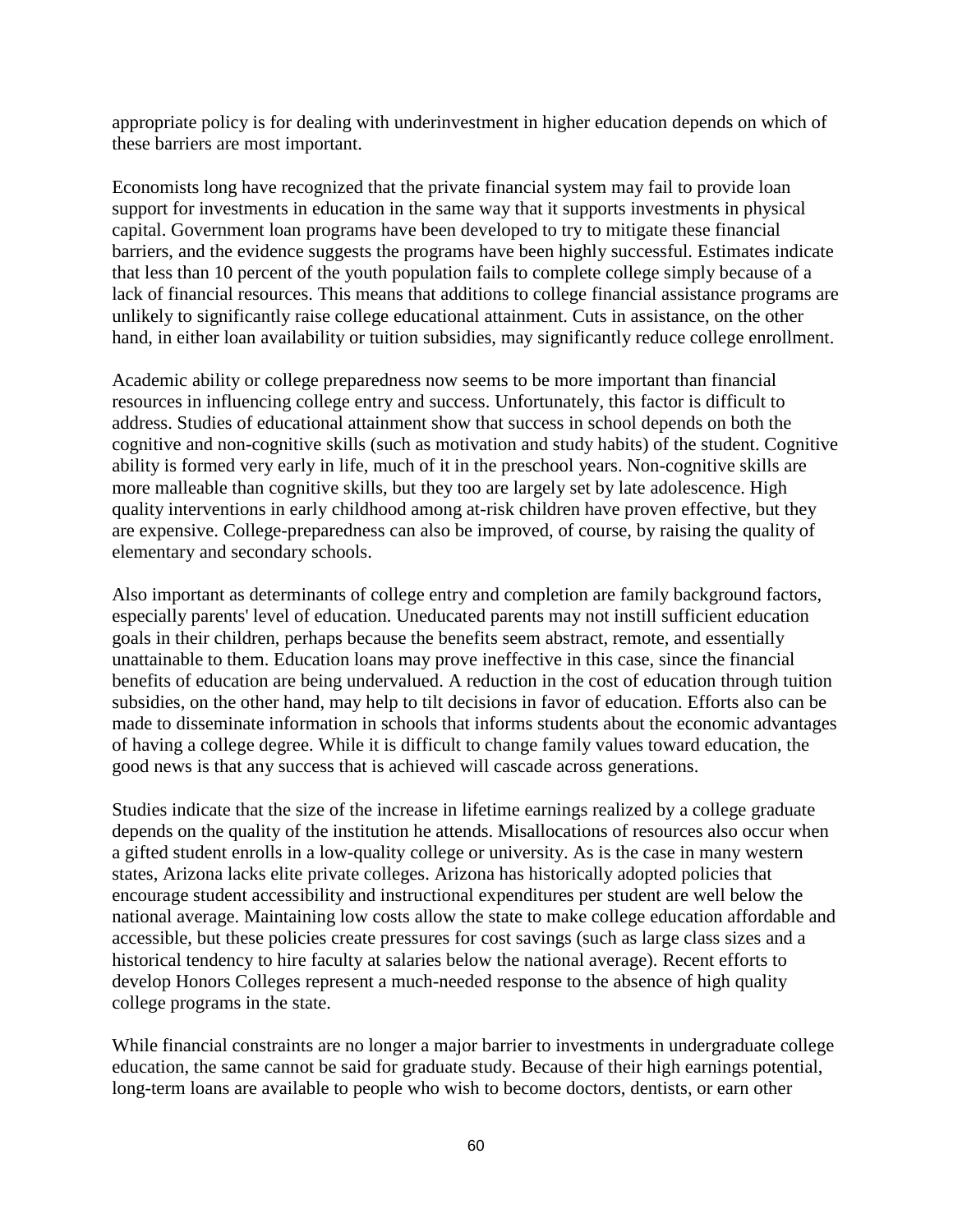appropriate policy is for dealing with underinvestment in higher education depends on which of these barriers are most important.

Economists long have recognized that the private financial system may fail to provide loan support for investments in education in the same way that it supports investments in physical capital. Government loan programs have been developed to try to mitigate these financial barriers, and the evidence suggests the programs have been highly successful. Estimates indicate that less than 10 percent of the youth population fails to complete college simply because of a lack of financial resources. This means that additions to college financial assistance programs are unlikely to significantly raise college educational attainment. Cuts in assistance, on the other hand, in either loan availability or tuition subsidies, may significantly reduce college enrollment.

Academic ability or college preparedness now seems to be more important than financial resources in influencing college entry and success. Unfortunately, this factor is difficult to address. Studies of educational attainment show that success in school depends on both the cognitive and non-cognitive skills (such as motivation and study habits) of the student. Cognitive ability is formed very early in life, much of it in the preschool years. Non-cognitive skills are more malleable than cognitive skills, but they too are largely set by late adolescence. High quality interventions in early childhood among at-risk children have proven effective, but they are expensive. College-preparedness can also be improved, of course, by raising the quality of elementary and secondary schools.

Also important as determinants of college entry and completion are family background factors, especially parents' level of education. Uneducated parents may not instill sufficient education goals in their children, perhaps because the benefits seem abstract, remote, and essentially unattainable to them. Education loans may prove ineffective in this case, since the financial benefits of education are being undervalued. A reduction in the cost of education through tuition subsidies, on the other hand, may help to tilt decisions in favor of education. Efforts also can be made to disseminate information in schools that informs students about the economic advantages of having a college degree. While it is difficult to change family values toward education, the good news is that any success that is achieved will cascade across generations.

Studies indicate that the size of the increase in lifetime earnings realized by a college graduate depends on the quality of the institution he attends. Misallocations of resources also occur when a gifted student enrolls in a low-quality college or university. As is the case in many western states, Arizona lacks elite private colleges. Arizona has historically adopted policies that encourage student accessibility and instructional expenditures per student are well below the national average. Maintaining low costs allow the state to make college education affordable and accessible, but these policies create pressures for cost savings (such as large class sizes and a historical tendency to hire faculty at salaries below the national average). Recent efforts to develop Honors Colleges represent a much-needed response to the absence of high quality college programs in the state.

While financial constraints are no longer a major barrier to investments in undergraduate college education, the same cannot be said for graduate study. Because of their high earnings potential, long-term loans are available to people who wish to become doctors, dentists, or earn other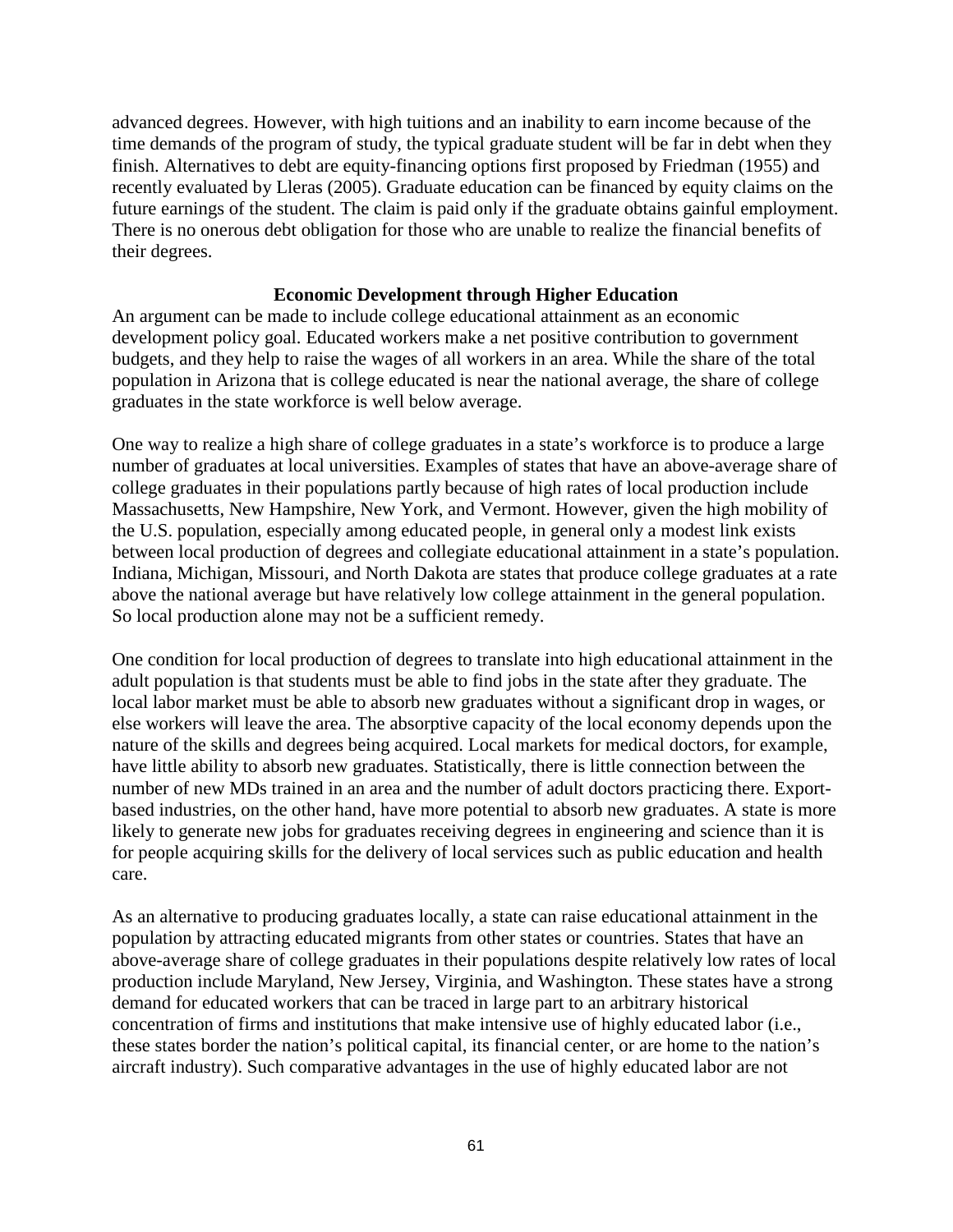advanced degrees. However, with high tuitions and an inability to earn income because of the time demands of the program of study, the typical graduate student will be far in debt when they finish. Alternatives to debt are equity-financing options first proposed by Friedman (1955) and recently evaluated by Lleras (2005). Graduate education can be financed by equity claims on the future earnings of the student. The claim is paid only if the graduate obtains gainful employment. There is no onerous debt obligation for those who are unable to realize the financial benefits of their degrees.

#### **Economic Development through Higher Education**

An argument can be made to include college educational attainment as an economic development policy goal. Educated workers make a net positive contribution to government budgets, and they help to raise the wages of all workers in an area. While the share of the total population in Arizona that is college educated is near the national average, the share of college graduates in the state workforce is well below average.

One way to realize a high share of college graduates in a state's workforce is to produce a large number of graduates at local universities. Examples of states that have an above-average share of college graduates in their populations partly because of high rates of local production include Massachusetts, New Hampshire, New York, and Vermont. However, given the high mobility of the U.S. population, especially among educated people, in general only a modest link exists between local production of degrees and collegiate educational attainment in a state's population. Indiana, Michigan, Missouri, and North Dakota are states that produce college graduates at a rate above the national average but have relatively low college attainment in the general population. So local production alone may not be a sufficient remedy.

One condition for local production of degrees to translate into high educational attainment in the adult population is that students must be able to find jobs in the state after they graduate. The local labor market must be able to absorb new graduates without a significant drop in wages, or else workers will leave the area. The absorptive capacity of the local economy depends upon the nature of the skills and degrees being acquired. Local markets for medical doctors, for example, have little ability to absorb new graduates. Statistically, there is little connection between the number of new MDs trained in an area and the number of adult doctors practicing there. Exportbased industries, on the other hand, have more potential to absorb new graduates. A state is more likely to generate new jobs for graduates receiving degrees in engineering and science than it is for people acquiring skills for the delivery of local services such as public education and health care.

As an alternative to producing graduates locally, a state can raise educational attainment in the population by attracting educated migrants from other states or countries. States that have an above-average share of college graduates in their populations despite relatively low rates of local production include Maryland, New Jersey, Virginia, and Washington. These states have a strong demand for educated workers that can be traced in large part to an arbitrary historical concentration of firms and institutions that make intensive use of highly educated labor (i.e., these states border the nation's political capital, its financial center, or are home to the nation's aircraft industry). Such comparative advantages in the use of highly educated labor are not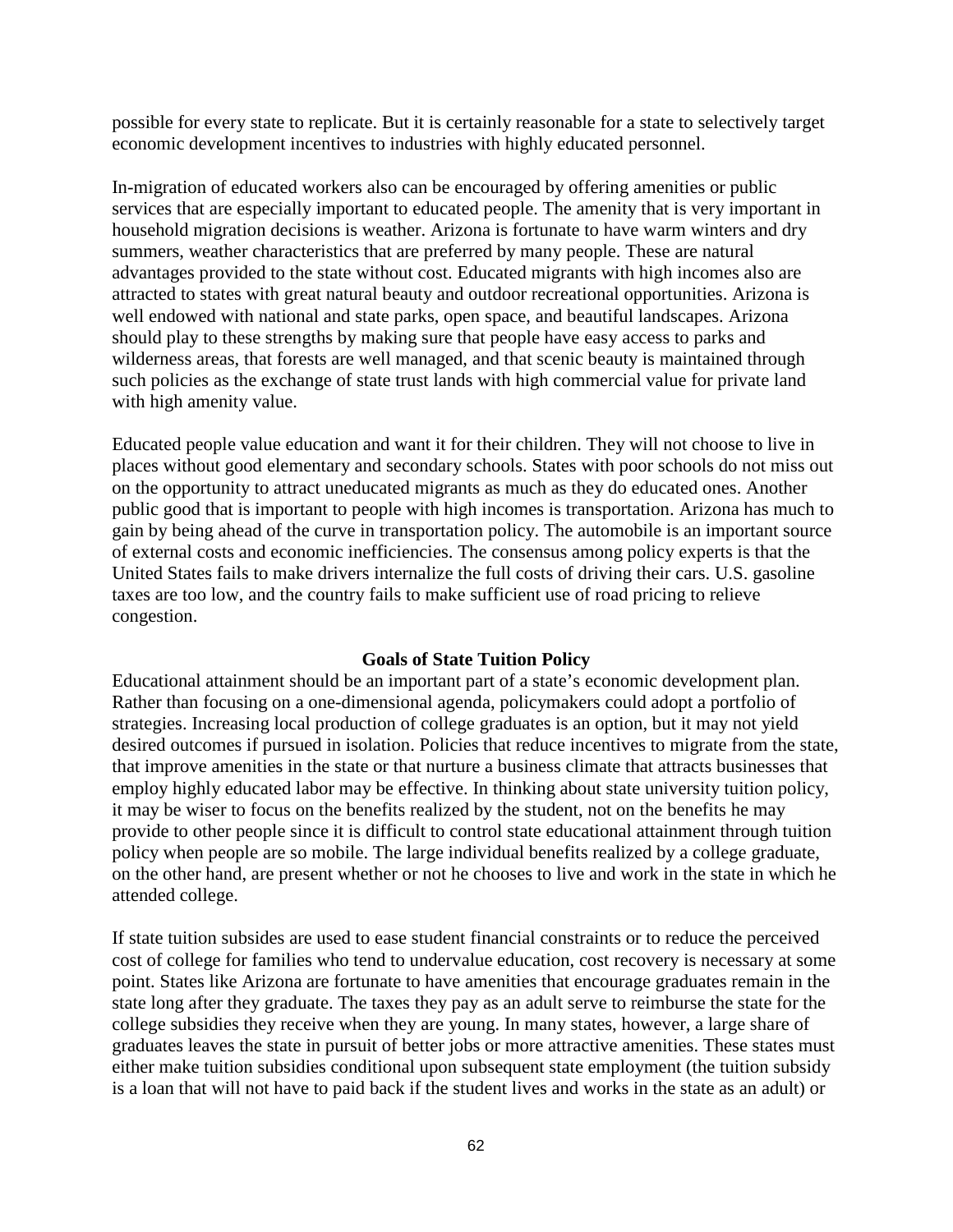possible for every state to replicate. But it is certainly reasonable for a state to selectively target economic development incentives to industries with highly educated personnel.

In-migration of educated workers also can be encouraged by offering amenities or public services that are especially important to educated people. The amenity that is very important in household migration decisions is weather. Arizona is fortunate to have warm winters and dry summers, weather characteristics that are preferred by many people. These are natural advantages provided to the state without cost. Educated migrants with high incomes also are attracted to states with great natural beauty and outdoor recreational opportunities. Arizona is well endowed with national and state parks, open space, and beautiful landscapes. Arizona should play to these strengths by making sure that people have easy access to parks and wilderness areas, that forests are well managed, and that scenic beauty is maintained through such policies as the exchange of state trust lands with high commercial value for private land with high amenity value.

Educated people value education and want it for their children. They will not choose to live in places without good elementary and secondary schools. States with poor schools do not miss out on the opportunity to attract uneducated migrants as much as they do educated ones. Another public good that is important to people with high incomes is transportation. Arizona has much to gain by being ahead of the curve in transportation policy. The automobile is an important source of external costs and economic inefficiencies. The consensus among policy experts is that the United States fails to make drivers internalize the full costs of driving their cars. U.S. gasoline taxes are too low, and the country fails to make sufficient use of road pricing to relieve congestion.

### **Goals of State Tuition Policy**

Educational attainment should be an important part of a state's economic development plan. Rather than focusing on a one-dimensional agenda, policymakers could adopt a portfolio of strategies. Increasing local production of college graduates is an option, but it may not yield desired outcomes if pursued in isolation. Policies that reduce incentives to migrate from the state, that improve amenities in the state or that nurture a business climate that attracts businesses that employ highly educated labor may be effective. In thinking about state university tuition policy, it may be wiser to focus on the benefits realized by the student, not on the benefits he may provide to other people since it is difficult to control state educational attainment through tuition policy when people are so mobile. The large individual benefits realized by a college graduate, on the other hand, are present whether or not he chooses to live and work in the state in which he attended college.

If state tuition subsides are used to ease student financial constraints or to reduce the perceived cost of college for families who tend to undervalue education, cost recovery is necessary at some point. States like Arizona are fortunate to have amenities that encourage graduates remain in the state long after they graduate. The taxes they pay as an adult serve to reimburse the state for the college subsidies they receive when they are young. In many states, however, a large share of graduates leaves the state in pursuit of better jobs or more attractive amenities. These states must either make tuition subsidies conditional upon subsequent state employment (the tuition subsidy is a loan that will not have to paid back if the student lives and works in the state as an adult) or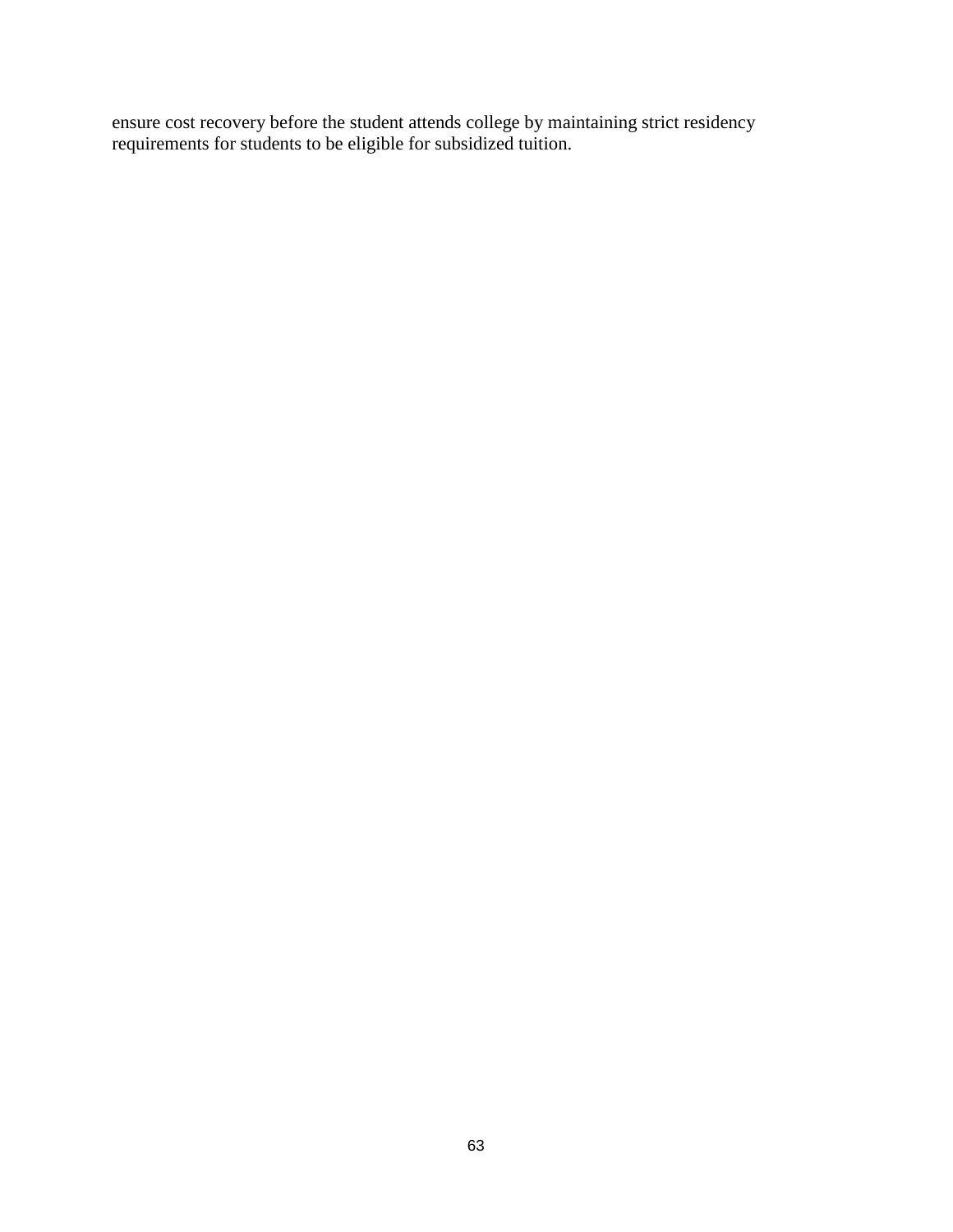ensure cost recovery before the student attends college by maintaining strict residency requirements for students to be eligible for subsidized tuition.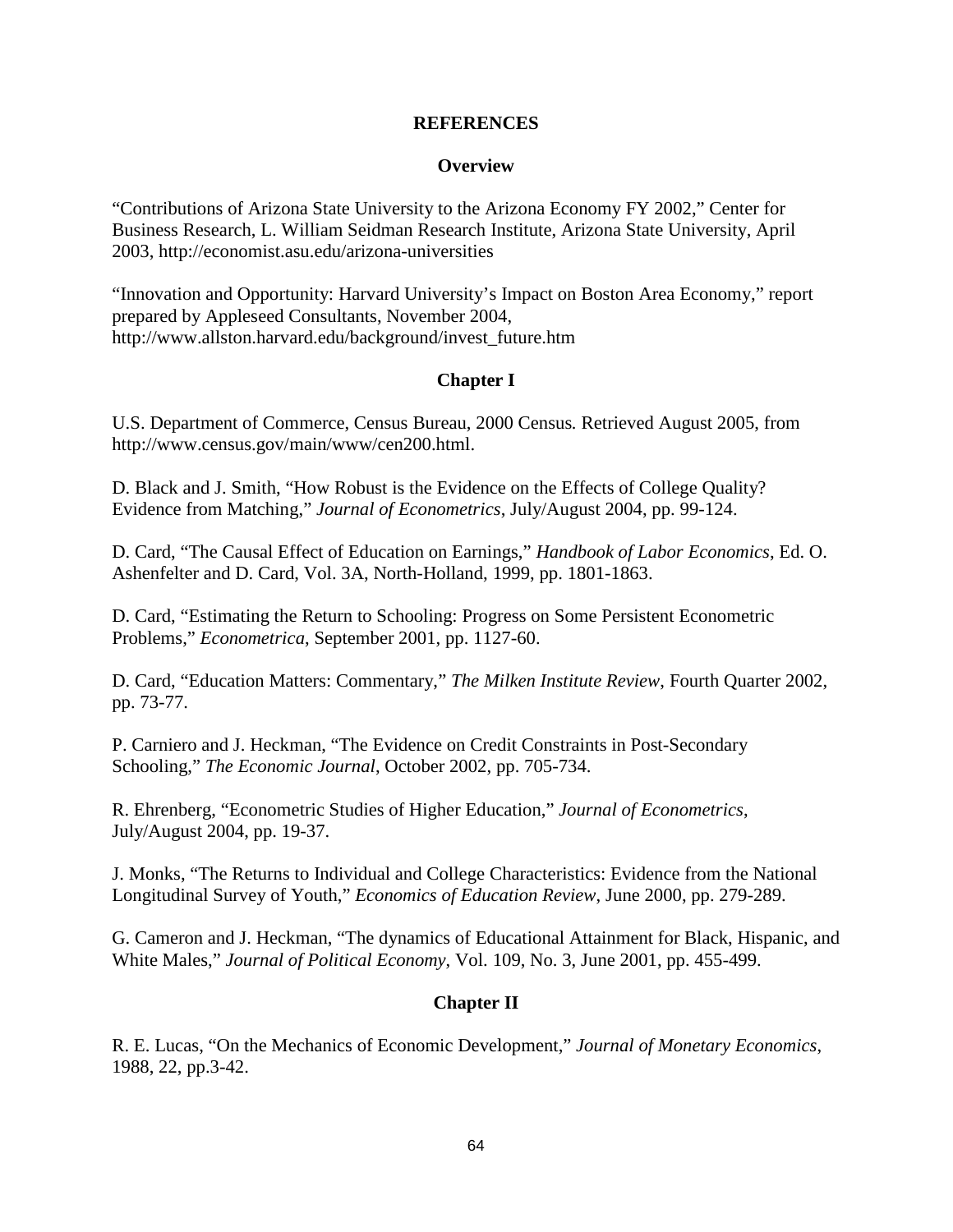#### **REFERENCES**

#### **Overview**

"Contributions of Arizona State University to the Arizona Economy FY 2002," Center for Business Research, L. William Seidman Research Institute, Arizona State University, April 2003, http://economist.asu.edu/arizona-universities

"Innovation and Opportunity: Harvard University's Impact on Boston Area Economy," report prepared by Appleseed Consultants, November 2004, http://www.allston.harvard.edu/background/invest\_future.htm

## **Chapter I**

U.S. Department of Commerce, Census Bureau, 2000 Census*.* Retrieved August 2005, from http://www.census.gov/main/www/cen200.html.

D. Black and J. Smith, "How Robust is the Evidence on the Effects of College Quality? Evidence from Matching," *Journal of Econometrics*, July/August 2004, pp. 99-124.

D. Card, "The Causal Effect of Education on Earnings," *Handbook of Labor Economics*, Ed. O. Ashenfelter and D. Card, Vol. 3A, North-Holland, 1999, pp. 1801-1863.

D. Card, "Estimating the Return to Schooling: Progress on Some Persistent Econometric Problems," *Econometrica*, September 2001, pp. 1127-60.

D. Card, "Education Matters: Commentary," *The Milken Institute Review*, Fourth Quarter 2002, pp. 73-77.

P. Carniero and J. Heckman, "The Evidence on Credit Constraints in Post-Secondary Schooling," *The Economic Journal*, October 2002, pp. 705-734.

R. Ehrenberg, "Econometric Studies of Higher Education," *Journal of Econometrics*, July/August 2004, pp. 19-37.

J. Monks, "The Returns to Individual and College Characteristics: Evidence from the National Longitudinal Survey of Youth," *Economics of Education Review*, June 2000, pp. 279-289.

G. Cameron and J. Heckman, "The dynamics of Educational Attainment for Black, Hispanic, and White Males," *Journal of Political Economy*, Vol. 109, No. 3, June 2001, pp. 455-499.

## **Chapter II**

R. E. Lucas, "On the Mechanics of Economic Development," *Journal of Monetary Economics*, 1988, 22, pp.3-42.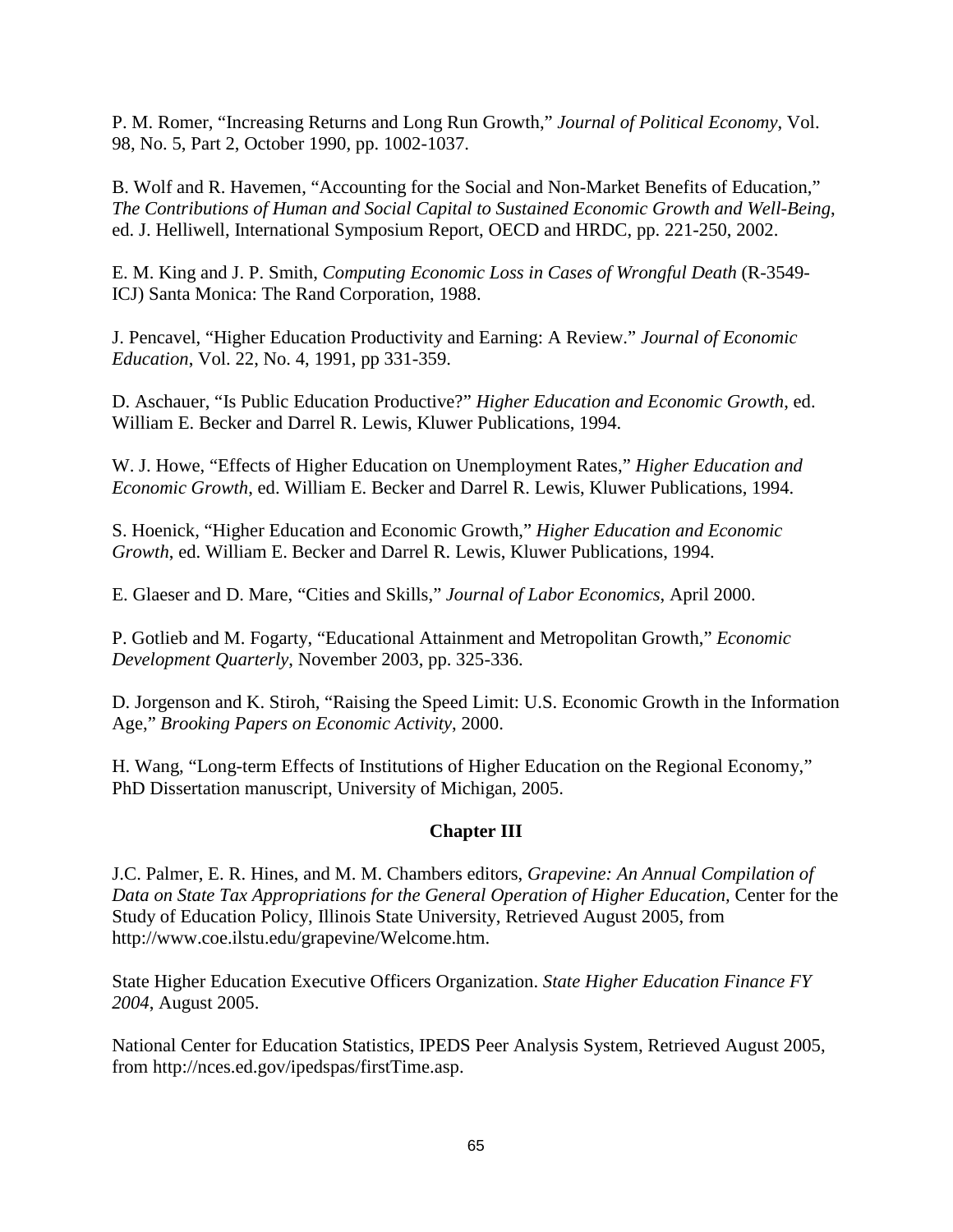P. M. Romer, "Increasing Returns and Long Run Growth," *Journal of Political Economy*, Vol. 98, No. 5, Part 2, October 1990, pp. 1002-1037.

B. Wolf and R. Havemen, "Accounting for the Social and Non-Market Benefits of Education," *The Contributions of Human and Social Capital to Sustained Economic Growth and Well-Being*, ed. J. Helliwell, International Symposium Report, OECD and HRDC, pp. 221-250, 2002.

E. M. King and J. P. Smith, *Computing Economic Loss in Cases of Wrongful Death* (R-3549- ICJ) Santa Monica: The Rand Corporation, 1988.

J. Pencavel, "Higher Education Productivity and Earning: A Review." *Journal of Economic Education*, Vol. 22, No. 4, 1991, pp 331-359.

D. Aschauer, "Is Public Education Productive?" *Higher Education and Economic Growth*, ed. William E. Becker and Darrel R. Lewis, Kluwer Publications, 1994.

W. J. Howe, "Effects of Higher Education on Unemployment Rates," *Higher Education and Economic Growth*, ed. William E. Becker and Darrel R. Lewis, Kluwer Publications, 1994.

S. Hoenick, "Higher Education and Economic Growth," *Higher Education and Economic Growth*, ed. William E. Becker and Darrel R. Lewis, Kluwer Publications, 1994.

E. Glaeser and D. Mare, "Cities and Skills," *Journal of Labor Economics*, April 2000.

P. Gotlieb and M. Fogarty, "Educational Attainment and Metropolitan Growth," *Economic Development Quarterly*, November 2003, pp. 325-336.

D. Jorgenson and K. Stiroh, "Raising the Speed Limit: U.S. Economic Growth in the Information Age," *Brooking Papers on Economic Activity*, 2000.

H. Wang, "Long-term Effects of Institutions of Higher Education on the Regional Economy," PhD Dissertation manuscript, University of Michigan, 2005.

## **Chapter III**

J.C. Palmer, E. R. Hines, and M. M. Chambers editors, *Grapevine: An Annual Compilation of*  Data on State Tax Appropriations for the General Operation of Higher Education, Center for the Study of Education Policy, Illinois State University, Retrieved August 2005, from http://www.coe.ilstu.edu/grapevine/Welcome.htm.

State Higher Education Executive Officers Organization. *State Higher Education Finance FY 2004*, August 2005.

National Center for Education Statistics, IPEDS Peer Analysis System, Retrieved August 2005, from http://nces.ed.gov/ipedspas/firstTime.asp.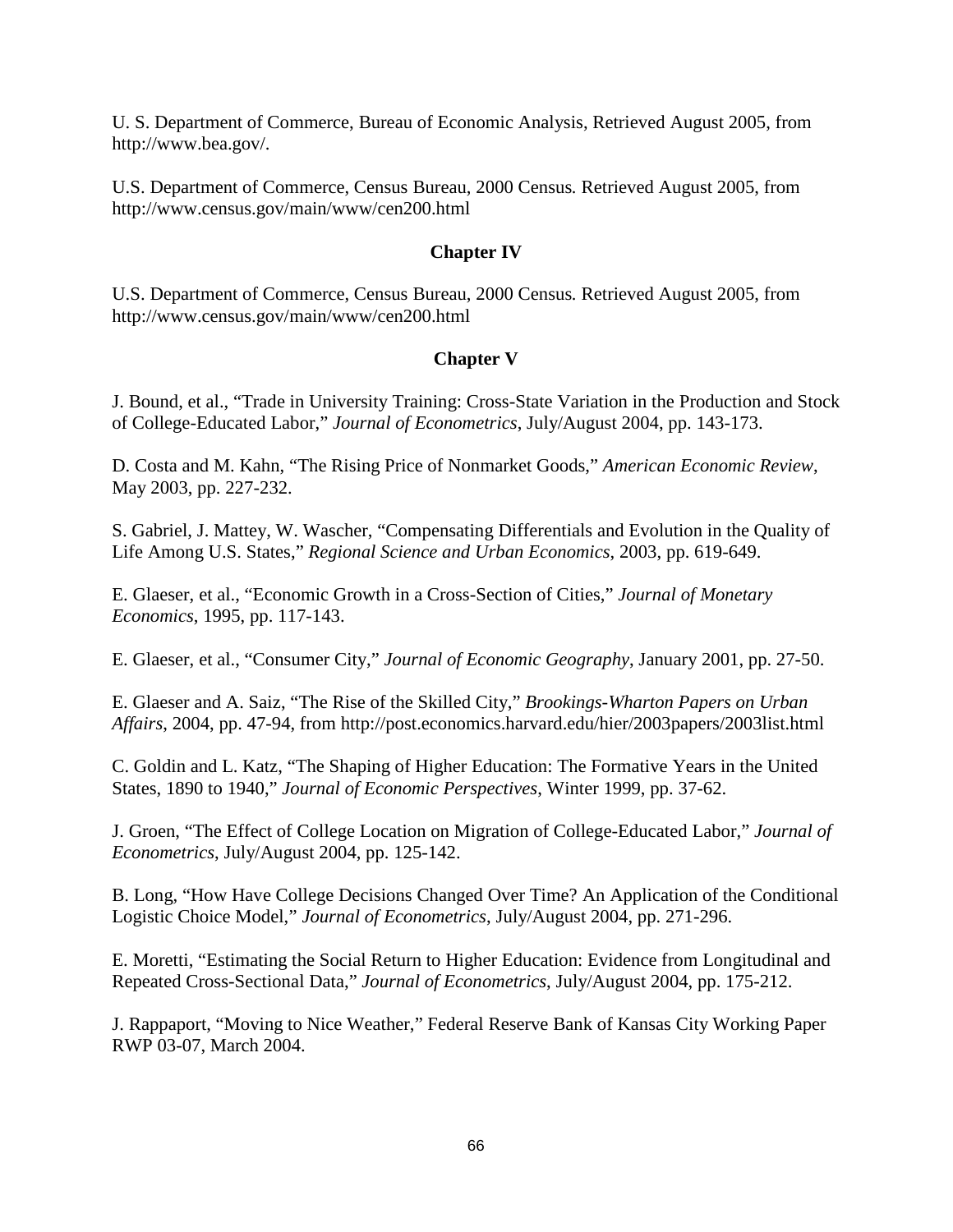U. S. Department of Commerce, Bureau of Economic Analysis, Retrieved August 2005, from http://www.bea.gov/.

U.S. Department of Commerce, Census Bureau, 2000 Census*.* Retrieved August 2005, from http://www.census.gov/main/www/cen200.html

### **Chapter IV**

U.S. Department of Commerce, Census Bureau, 2000 Census*.* Retrieved August 2005, from http://www.census.gov/main/www/cen200.html

## **Chapter V**

J. Bound, et al., "Trade in University Training: Cross-State Variation in the Production and Stock of College-Educated Labor," *Journal of Econometrics*, July/August 2004, pp. 143-173.

D. Costa and M. Kahn, "The Rising Price of Nonmarket Goods," *American Economic Review*, May 2003, pp. 227-232.

S. Gabriel, J. Mattey, W. Wascher, "Compensating Differentials and Evolution in the Quality of Life Among U.S. States," *Regional Science and Urban Economics*, 2003, pp. 619-649.

E. Glaeser, et al., "Economic Growth in a Cross-Section of Cities," *Journal of Monetary Economics*, 1995, pp. 117-143.

E. Glaeser, et al., "Consumer City," *Journal of Economic Geography*, January 2001, pp. 27-50.

E. Glaeser and A. Saiz, "The Rise of the Skilled City," *Brookings-Wharton Papers on Urban Affairs*, 2004, pp. 47-94, from http://post.economics.harvard.edu/hier/2003papers/2003list.html

C. Goldin and L. Katz, "The Shaping of Higher Education: The Formative Years in the United States, 1890 to 1940," *Journal of Economic Perspectives*, Winter 1999, pp. 37-62.

J. Groen, "The Effect of College Location on Migration of College-Educated Labor," *Journal of Econometrics*, July/August 2004, pp. 125-142.

B. Long, "How Have College Decisions Changed Over Time? An Application of the Conditional Logistic Choice Model," *Journal of Econometrics*, July/August 2004, pp. 271-296.

E. Moretti, "Estimating the Social Return to Higher Education: Evidence from Longitudinal and Repeated Cross-Sectional Data," *Journal of Econometrics*, July/August 2004, pp. 175-212.

J. Rappaport, "Moving to Nice Weather," Federal Reserve Bank of Kansas City Working Paper RWP 03-07, March 2004.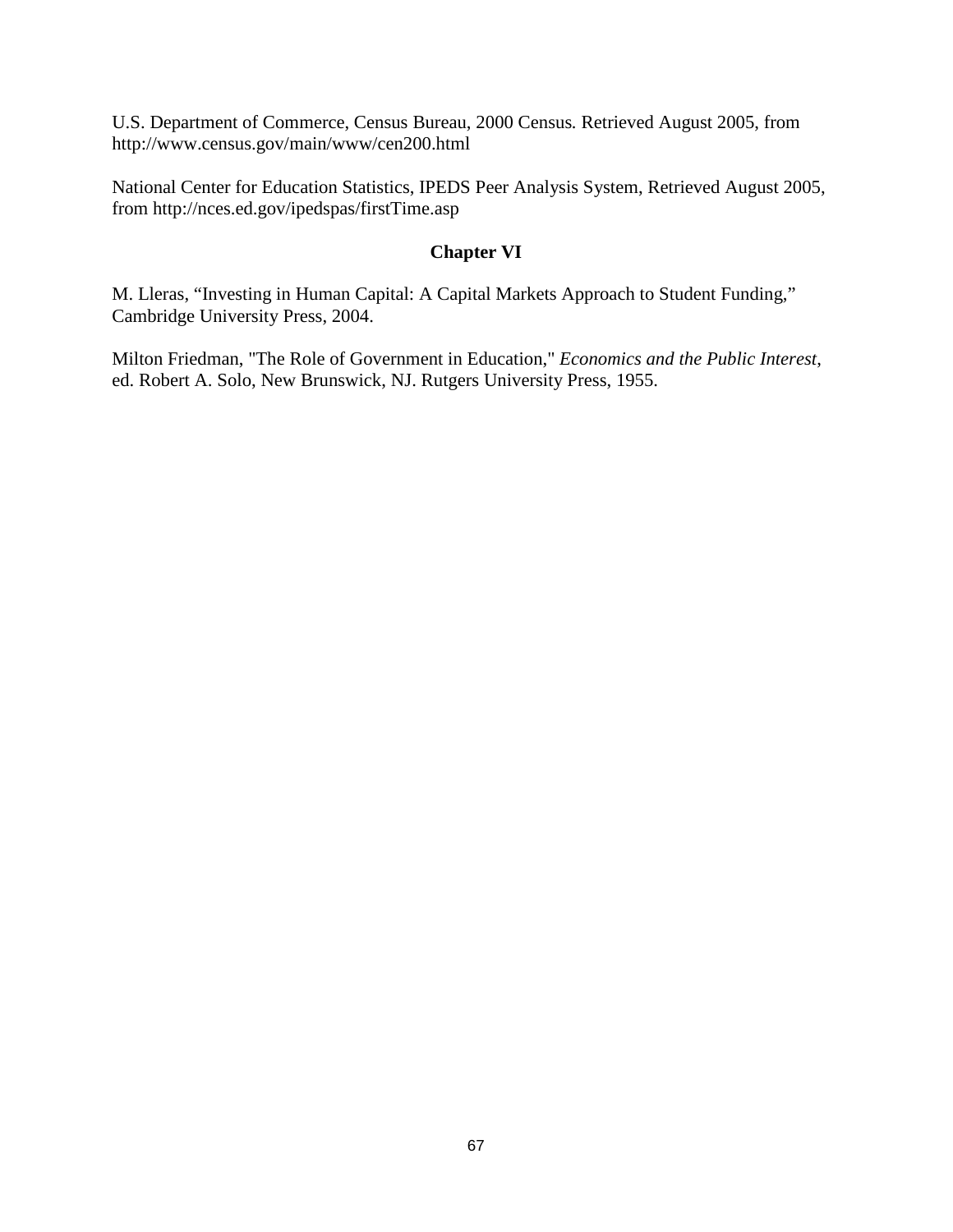U.S. Department of Commerce, Census Bureau, 2000 Census*.* Retrieved August 2005, from http://www.census.gov/main/www/cen200.html

National Center for Education Statistics, IPEDS Peer Analysis System, Retrieved August 2005, from http://nces.ed.gov/ipedspas/firstTime.asp

## **Chapter VI**

M. Lleras, "Investing in Human Capital: A Capital Markets Approach to Student Funding," Cambridge University Press, 2004.

Milton Friedman, "The Role of Government in Education," *Economics and the Public Interest*, ed. Robert A. Solo, New Brunswick, NJ. Rutgers University Press, 1955.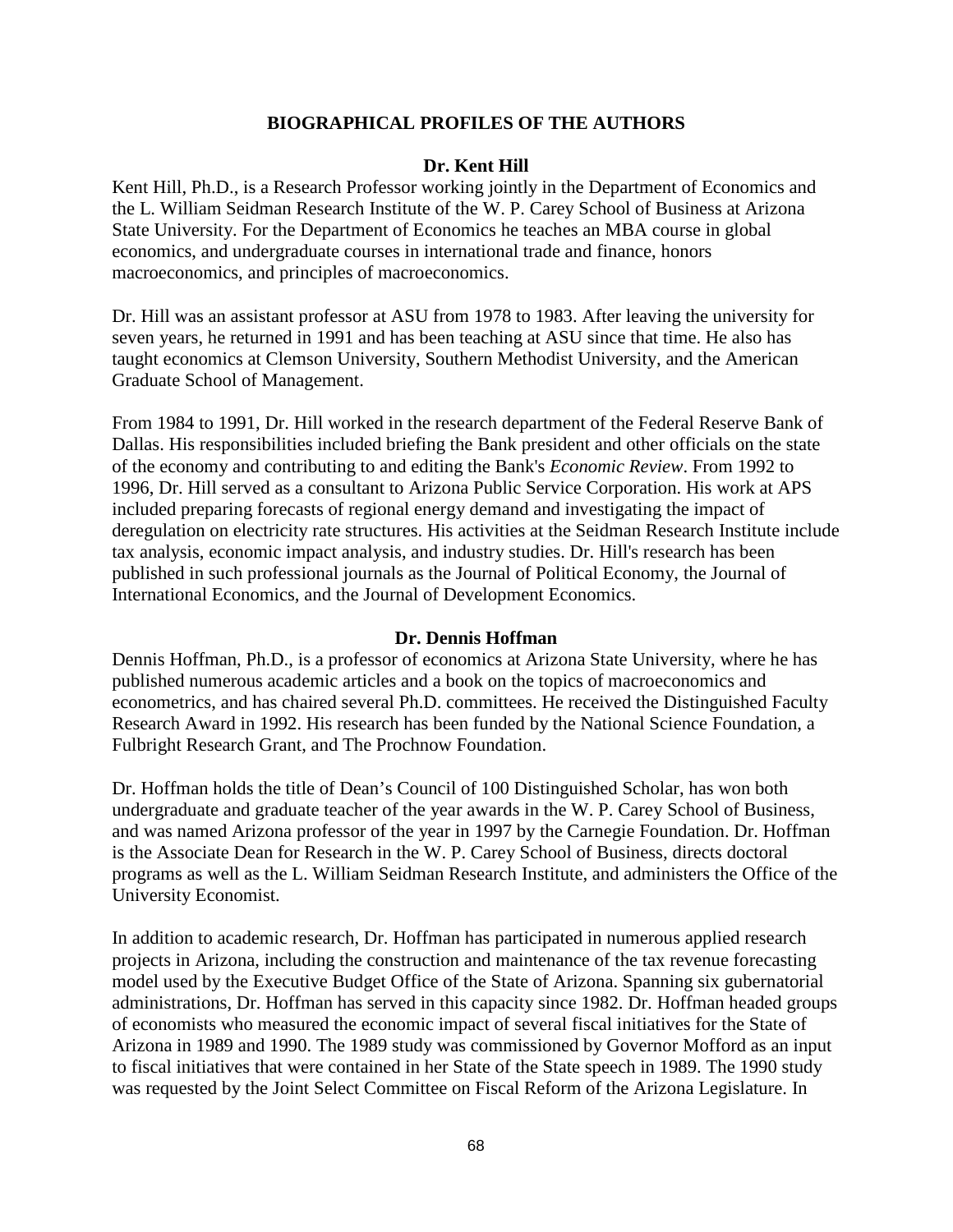### **BIOGRAPHICAL PROFILES OF THE AUTHORS**

#### **Dr. Kent Hill**

Kent Hill, Ph.D., is a Research Professor working jointly in the Department of Economics and the L. William Seidman Research Institute of the W. P. Carey School of Business at Arizona State University. For the Department of Economics he teaches an MBA course in global economics, and undergraduate courses in international trade and finance, honors macroeconomics, and principles of macroeconomics.

Dr. Hill was an assistant professor at ASU from 1978 to 1983. After leaving the university for seven years, he returned in 1991 and has been teaching at ASU since that time. He also has taught economics at Clemson University, Southern Methodist University, and the American Graduate School of Management.

From 1984 to 1991, Dr. Hill worked in the research department of the Federal Reserve Bank of Dallas. His responsibilities included briefing the Bank president and other officials on the state of the economy and contributing to and editing the Bank's *Economic Review*. From 1992 to 1996, Dr. Hill served as a consultant to Arizona Public Service Corporation. His work at APS included preparing forecasts of regional energy demand and investigating the impact of deregulation on electricity rate structures. His activities at the Seidman Research Institute include tax analysis, economic impact analysis, and industry studies. Dr. Hill's research has been published in such professional journals as the Journal of Political Economy, the Journal of International Economics, and the Journal of Development Economics.

#### **Dr. Dennis Hoffman**

Dennis Hoffman, Ph.D., is a professor of economics at Arizona State University, where he has published numerous academic articles and a book on the topics of macroeconomics and econometrics, and has chaired several Ph.D. committees. He received the Distinguished Faculty Research Award in 1992. His research has been funded by the National Science Foundation, a Fulbright Research Grant, and The Prochnow Foundation.

Dr. Hoffman holds the title of Dean's Council of 100 Distinguished Scholar, has won both undergraduate and graduate teacher of the year awards in the W. P. Carey School of Business, and was named Arizona professor of the year in 1997 by the Carnegie Foundation. Dr. Hoffman is the Associate Dean for Research in the W. P. Carey School of Business, directs doctoral programs as well as the L. William Seidman Research Institute, and administers the Office of the University Economist.

In addition to academic research, Dr. Hoffman has participated in numerous applied research projects in Arizona, including the construction and maintenance of the tax revenue forecasting model used by the Executive Budget Office of the State of Arizona. Spanning six gubernatorial administrations, Dr. Hoffman has served in this capacity since 1982. Dr. Hoffman headed groups of economists who measured the economic impact of several fiscal initiatives for the State of Arizona in 1989 and 1990. The 1989 study was commissioned by Governor Mofford as an input to fiscal initiatives that were contained in her State of the State speech in 1989. The 1990 study was requested by the Joint Select Committee on Fiscal Reform of the Arizona Legislature. In